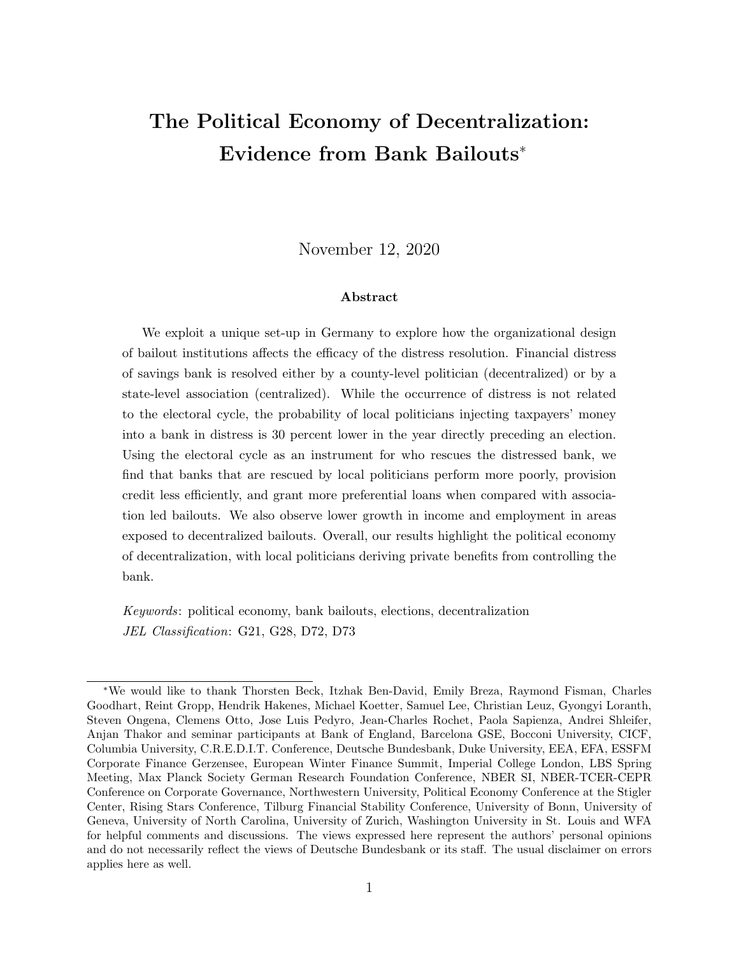# The Political Economy of Decentralization: Evidence from Bank Bailouts<sup>∗</sup>

November 12, 2020

#### Abstract

We exploit a unique set-up in Germany to explore how the organizational design of bailout institutions affects the efficacy of the distress resolution. Financial distress of savings bank is resolved either by a county-level politician (decentralized) or by a state-level association (centralized). While the occurrence of distress is not related to the electoral cycle, the probability of local politicians injecting taxpayers' money into a bank in distress is 30 percent lower in the year directly preceding an election. Using the electoral cycle as an instrument for who rescues the distressed bank, we find that banks that are rescued by local politicians perform more poorly, provision credit less efficiently, and grant more preferential loans when compared with association led bailouts. We also observe lower growth in income and employment in areas exposed to decentralized bailouts. Overall, our results highlight the political economy of decentralization, with local politicians deriving private benefits from controlling the bank.

Keywords: political economy, bank bailouts, elections, decentralization JEL Classification: G21, G28, D72, D73

<sup>∗</sup>We would like to thank Thorsten Beck, Itzhak Ben-David, Emily Breza, Raymond Fisman, Charles Goodhart, Reint Gropp, Hendrik Hakenes, Michael Koetter, Samuel Lee, Christian Leuz, Gyongyi Loranth, Steven Ongena, Clemens Otto, Jose Luis Pedyro, Jean-Charles Rochet, Paola Sapienza, Andrei Shleifer, Anjan Thakor and seminar participants at Bank of England, Barcelona GSE, Bocconi University, CICF, Columbia University, C.R.E.D.I.T. Conference, Deutsche Bundesbank, Duke University, EEA, EFA, ESSFM Corporate Finance Gerzensee, European Winter Finance Summit, Imperial College London, LBS Spring Meeting, Max Planck Society German Research Foundation Conference, NBER SI, NBER-TCER-CEPR Conference on Corporate Governance, Northwestern University, Political Economy Conference at the Stigler Center, Rising Stars Conference, Tilburg Financial Stability Conference, University of Bonn, University of Geneva, University of North Carolina, University of Zurich, Washington University in St. Louis and WFA for helpful comments and discussions. The views expressed here represent the authors' personal opinions and do not necessarily reflect the views of Deutsche Bundesbank or its staff. The usual disclaimer on errors applies here as well.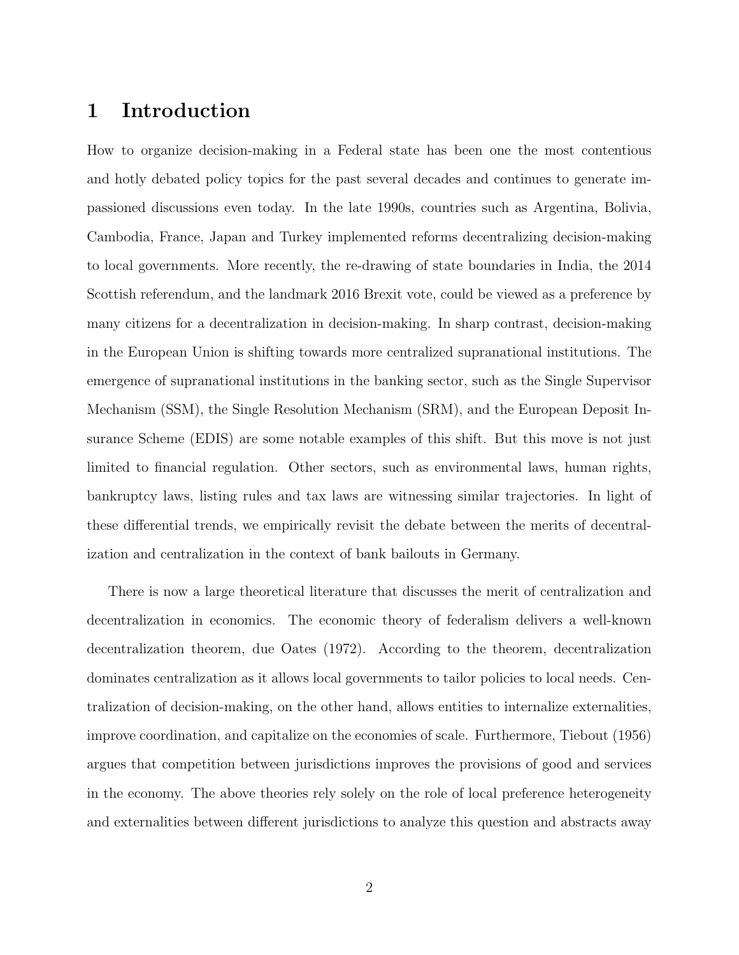## 1 Introduction

How to organize decision-making in a Federal state has been one the most contentious and hotly debated policy topics for the past several decades and continues to generate impassioned discussions even today. In the late 1990s, countries such as Argentina, Bolivia, Cambodia, France, Japan and Turkey implemented reforms decentralizing decision-making to local governments. More recently, the re-drawing of state boundaries in India, the 2014 Scottish referendum, and the landmark 2016 Brexit vote, could be viewed as a preference by many citizens for a decentralization in decision-making. In sharp contrast, decision-making in the European Union is shifting towards more centralized supranational institutions. The emergence of supranational institutions in the banking sector, such as the Single Supervisor Mechanism (SSM), the Single Resolution Mechanism (SRM), and the European Deposit Insurance Scheme (EDIS) are some notable examples of this shift. But this move is not just limited to financial regulation. Other sectors, such as environmental laws, human rights, bankruptcy laws, listing rules and tax laws are witnessing similar trajectories. In light of these differential trends, we empirically revisit the debate between the merits of decentralization and centralization in the context of bank bailouts in Germany.

There is now a large theoretical literature that discusses the merit of centralization and decentralization in economics. The economic theory of federalism delivers a well-known decentralization theorem, due Oates (1972). According to the theorem, decentralization dominates centralization as it allows local governments to tailor policies to local needs. Centralization of decision-making, on the other hand, allows entities to internalize externalities, improve coordination, and capitalize on the economies of scale. Furthermore, Tiebout (1956) argues that competition between jurisdictions improves the provisions of good and services in the economy. The above theories rely solely on the role of local preference heterogeneity and externalities between different jurisdictions to analyze this question and abstracts away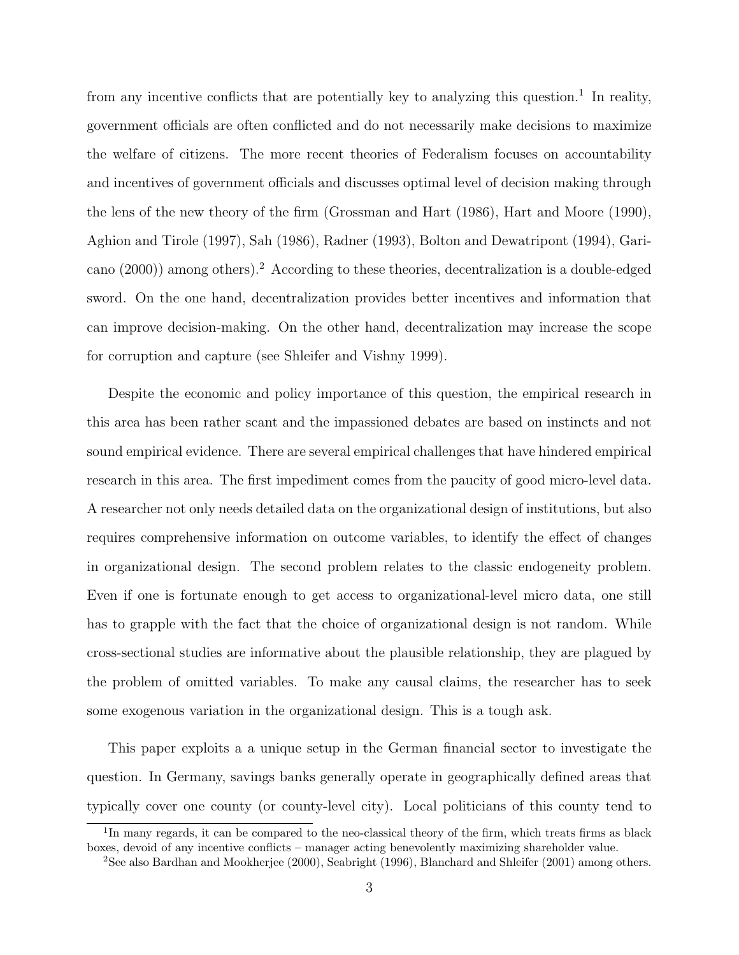from any incentive conflicts that are potentially key to analyzing this question.<sup>[1](#page-2-0)</sup> In reality, government officials are often conflicted and do not necessarily make decisions to maximize the welfare of citizens. The more recent theories of Federalism focuses on accountability and incentives of government officials and discusses optimal level of decision making through the lens of the new theory of the firm [\(Grossman and Hart](#page-37-0) [\(1986\)](#page-37-0), [Hart and Moore](#page-38-0) [\(1990\)](#page-38-0), Aghion and Tirole (1997), Sah (1986), Radner (1993), Bolton and Dewatripont (1994), Garicano (2000)) among others).[2](#page-2-1) According to these theories, decentralization is a double-edged sword. On the one hand, decentralization provides better incentives and information that can improve decision-making. On the other hand, decentralization may increase the scope for corruption and capture (see Shleifer and Vishny 1999).

Despite the economic and policy importance of this question, the empirical research in this area has been rather scant and the impassioned debates are based on instincts and not sound empirical evidence. There are several empirical challenges that have hindered empirical research in this area. The first impediment comes from the paucity of good micro-level data. A researcher not only needs detailed data on the organizational design of institutions, but also requires comprehensive information on outcome variables, to identify the effect of changes in organizational design. The second problem relates to the classic endogeneity problem. Even if one is fortunate enough to get access to organizational-level micro data, one still has to grapple with the fact that the choice of organizational design is not random. While cross-sectional studies are informative about the plausible relationship, they are plagued by the problem of omitted variables. To make any causal claims, the researcher has to seek some exogenous variation in the organizational design. This is a tough ask.

This paper exploits a a unique setup in the German financial sector to investigate the question. In Germany, savings banks generally operate in geographically defined areas that typically cover one county (or county-level city). Local politicians of this county tend to

<span id="page-2-0"></span><sup>&</sup>lt;sup>1</sup>In many regards, it can be compared to the neo-classical theory of the firm, which treats firms as black boxes, devoid of any incentive conflicts – manager acting benevolently maximizing shareholder value.

<span id="page-2-1"></span><sup>2</sup>See also [Bardhan and Mookherjee](#page-36-0) [\(2000\)](#page-36-0), [Seabright](#page-38-1) [\(1996\)](#page-38-1), [Blanchard and Shleifer](#page-37-1) [\(2001\)](#page-37-1) among others.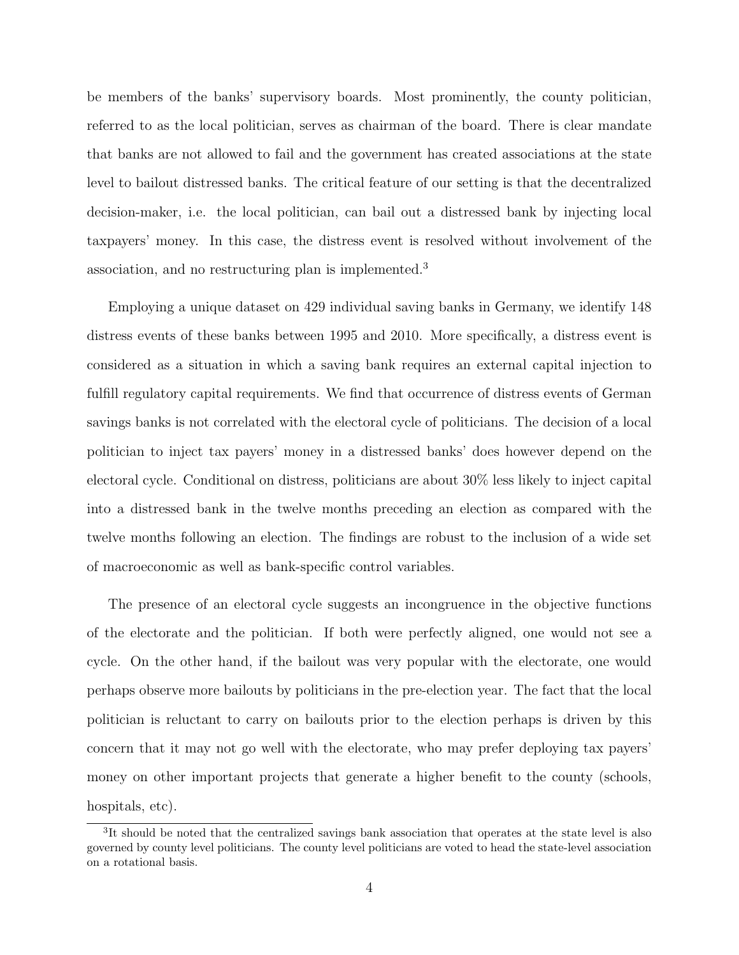be members of the banks' supervisory boards. Most prominently, the county politician, referred to as the local politician, serves as chairman of the board. There is clear mandate that banks are not allowed to fail and the government has created associations at the state level to bailout distressed banks. The critical feature of our setting is that the decentralized decision-maker, i.e. the local politician, can bail out a distressed bank by injecting local taxpayers' money. In this case, the distress event is resolved without involvement of the association, and no restructuring plan is implemented.[3](#page-3-0)

Employing a unique dataset on 429 individual saving banks in Germany, we identify 148 distress events of these banks between 1995 and 2010. More specifically, a distress event is considered as a situation in which a saving bank requires an external capital injection to fulfill regulatory capital requirements. We find that occurrence of distress events of German savings banks is not correlated with the electoral cycle of politicians. The decision of a local politician to inject tax payers' money in a distressed banks' does however depend on the electoral cycle. Conditional on distress, politicians are about 30% less likely to inject capital into a distressed bank in the twelve months preceding an election as compared with the twelve months following an election. The findings are robust to the inclusion of a wide set of macroeconomic as well as bank-specific control variables.

The presence of an electoral cycle suggests an incongruence in the objective functions of the electorate and the politician. If both were perfectly aligned, one would not see a cycle. On the other hand, if the bailout was very popular with the electorate, one would perhaps observe more bailouts by politicians in the pre-election year. The fact that the local politician is reluctant to carry on bailouts prior to the election perhaps is driven by this concern that it may not go well with the electorate, who may prefer deploying tax payers' money on other important projects that generate a higher benefit to the county (schools, hospitals, etc).

<span id="page-3-0"></span><sup>&</sup>lt;sup>3</sup>It should be noted that the centralized savings bank association that operates at the state level is also governed by county level politicians. The county level politicians are voted to head the state-level association on a rotational basis.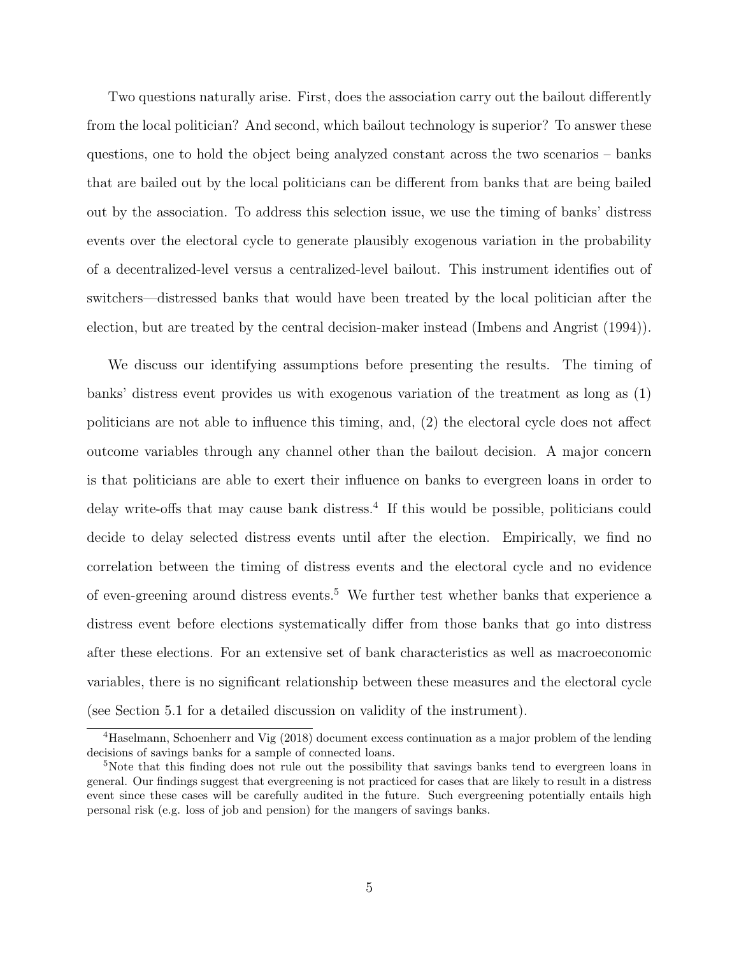Two questions naturally arise. First, does the association carry out the bailout differently from the local politician? And second, which bailout technology is superior? To answer these questions, one to hold the object being analyzed constant across the two scenarios – banks that are bailed out by the local politicians can be different from banks that are being bailed out by the association. To address this selection issue, we use the timing of banks' distress events over the electoral cycle to generate plausibly exogenous variation in the probability of a decentralized-level versus a centralized-level bailout. This instrument identifies out of switchers—distressed banks that would have been treated by the local politician after the election, but are treated by the central decision-maker instead [\(Imbens and Angrist](#page-38-2) [\(1994\)](#page-38-2)).

We discuss our identifying assumptions before presenting the results. The timing of banks' distress event provides us with exogenous variation of the treatment as long as (1) politicians are not able to influence this timing, and, (2) the electoral cycle does not affect outcome variables through any channel other than the bailout decision. A major concern is that politicians are able to exert their influence on banks to evergreen loans in order to delay write-offs that may cause bank distress.<sup>[4](#page-4-0)</sup> If this would be possible, politicians could decide to delay selected distress events until after the election. Empirically, we find no correlation between the timing of distress events and the electoral cycle and no evidence of even-greening around distress events.<sup>[5](#page-4-1)</sup> We further test whether banks that experience a distress event before elections systematically differ from those banks that go into distress after these elections. For an extensive set of bank characteristics as well as macroeconomic variables, there is no significant relationship between these measures and the electoral cycle (see Section [5.1](#page-24-0) for a detailed discussion on validity of the instrument).

<span id="page-4-0"></span><sup>4</sup>Haselmann, Schoenherr and Vig (2018) document excess continuation as a major problem of the lending decisions of savings banks for a sample of connected loans.

<span id="page-4-1"></span><sup>&</sup>lt;sup>5</sup>Note that this finding does not rule out the possibility that savings banks tend to evergreen loans in general. Our findings suggest that evergreening is not practiced for cases that are likely to result in a distress event since these cases will be carefully audited in the future. Such evergreening potentially entails high personal risk (e.g. loss of job and pension) for the mangers of savings banks.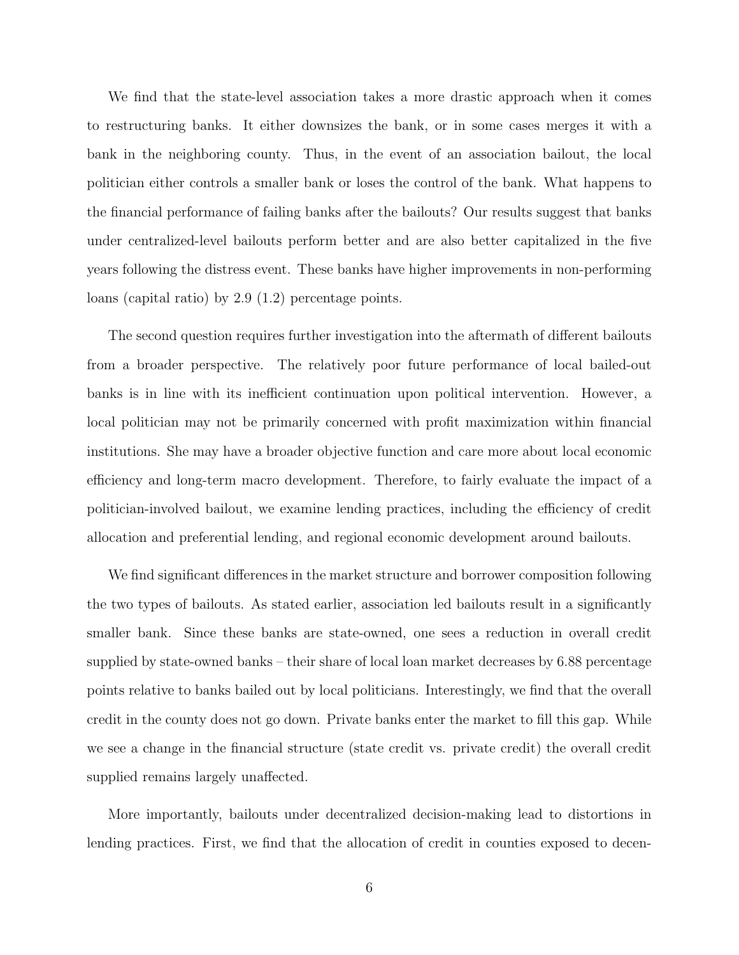We find that the state-level association takes a more drastic approach when it comes to restructuring banks. It either downsizes the bank, or in some cases merges it with a bank in the neighboring county. Thus, in the event of an association bailout, the local politician either controls a smaller bank or loses the control of the bank. What happens to the financial performance of failing banks after the bailouts? Our results suggest that banks under centralized-level bailouts perform better and are also better capitalized in the five years following the distress event. These banks have higher improvements in non-performing loans (capital ratio) by 2.9 (1.2) percentage points.

The second question requires further investigation into the aftermath of different bailouts from a broader perspective. The relatively poor future performance of local bailed-out banks is in line with its inefficient continuation upon political intervention. However, a local politician may not be primarily concerned with profit maximization within financial institutions. She may have a broader objective function and care more about local economic efficiency and long-term macro development. Therefore, to fairly evaluate the impact of a politician-involved bailout, we examine lending practices, including the efficiency of credit allocation and preferential lending, and regional economic development around bailouts.

We find significant differences in the market structure and borrower composition following the two types of bailouts. As stated earlier, association led bailouts result in a significantly smaller bank. Since these banks are state-owned, one sees a reduction in overall credit supplied by state-owned banks – their share of local loan market decreases by 6.88 percentage points relative to banks bailed out by local politicians. Interestingly, we find that the overall credit in the county does not go down. Private banks enter the market to fill this gap. While we see a change in the financial structure (state credit vs. private credit) the overall credit supplied remains largely unaffected.

More importantly, bailouts under decentralized decision-making lead to distortions in lending practices. First, we find that the allocation of credit in counties exposed to decen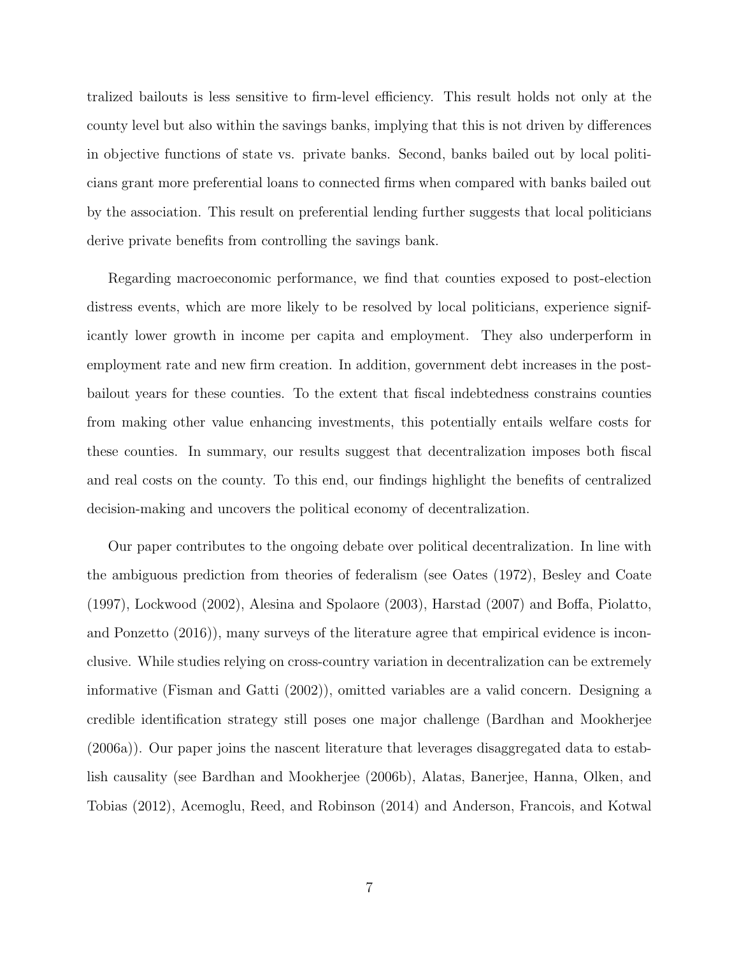tralized bailouts is less sensitive to firm-level efficiency. This result holds not only at the county level but also within the savings banks, implying that this is not driven by differences in objective functions of state vs. private banks. Second, banks bailed out by local politicians grant more preferential loans to connected firms when compared with banks bailed out by the association. This result on preferential lending further suggests that local politicians derive private benefits from controlling the savings bank.

Regarding macroeconomic performance, we find that counties exposed to post-election distress events, which are more likely to be resolved by local politicians, experience significantly lower growth in income per capita and employment. They also underperform in employment rate and new firm creation. In addition, government debt increases in the postbailout years for these counties. To the extent that fiscal indebtedness constrains counties from making other value enhancing investments, this potentially entails welfare costs for these counties. In summary, our results suggest that decentralization imposes both fiscal and real costs on the county. To this end, our findings highlight the benefits of centralized decision-making and uncovers the political economy of decentralization.

Our paper contributes to the ongoing debate over political decentralization. In line with the ambiguous prediction from theories of federalism (see [Oates](#page-38-3) [\(1972\)](#page-38-3), [Besley and Coate](#page-36-1) [\(1997\)](#page-36-1), [Lockwood](#page-38-4) [\(2002\)](#page-38-4), [Alesina and Spolaore](#page-36-2) [\(2003\)](#page-36-2), [Harstad](#page-38-5) [\(2007\)](#page-38-5) and [Boffa, Piolatto,](#page-37-2) [and Ponzetto](#page-37-2) [\(2016\)](#page-37-2)), many surveys of the literature agree that empirical evidence is inconclusive. While studies relying on cross-country variation in decentralization can be extremely informative [\(Fisman and Gatti](#page-37-3) [\(2002\)](#page-37-3)), omitted variables are a valid concern. Designing a credible identification strategy still poses one major challenge [\(Bardhan and Mookherjee](#page-36-3) [\(2006a\)](#page-36-3)). Our paper joins the nascent literature that leverages disaggregated data to establish causality (see [Bardhan and Mookherjee](#page-36-4) [\(2006b\)](#page-36-4), [Alatas, Banerjee, Hanna, Olken, and](#page-36-5) [Tobias](#page-36-5) [\(2012\)](#page-36-5), [Acemoglu, Reed, and Robinson](#page-36-6) [\(2014\)](#page-36-6) and [Anderson, Francois, and Kotwal](#page-36-7)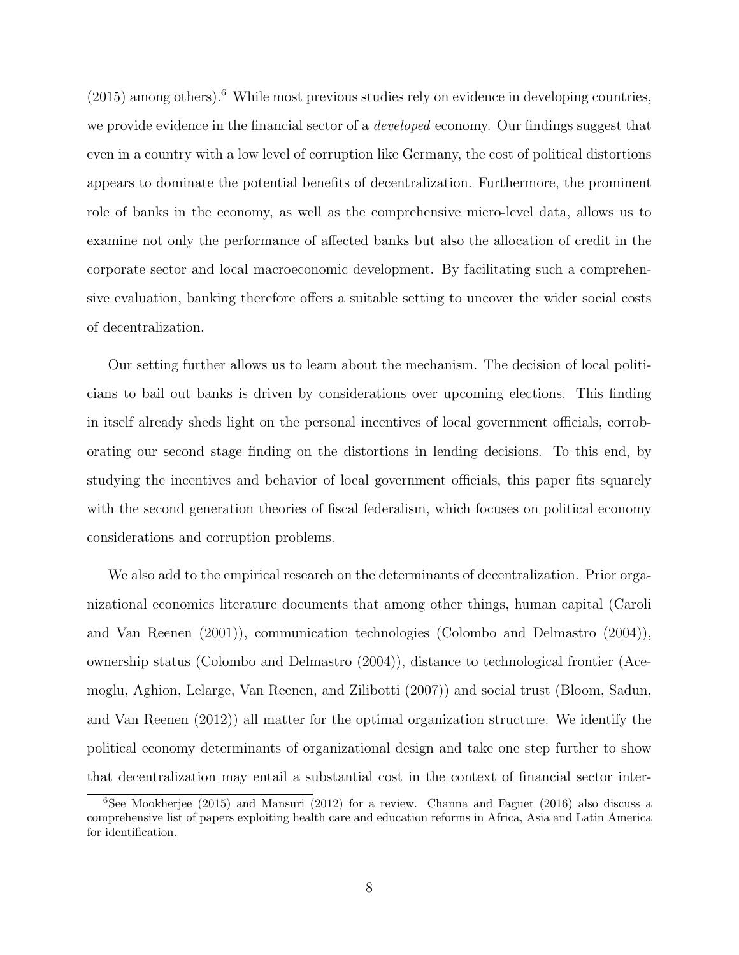$(2015)$  among others).<sup>[6](#page-7-0)</sup> While most previous studies rely on evidence in developing countries, we provide evidence in the financial sector of a *developed* economy. Our findings suggest that even in a country with a low level of corruption like Germany, the cost of political distortions appears to dominate the potential benefits of decentralization. Furthermore, the prominent role of banks in the economy, as well as the comprehensive micro-level data, allows us to examine not only the performance of affected banks but also the allocation of credit in the corporate sector and local macroeconomic development. By facilitating such a comprehensive evaluation, banking therefore offers a suitable setting to uncover the wider social costs of decentralization.

Our setting further allows us to learn about the mechanism. The decision of local politicians to bail out banks is driven by considerations over upcoming elections. This finding in itself already sheds light on the personal incentives of local government officials, corroborating our second stage finding on the distortions in lending decisions. To this end, by studying the incentives and behavior of local government officials, this paper fits squarely with the second generation theories of fiscal federalism, which focuses on political economy considerations and corruption problems.

We also add to the empirical research on the determinants of decentralization. Prior organizational economics literature documents that among other things, human capital [\(Caroli](#page-37-4) [and Van Reenen](#page-37-4) [\(2001\)](#page-37-4)), communication technologies [\(Colombo and Delmastro](#page-37-5) [\(2004\)](#page-37-5)), ownership status [\(Colombo and Delmastro](#page-37-5) [\(2004\)](#page-37-5)), distance to technological frontier [\(Ace](#page-36-8)[moglu, Aghion, Lelarge, Van Reenen, and Zilibotti](#page-36-8) [\(2007\)](#page-36-8)) and social trust [\(Bloom, Sadun,](#page-37-6) [and Van Reenen](#page-37-6) [\(2012\)](#page-37-6)) all matter for the optimal organization structure. We identify the political economy determinants of organizational design and take one step further to show that decentralization may entail a substantial cost in the context of financial sector inter-

<span id="page-7-0"></span> $6$ See [Mookherjee](#page-38-6) [\(2015\)](#page-38-6) and [Mansuri](#page-38-7) [\(2012\)](#page-38-7) for a review. [Channa and Faguet](#page-37-7) [\(2016\)](#page-37-7) also discuss a comprehensive list of papers exploiting health care and education reforms in Africa, Asia and Latin America for identification.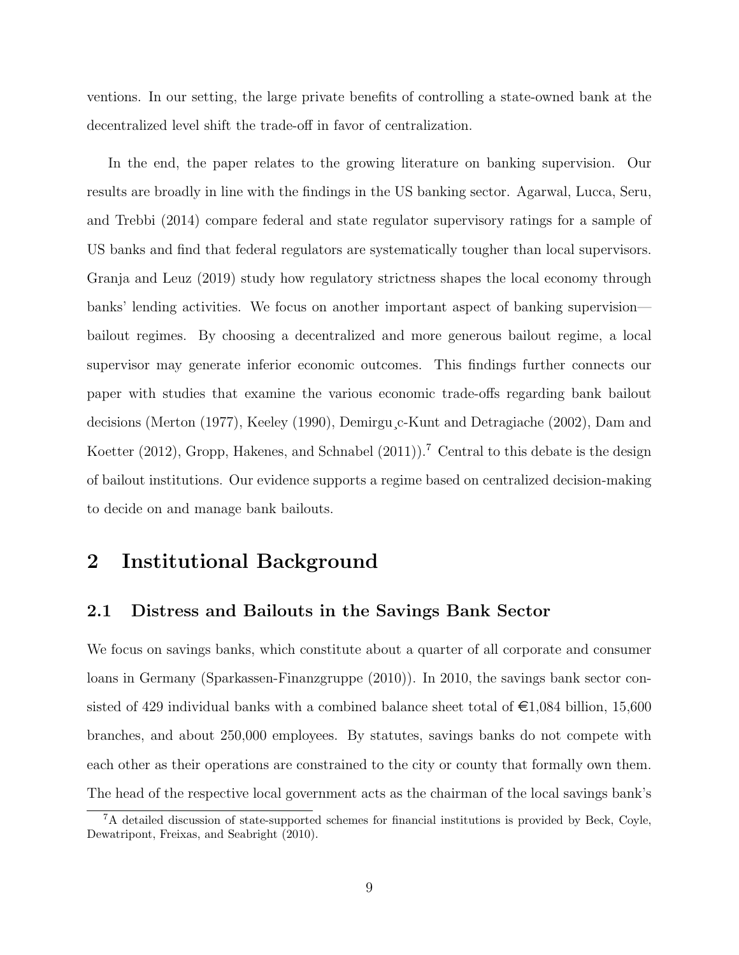ventions. In our setting, the large private benefits of controlling a state-owned bank at the decentralized level shift the trade-off in favor of centralization.

In the end, the paper relates to the growing literature on banking supervision. Our results are broadly in line with the findings in the US banking sector. [Agarwal, Lucca, Seru,](#page-36-9) [and Trebbi](#page-36-9) [\(2014\)](#page-36-9) compare federal and state regulator supervisory ratings for a sample of US banks and find that federal regulators are systematically tougher than local supervisors. [Granja and Leuz](#page-37-8) [\(2019\)](#page-37-8) study how regulatory strictness shapes the local economy through banks' lending activities. We focus on another important aspect of banking supervision bailout regimes. By choosing a decentralized and more generous bailout regime, a local supervisor may generate inferior economic outcomes. This findings further connects our paper with studies that examine the various economic trade-offs regarding bank bailout decisions [\(Merton](#page-38-8) [\(1977\)](#page-38-8), [Keeley](#page-38-9) [\(1990\)](#page-38-9), [Demirgu¸c-Kunt and Detragiache](#page-37-9) [\(2002\)](#page-37-9), [Dam and](#page-37-10) [Koetter](#page-37-10) [\(2012\)](#page-37-10), [Gropp, Hakenes, and Schnabel](#page-37-11) [\(2011\)](#page-37-11)).<sup>[7](#page-8-0)</sup> Central to this debate is the design of bailout institutions. Our evidence supports a regime based on centralized decision-making to decide on and manage bank bailouts.

## 2 Institutional Background

#### 2.1 Distress and Bailouts in the Savings Bank Sector

We focus on savings banks, which constitute about a quarter of all corporate and consumer loans in Germany [\(Sparkassen-Finanzgruppe](#page-39-0) [\(2010\)](#page-39-0)). In 2010, the savings bank sector consisted of 429 individual banks with a combined balance sheet total of  $\epsilon$ 1,084 billion, 15,600 branches, and about 250,000 employees. By statutes, savings banks do not compete with each other as their operations are constrained to the city or county that formally own them. The head of the respective local government acts as the chairman of the local savings bank's

<span id="page-8-0"></span><sup>7</sup>A detailed discussion of state-supported schemes for financial institutions is provided by [Beck, Coyle,](#page-36-10) [Dewatripont, Freixas, and Seabright](#page-36-10) [\(2010\)](#page-36-10).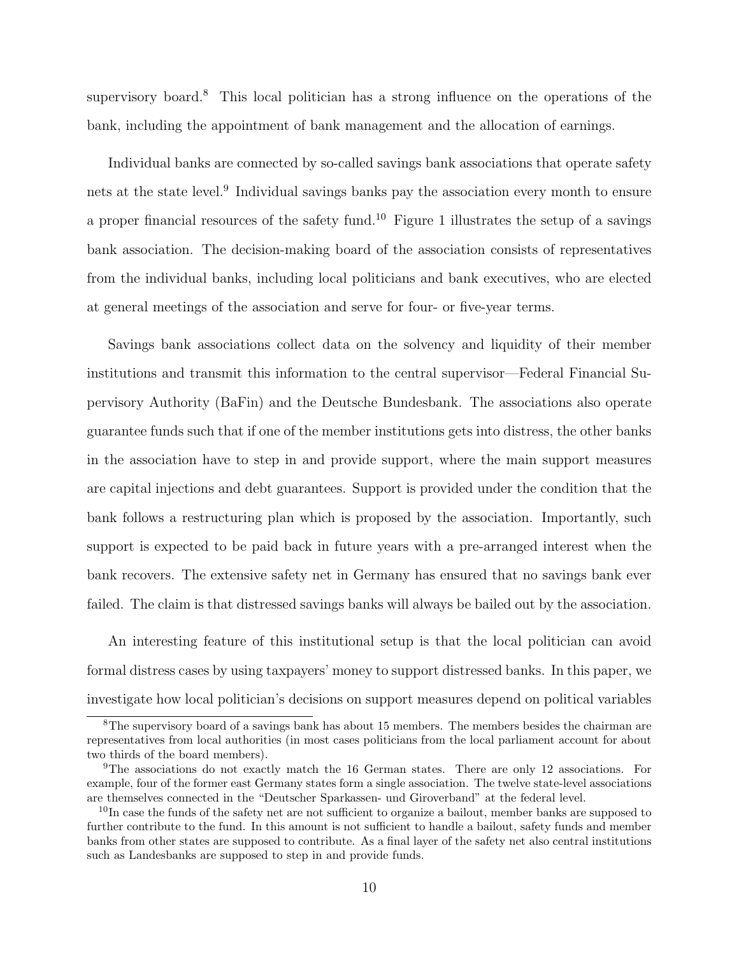supervisory board.<sup>[8](#page-9-0)</sup> This local politician has a strong influence on the operations of the bank, including the appointment of bank management and the allocation of earnings.

Individual banks are connected by so-called savings bank associations that operate safety nets at the state level.<sup>[9](#page-9-1)</sup> Individual savings banks pay the association every month to ensure a proper financial resources of the safety fund.<sup>[10](#page-9-2)</sup> Figure [1](#page-40-0) illustrates the setup of a savings bank association. The decision-making board of the association consists of representatives from the individual banks, including local politicians and bank executives, who are elected at general meetings of the association and serve for four- or five-year terms.

Savings bank associations collect data on the solvency and liquidity of their member institutions and transmit this information to the central supervisor—Federal Financial Supervisory Authority (BaFin) and the Deutsche Bundesbank. The associations also operate guarantee funds such that if one of the member institutions gets into distress, the other banks in the association have to step in and provide support, where the main support measures are capital injections and debt guarantees. Support is provided under the condition that the bank follows a restructuring plan which is proposed by the association. Importantly, such support is expected to be paid back in future years with a pre-arranged interest when the bank recovers. The extensive safety net in Germany has ensured that no savings bank ever failed. The claim is that distressed savings banks will always be bailed out by the association.

An interesting feature of this institutional setup is that the local politician can avoid formal distress cases by using taxpayers' money to support distressed banks. In this paper, we investigate how local politician's decisions on support measures depend on political variables

<span id="page-9-0"></span><sup>&</sup>lt;sup>8</sup>The supervisory board of a savings bank has about 15 members. The members besides the chairman are representatives from local authorities (in most cases politicians from the local parliament account for about two thirds of the board members).

<span id="page-9-1"></span><sup>9</sup>The associations do not exactly match the 16 German states. There are only 12 associations. For example, four of the former east Germany states form a single association. The twelve state-level associations are themselves connected in the "Deutscher Sparkassen- und Giroverband" at the federal level.

<span id="page-9-2"></span> $10$ In case the funds of the safety net are not sufficient to organize a bailout, member banks are supposed to further contribute to the fund. In this amount is not sufficient to handle a bailout, safety funds and member banks from other states are supposed to contribute. As a final layer of the safety net also central institutions such as Landesbanks are supposed to step in and provide funds.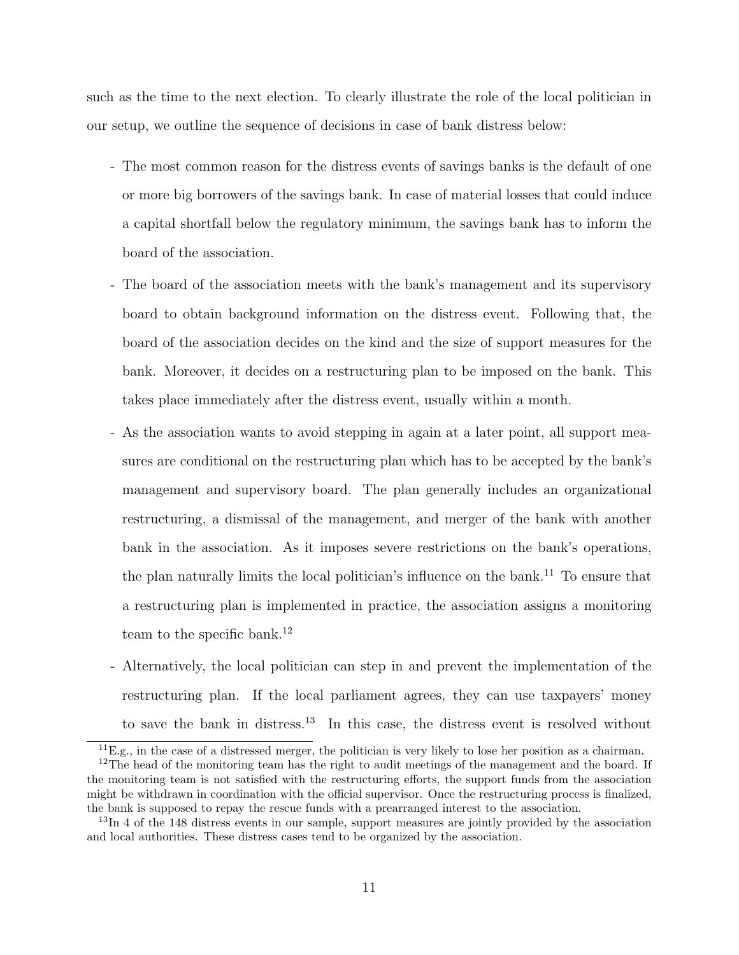such as the time to the next election. To clearly illustrate the role of the local politician in our setup, we outline the sequence of decisions in case of bank distress below:

- The most common reason for the distress events of savings banks is the default of one or more big borrowers of the savings bank. In case of material losses that could induce a capital shortfall below the regulatory minimum, the savings bank has to inform the board of the association.
- The board of the association meets with the bank's management and its supervisory board to obtain background information on the distress event. Following that, the board of the association decides on the kind and the size of support measures for the bank. Moreover, it decides on a restructuring plan to be imposed on the bank. This takes place immediately after the distress event, usually within a month.
- As the association wants to avoid stepping in again at a later point, all support measures are conditional on the restructuring plan which has to be accepted by the bank's management and supervisory board. The plan generally includes an organizational restructuring, a dismissal of the management, and merger of the bank with another bank in the association. As it imposes severe restrictions on the bank's operations, the plan naturally limits the local politician's influence on the bank.<sup>[11](#page-10-0)</sup> To ensure that a restructuring plan is implemented in practice, the association assigns a monitoring team to the specific bank.<sup>[12](#page-10-1)</sup>
- Alternatively, the local politician can step in and prevent the implementation of the restructuring plan. If the local parliament agrees, they can use taxpayers' money to save the bank in distress.[13](#page-10-2) In this case, the distress event is resolved without

<span id="page-10-1"></span><span id="page-10-0"></span> ${}^{11}E.g.,$  in the case of a distressed merger, the politician is very likely to lose her position as a chairman.

<sup>&</sup>lt;sup>12</sup>The head of the monitoring team has the right to audit meetings of the management and the board. If the monitoring team is not satisfied with the restructuring efforts, the support funds from the association might be withdrawn in coordination with the official supervisor. Once the restructuring process is finalized, the bank is supposed to repay the rescue funds with a prearranged interest to the association.

<span id="page-10-2"></span> $13\text{In }4$  of the 148 distress events in our sample, support measures are jointly provided by the association and local authorities. These distress cases tend to be organized by the association.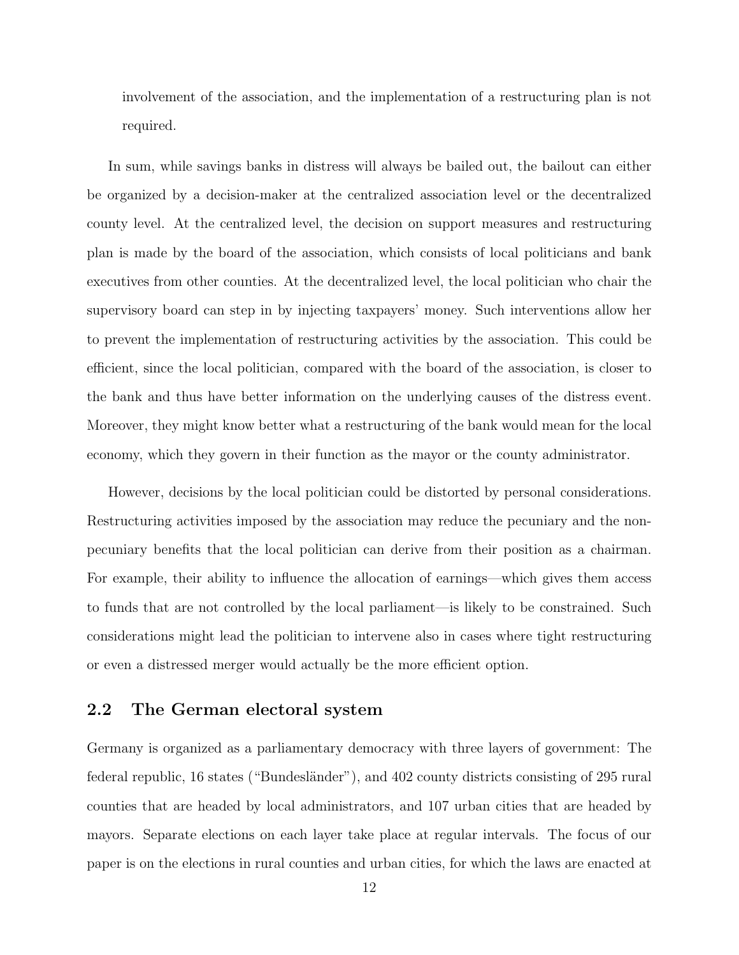involvement of the association, and the implementation of a restructuring plan is not required.

In sum, while savings banks in distress will always be bailed out, the bailout can either be organized by a decision-maker at the centralized association level or the decentralized county level. At the centralized level, the decision on support measures and restructuring plan is made by the board of the association, which consists of local politicians and bank executives from other counties. At the decentralized level, the local politician who chair the supervisory board can step in by injecting taxpayers' money. Such interventions allow her to prevent the implementation of restructuring activities by the association. This could be efficient, since the local politician, compared with the board of the association, is closer to the bank and thus have better information on the underlying causes of the distress event. Moreover, they might know better what a restructuring of the bank would mean for the local economy, which they govern in their function as the mayor or the county administrator.

However, decisions by the local politician could be distorted by personal considerations. Restructuring activities imposed by the association may reduce the pecuniary and the nonpecuniary benefits that the local politician can derive from their position as a chairman. For example, their ability to influence the allocation of earnings—which gives them access to funds that are not controlled by the local parliament—is likely to be constrained. Such considerations might lead the politician to intervene also in cases where tight restructuring or even a distressed merger would actually be the more efficient option.

#### 2.2 The German electoral system

Germany is organized as a parliamentary democracy with three layers of government: The federal republic, 16 states ("Bundesländer"), and 402 county districts consisting of 295 rural counties that are headed by local administrators, and 107 urban cities that are headed by mayors. Separate elections on each layer take place at regular intervals. The focus of our paper is on the elections in rural counties and urban cities, for which the laws are enacted at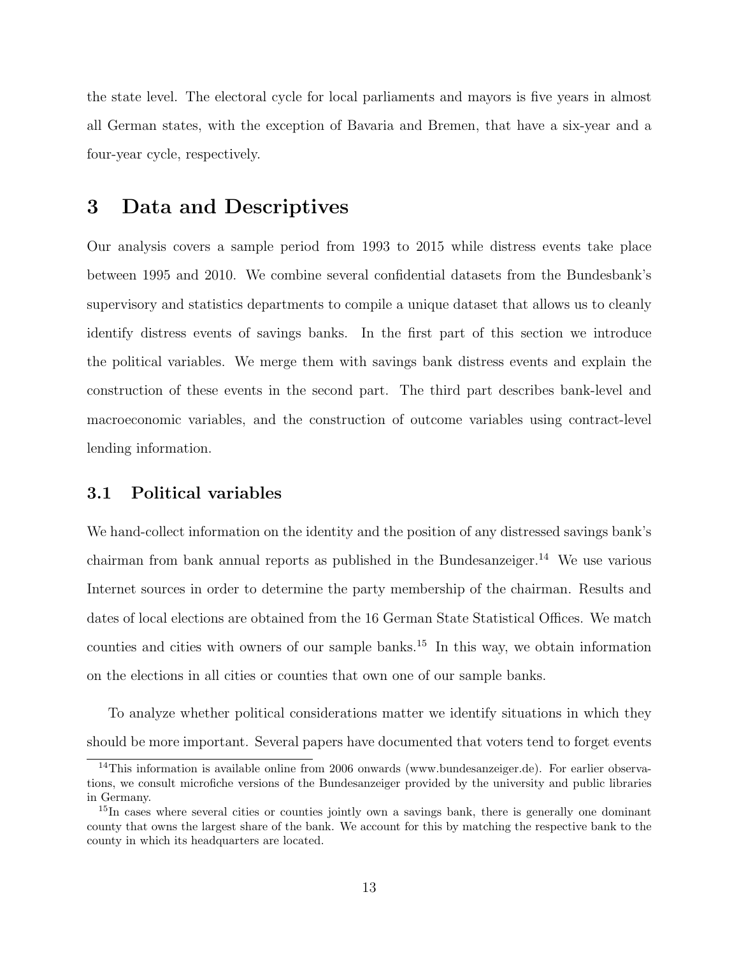the state level. The electoral cycle for local parliaments and mayors is five years in almost all German states, with the exception of Bavaria and Bremen, that have a six-year and a four-year cycle, respectively.

## 3 Data and Descriptives

Our analysis covers a sample period from 1993 to 2015 while distress events take place between 1995 and 2010. We combine several confidential datasets from the Bundesbank's supervisory and statistics departments to compile a unique dataset that allows us to cleanly identify distress events of savings banks. In the first part of this section we introduce the political variables. We merge them with savings bank distress events and explain the construction of these events in the second part. The third part describes bank-level and macroeconomic variables, and the construction of outcome variables using contract-level lending information.

#### 3.1 Political variables

We hand-collect information on the identity and the position of any distressed savings bank's chairman from bank annual reports as published in the Bundesanzeiger.<sup>[14](#page-12-0)</sup> We use various Internet sources in order to determine the party membership of the chairman. Results and dates of local elections are obtained from the 16 German State Statistical Offices. We match counties and cities with owners of our sample banks.<sup>[15](#page-12-1)</sup> In this way, we obtain information on the elections in all cities or counties that own one of our sample banks.

To analyze whether political considerations matter we identify situations in which they should be more important. Several papers have documented that voters tend to forget events

<span id="page-12-0"></span><sup>14</sup>This information is available online from 2006 onwards (www.bundesanzeiger.de). For earlier observations, we consult microfiche versions of the Bundesanzeiger provided by the university and public libraries in Germany.

<span id="page-12-1"></span><sup>&</sup>lt;sup>15</sup>In cases where several cities or counties jointly own a savings bank, there is generally one dominant county that owns the largest share of the bank. We account for this by matching the respective bank to the county in which its headquarters are located.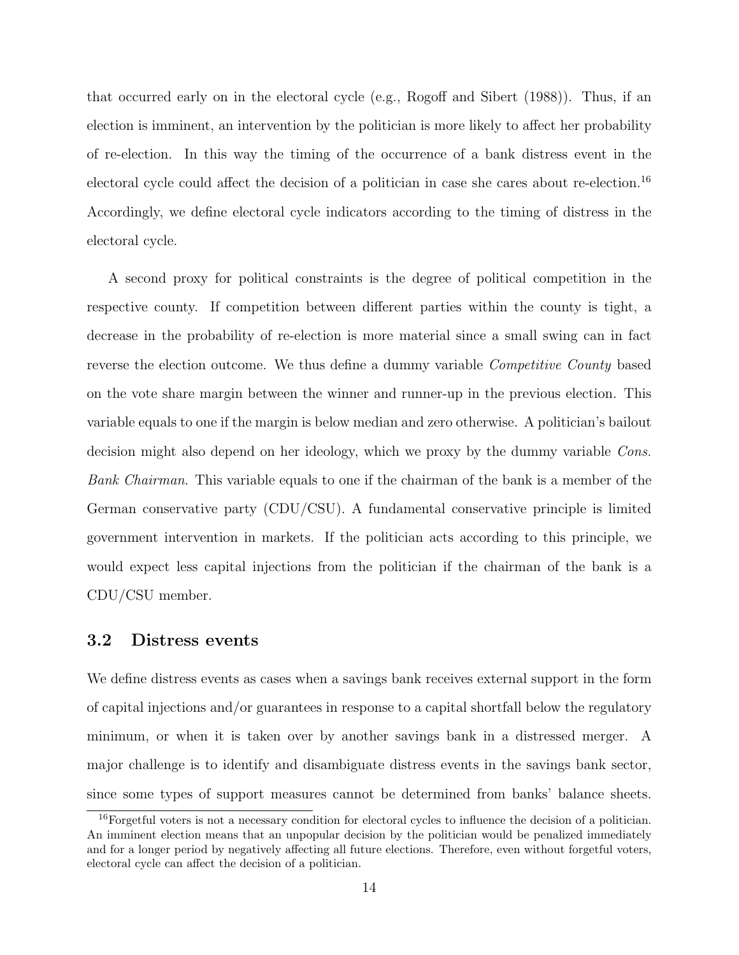that occurred early on in the electoral cycle (e.g., [Rogoff and Sibert](#page-38-10) [\(1988\)](#page-38-10)). Thus, if an election is imminent, an intervention by the politician is more likely to affect her probability of re-election. In this way the timing of the occurrence of a bank distress event in the electoral cycle could affect the decision of a politician in case she cares about re-election.[16](#page-13-0) Accordingly, we define electoral cycle indicators according to the timing of distress in the electoral cycle.

A second proxy for political constraints is the degree of political competition in the respective county. If competition between different parties within the county is tight, a decrease in the probability of re-election is more material since a small swing can in fact reverse the election outcome. We thus define a dummy variable *Competitive County* based on the vote share margin between the winner and runner-up in the previous election. This variable equals to one if the margin is below median and zero otherwise. A politician's bailout decision might also depend on her ideology, which we proxy by the dummy variable Cons. Bank Chairman. This variable equals to one if the chairman of the bank is a member of the German conservative party (CDU/CSU). A fundamental conservative principle is limited government intervention in markets. If the politician acts according to this principle, we would expect less capital injections from the politician if the chairman of the bank is a CDU/CSU member.

#### 3.2 Distress events

We define distress events as cases when a savings bank receives external support in the form of capital injections and/or guarantees in response to a capital shortfall below the regulatory minimum, or when it is taken over by another savings bank in a distressed merger. A major challenge is to identify and disambiguate distress events in the savings bank sector, since some types of support measures cannot be determined from banks' balance sheets.

<span id="page-13-0"></span><sup>&</sup>lt;sup>16</sup>Forgetful voters is not a necessary condition for electoral cycles to influence the decision of a politician. An imminent election means that an unpopular decision by the politician would be penalized immediately and for a longer period by negatively affecting all future elections. Therefore, even without forgetful voters, electoral cycle can affect the decision of a politician.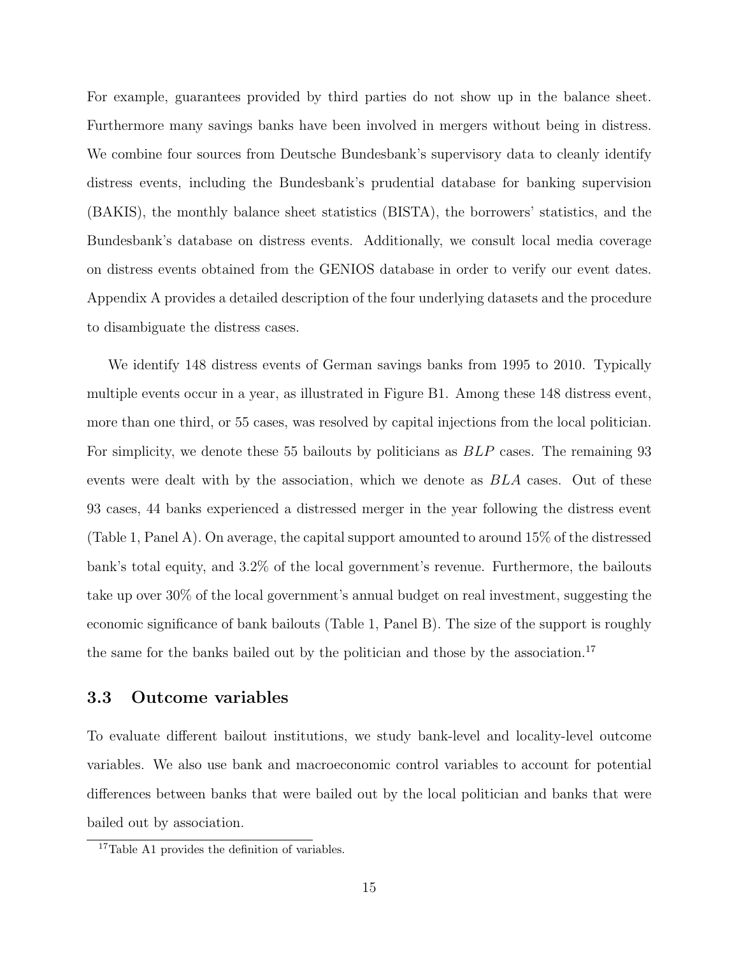For example, guarantees provided by third parties do not show up in the balance sheet. Furthermore many savings banks have been involved in mergers without being in distress. We combine four sources from Deutsche Bundesbank's supervisory data to cleanly identify distress events, including the Bundesbank's prudential database for banking supervision (BAKIS), the monthly balance sheet statistics (BISTA), the borrowers' statistics, and the Bundesbank's database on distress events. Additionally, we consult local media coverage on distress events obtained from the GENIOS database in order to verify our event dates. Appendix [A](#page-52-0) provides a detailed description of the four underlying datasets and the procedure to disambiguate the distress cases.

We identify 148 distress events of German savings banks from 1995 to 2010. Typically multiple events occur in a year, as illustrated in Figure [B1.](#page-58-0) Among these 148 distress event, more than one third, or 55 cases, was resolved by capital injections from the local politician. For simplicity, we denote these 55 bailouts by politicians as BLP cases. The remaining 93 events were dealt with by the association, which we denote as BLA cases. Out of these 93 cases, 44 banks experienced a distressed merger in the year following the distress event (Table [1,](#page-42-0) Panel A). On average, the capital support amounted to around 15% of the distressed bank's total equity, and 3.2% of the local government's revenue. Furthermore, the bailouts take up over 30% of the local government's annual budget on real investment, suggesting the economic significance of bank bailouts (Table [1,](#page-42-0) Panel B). The size of the support is roughly the same for the banks bailed out by the politician and those by the association.<sup>[17](#page-14-0)</sup>

#### <span id="page-14-1"></span>3.3 Outcome variables

To evaluate different bailout institutions, we study bank-level and locality-level outcome variables. We also use bank and macroeconomic control variables to account for potential differences between banks that were bailed out by the local politician and banks that were bailed out by association.

<span id="page-14-0"></span><sup>&</sup>lt;sup>17</sup>Table [A1](#page-56-0) provides the definition of variables.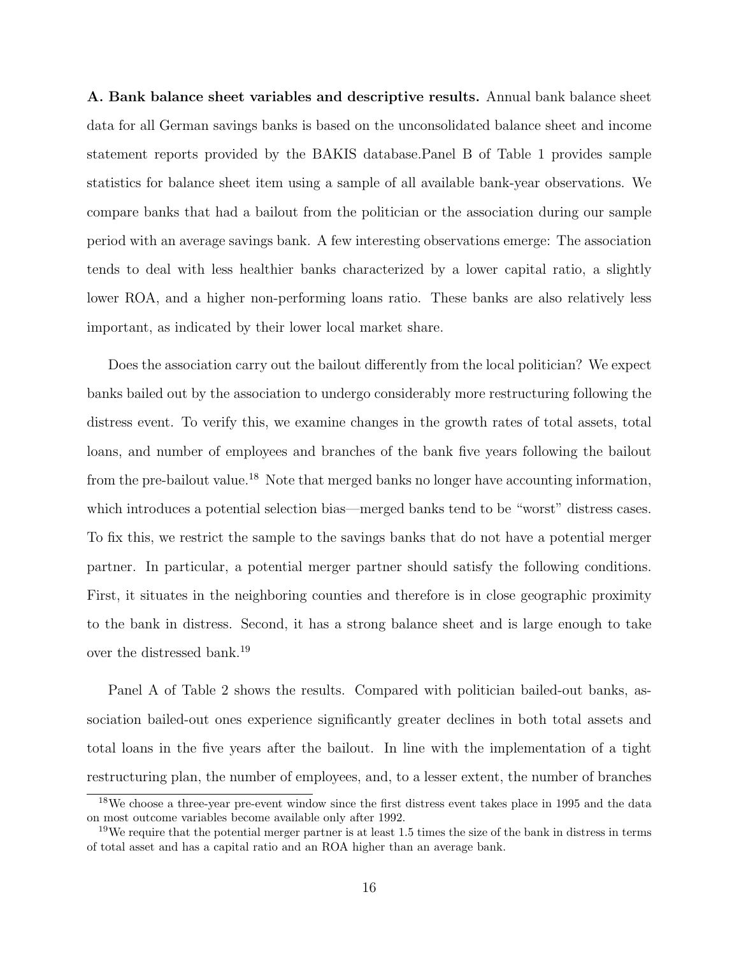A. Bank balance sheet variables and descriptive results. Annual bank balance sheet data for all German savings banks is based on the unconsolidated balance sheet and income statement reports provided by the BAKIS database.Panel B of Table [1](#page-42-0) provides sample statistics for balance sheet item using a sample of all available bank-year observations. We compare banks that had a bailout from the politician or the association during our sample period with an average savings bank. A few interesting observations emerge: The association tends to deal with less healthier banks characterized by a lower capital ratio, a slightly lower ROA, and a higher non-performing loans ratio. These banks are also relatively less important, as indicated by their lower local market share.

Does the association carry out the bailout differently from the local politician? We expect banks bailed out by the association to undergo considerably more restructuring following the distress event. To verify this, we examine changes in the growth rates of total assets, total loans, and number of employees and branches of the bank five years following the bailout from the pre-bailout value.<sup>[18](#page-15-0)</sup> Note that merged banks no longer have accounting information, which introduces a potential selection bias—merged banks tend to be "worst" distress cases. To fix this, we restrict the sample to the savings banks that do not have a potential merger partner. In particular, a potential merger partner should satisfy the following conditions. First, it situates in the neighboring counties and therefore is in close geographic proximity to the bank in distress. Second, it has a strong balance sheet and is large enough to take over the distressed bank.[19](#page-15-1)

Panel A of Table [2](#page-44-0) shows the results. Compared with politician bailed-out banks, association bailed-out ones experience significantly greater declines in both total assets and total loans in the five years after the bailout. In line with the implementation of a tight restructuring plan, the number of employees, and, to a lesser extent, the number of branches

<span id="page-15-0"></span><sup>18</sup>We choose a three-year pre-event window since the first distress event takes place in 1995 and the data on most outcome variables become available only after 1992.

<span id="page-15-1"></span><sup>&</sup>lt;sup>19</sup>We require that the potential merger partner is at least 1.5 times the size of the bank in distress in terms of total asset and has a capital ratio and an ROA higher than an average bank.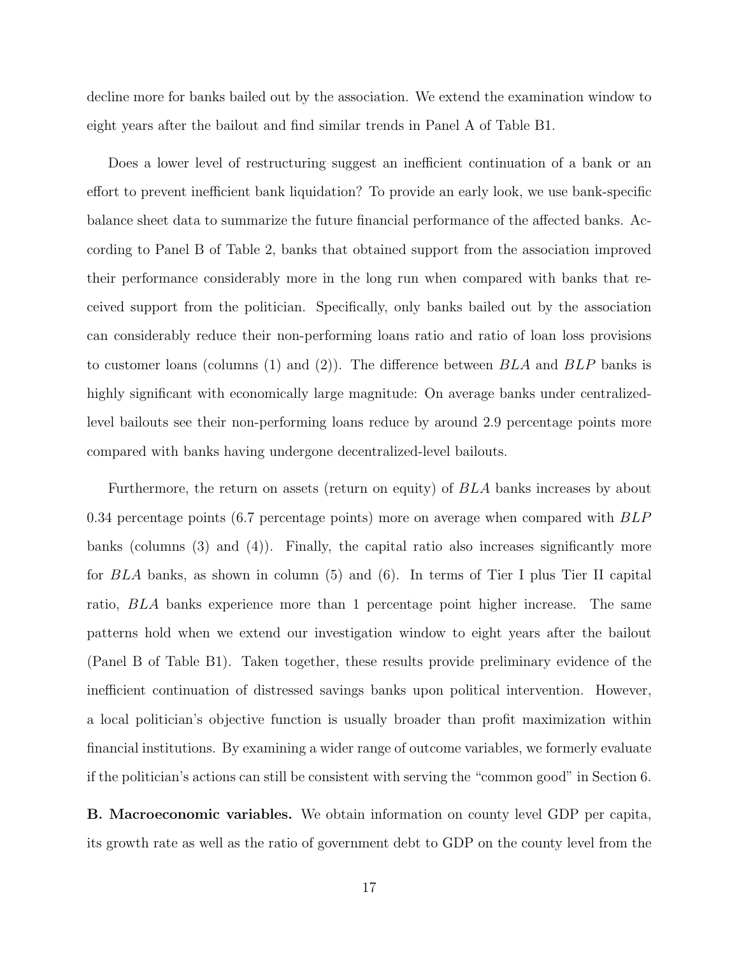decline more for banks bailed out by the association. We extend the examination window to eight years after the bailout and find similar trends in Panel A of Table [B1.](#page-60-0)

Does a lower level of restructuring suggest an inefficient continuation of a bank or an effort to prevent inefficient bank liquidation? To provide an early look, we use bank-specific balance sheet data to summarize the future financial performance of the affected banks. According to Panel B of Table [2,](#page-44-0) banks that obtained support from the association improved their performance considerably more in the long run when compared with banks that received support from the politician. Specifically, only banks bailed out by the association can considerably reduce their non-performing loans ratio and ratio of loan loss provisions to customer loans (columns (1) and (2)). The difference between  $BLA$  and  $BLP$  banks is highly significant with economically large magnitude: On average banks under centralizedlevel bailouts see their non-performing loans reduce by around 2.9 percentage points more compared with banks having undergone decentralized-level bailouts.

Furthermore, the return on assets (return on equity) of BLA banks increases by about 0.34 percentage points (6.7 percentage points) more on average when compared with BLP banks (columns (3) and (4)). Finally, the capital ratio also increases significantly more for BLA banks, as shown in column (5) and (6). In terms of Tier I plus Tier II capital ratio, BLA banks experience more than 1 percentage point higher increase. The same patterns hold when we extend our investigation window to eight years after the bailout (Panel B of Table [B1\)](#page-60-0). Taken together, these results provide preliminary evidence of the inefficient continuation of distressed savings banks upon political intervention. However, a local politician's objective function is usually broader than profit maximization within financial institutions. By examining a wider range of outcome variables, we formerly evaluate if the politician's actions can still be consistent with serving the "common good" in Section [6.](#page-26-0)

B. Macroeconomic variables. We obtain information on county level GDP per capita, its growth rate as well as the ratio of government debt to GDP on the county level from the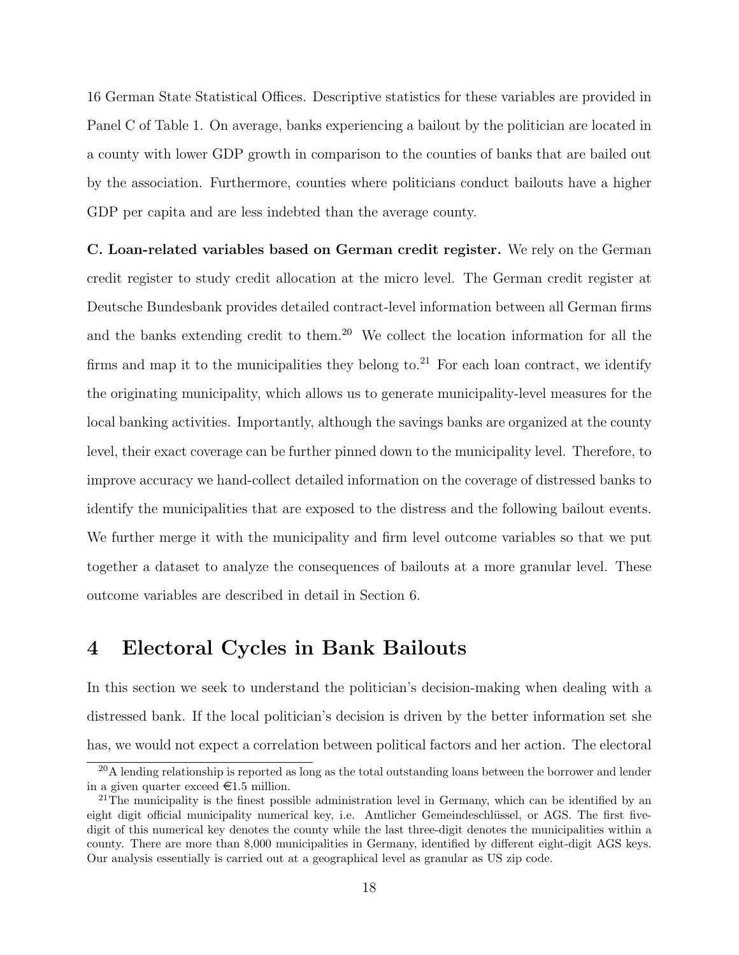16 German State Statistical Offices. Descriptive statistics for these variables are provided in Panel C of Table [1.](#page-42-0) On average, banks experiencing a bailout by the politician are located in a county with lower GDP growth in comparison to the counties of banks that are bailed out by the association. Furthermore, counties where politicians conduct bailouts have a higher GDP per capita and are less indebted than the average county.

C. Loan-related variables based on German credit register. We rely on the German credit register to study credit allocation at the micro level. The German credit register at Deutsche Bundesbank provides detailed contract-level information between all German firms and the banks extending credit to them.<sup>[20](#page-17-0)</sup> We collect the location information for all the firms and map it to the municipalities they belong to.<sup>[21](#page-17-1)</sup> For each loan contract, we identify the originating municipality, which allows us to generate municipality-level measures for the local banking activities. Importantly, although the savings banks are organized at the county level, their exact coverage can be further pinned down to the municipality level. Therefore, to improve accuracy we hand-collect detailed information on the coverage of distressed banks to identify the municipalities that are exposed to the distress and the following bailout events. We further merge it with the municipality and firm level outcome variables so that we put together a dataset to analyze the consequences of bailouts at a more granular level. These outcome variables are described in detail in Section [6.](#page-26-0)

## 4 Electoral Cycles in Bank Bailouts

In this section we seek to understand the politician's decision-making when dealing with a distressed bank. If the local politician's decision is driven by the better information set she has, we would not expect a correlation between political factors and her action. The electoral

<span id="page-17-0"></span> $20$ A lending relationship is reported as long as the total outstanding loans between the borrower and lender in a given quarter exceed  $\in 1.5$  million.

<span id="page-17-1"></span><sup>&</sup>lt;sup>21</sup>The municipality is the finest possible administration level in Germany, which can be identified by an eight digit official municipality numerical key, i.e. Amtlicher Gemeindeschlüssel, or AGS. The first fivedigit of this numerical key denotes the county while the last three-digit denotes the municipalities within a county. There are more than 8,000 municipalities in Germany, identified by different eight-digit AGS keys. Our analysis essentially is carried out at a geographical level as granular as US zip code.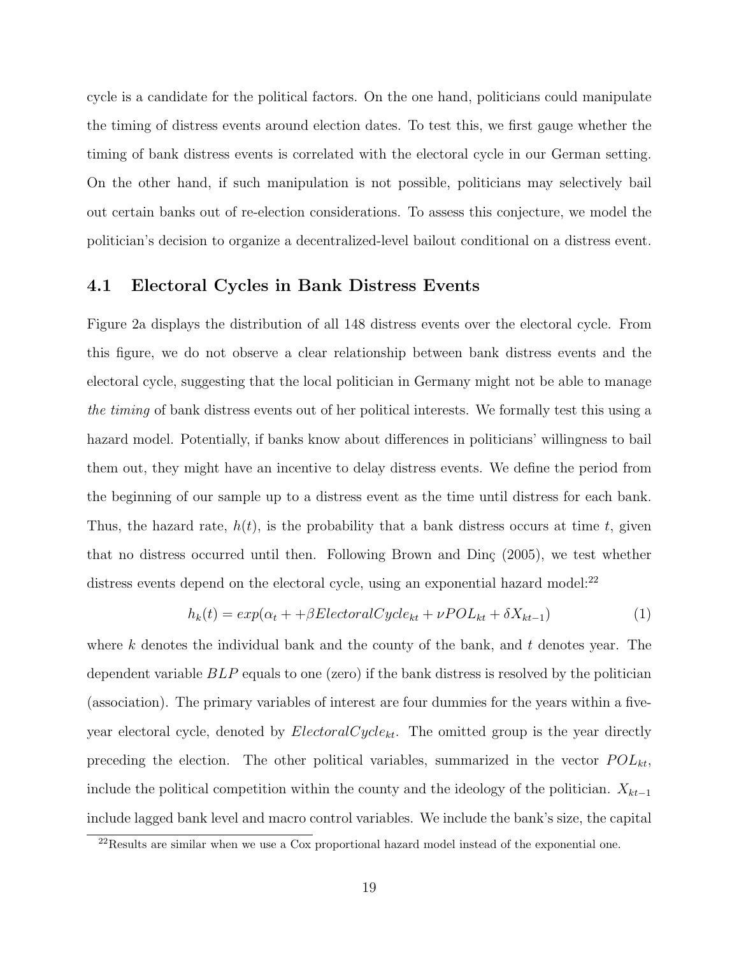cycle is a candidate for the political factors. On the one hand, politicians could manipulate the timing of distress events around election dates. To test this, we first gauge whether the timing of bank distress events is correlated with the electoral cycle in our German setting. On the other hand, if such manipulation is not possible, politicians may selectively bail out certain banks out of re-election considerations. To assess this conjecture, we model the politician's decision to organize a decentralized-level bailout conditional on a distress event.

#### 4.1 Electoral Cycles in Bank Distress Events

Figure [2a](#page-41-0) displays the distribution of all 148 distress events over the electoral cycle. From this figure, we do not observe a clear relationship between bank distress events and the electoral cycle, suggesting that the local politician in Germany might not be able to manage the timing of bank distress events out of her political interests. We formally test this using a hazard model. Potentially, if banks know about differences in politicians' willingness to bail them out, they might have an incentive to delay distress events. We define the period from the beginning of our sample up to a distress event as the time until distress for each bank. Thus, the hazard rate,  $h(t)$ , is the probability that a bank distress occurs at time t, given that no distress occurred until then. Following Brown and Din $\varsigma$  [\(2005\)](#page-37-12), we test whether distress events depend on the electoral cycle, using an exponential hazard model:<sup>[22](#page-18-0)</sup>

<span id="page-18-1"></span>
$$
h_k(t) = exp(\alpha_t + \beta ElectoralCycle_{kt} + \nu POL_{kt} + \delta X_{kt-1})
$$
\n(1)

where k denotes the individual bank and the county of the bank, and  $t$  denotes year. The dependent variable BLP equals to one (zero) if the bank distress is resolved by the politician (association). The primary variables of interest are four dummies for the years within a fiveyear electoral cycle, denoted by  $Electron Cycle_{kt}$ . The omitted group is the year directly preceding the election. The other political variables, summarized in the vector  $POL_{kt}$ , include the political competition within the county and the ideology of the politician.  $X_{kt-1}$ include lagged bank level and macro control variables. We include the bank's size, the capital

<span id="page-18-0"></span><sup>&</sup>lt;sup>22</sup>Results are similar when we use a Cox proportional hazard model instead of the exponential one.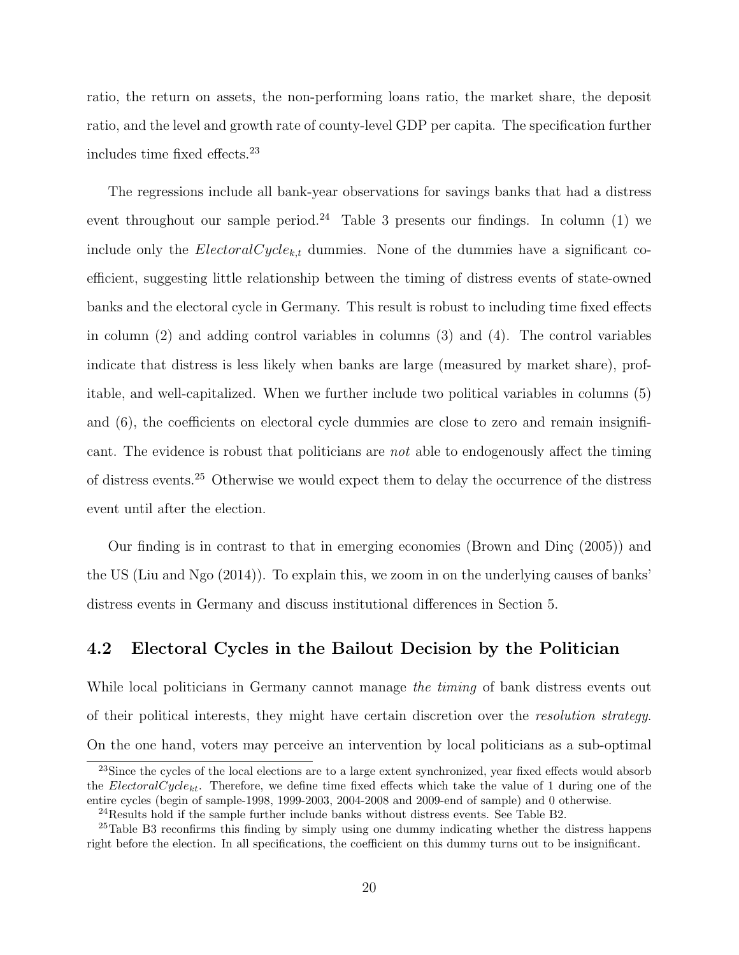ratio, the return on assets, the non-performing loans ratio, the market share, the deposit ratio, and the level and growth rate of county-level GDP per capita. The specification further includes time fixed effects.[23](#page-19-0)

The regressions include all bank-year observations for savings banks that had a distress event throughout our sample period.<sup>[24](#page-19-1)</sup> Table [3](#page-45-0) presents our findings. In column (1) we include only the *ElectoralCycle<sub>k,t</sub>* dummies. None of the dummies have a significant coefficient, suggesting little relationship between the timing of distress events of state-owned banks and the electoral cycle in Germany. This result is robust to including time fixed effects in column (2) and adding control variables in columns (3) and (4). The control variables indicate that distress is less likely when banks are large (measured by market share), profitable, and well-capitalized. When we further include two political variables in columns (5) and (6), the coefficients on electoral cycle dummies are close to zero and remain insignificant. The evidence is robust that politicians are not able to endogenously affect the timing of distress events.[25](#page-19-2) Otherwise we would expect them to delay the occurrence of the distress event until after the election.

Our finding is in contrast to that in emerging economies (Brown and Dinc  $(2005)$ ) and the US [\(Liu and Ngo](#page-38-11) [\(2014\)](#page-38-11)). To explain this, we zoom in on the underlying causes of banks' distress events in Germany and discuss institutional differences in Section [5.](#page-22-0)

### <span id="page-19-3"></span>4.2 Electoral Cycles in the Bailout Decision by the Politician

While local politicians in Germany cannot manage the timing of bank distress events out of their political interests, they might have certain discretion over the resolution strategy. On the one hand, voters may perceive an intervention by local politicians as a sub-optimal

<span id="page-19-0"></span><sup>&</sup>lt;sup>23</sup>Since the cycles of the local elections are to a large extent synchronized, year fixed effects would absorb the ElectoralCycle<sub>kt</sub>. Therefore, we define time fixed effects which take the value of 1 during one of the entire cycles (begin of sample-1998, 1999-2003, 2004-2008 and 2009-end of sample) and 0 otherwise.

<span id="page-19-2"></span><span id="page-19-1"></span><sup>24</sup>Results hold if the sample further include banks without distress events. See Table [B2.](#page-61-0)

<sup>&</sup>lt;sup>25</sup>Table [B3](#page-62-0) reconfirms this finding by simply using one dummy indicating whether the distress happens right before the election. In all specifications, the coefficient on this dummy turns out to be insignificant.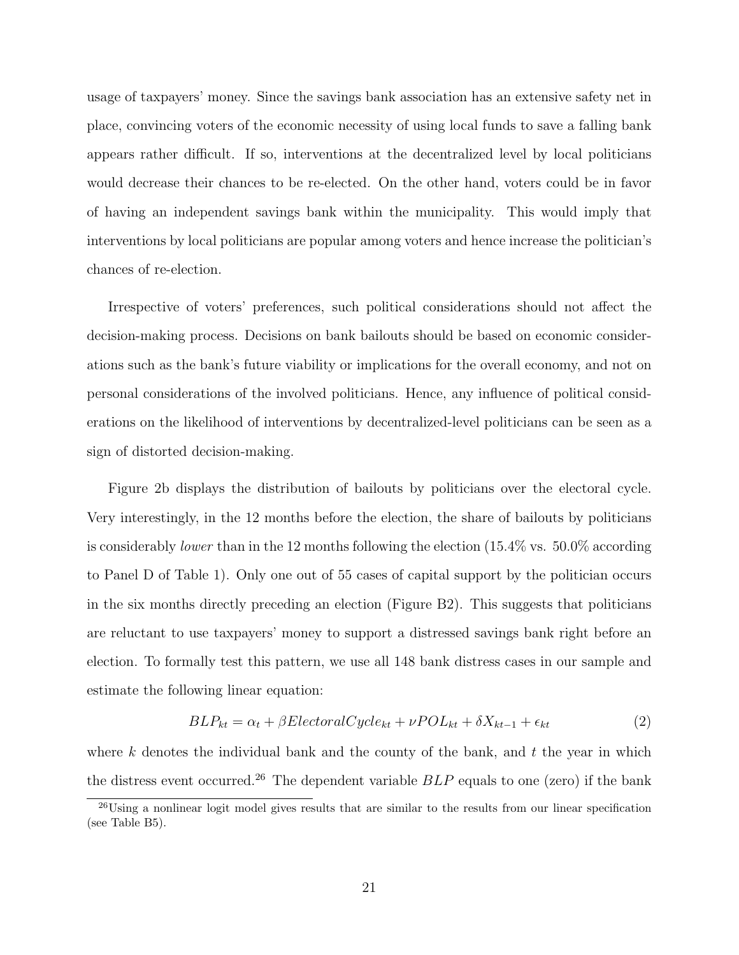usage of taxpayers' money. Since the savings bank association has an extensive safety net in place, convincing voters of the economic necessity of using local funds to save a falling bank appears rather difficult. If so, interventions at the decentralized level by local politicians would decrease their chances to be re-elected. On the other hand, voters could be in favor of having an independent savings bank within the municipality. This would imply that interventions by local politicians are popular among voters and hence increase the politician's chances of re-election.

Irrespective of voters' preferences, such political considerations should not affect the decision-making process. Decisions on bank bailouts should be based on economic considerations such as the bank's future viability or implications for the overall economy, and not on personal considerations of the involved politicians. Hence, any influence of political considerations on the likelihood of interventions by decentralized-level politicians can be seen as a sign of distorted decision-making.

Figure [2b](#page-41-0) displays the distribution of bailouts by politicians over the electoral cycle. Very interestingly, in the 12 months before the election, the share of bailouts by politicians is considerably lower than in the 12 months following the election (15.4% vs. 50.0% according to Panel D of Table [1\)](#page-42-0). Only one out of 55 cases of capital support by the politician occurs in the six months directly preceding an election (Figure [B2\)](#page-58-1). This suggests that politicians are reluctant to use taxpayers' money to support a distressed savings bank right before an election. To formally test this pattern, we use all 148 bank distress cases in our sample and estimate the following linear equation:

<span id="page-20-1"></span>
$$
BLP_{kt} = \alpha_t + \beta ElectoralCycle_{kt} + \nu POL_{kt} + \delta X_{kt-1} + \epsilon_{kt}
$$
\n<sup>(2)</sup>

where k denotes the individual bank and the county of the bank, and  $t$  the year in which the distress event occurred.<sup>[26](#page-20-0)</sup> The dependent variable  $BLP$  equals to one (zero) if the bank

<span id="page-20-0"></span><sup>26</sup>Using a nonlinear logit model gives results that are similar to the results from our linear specification (see Table [B5\)](#page-64-0).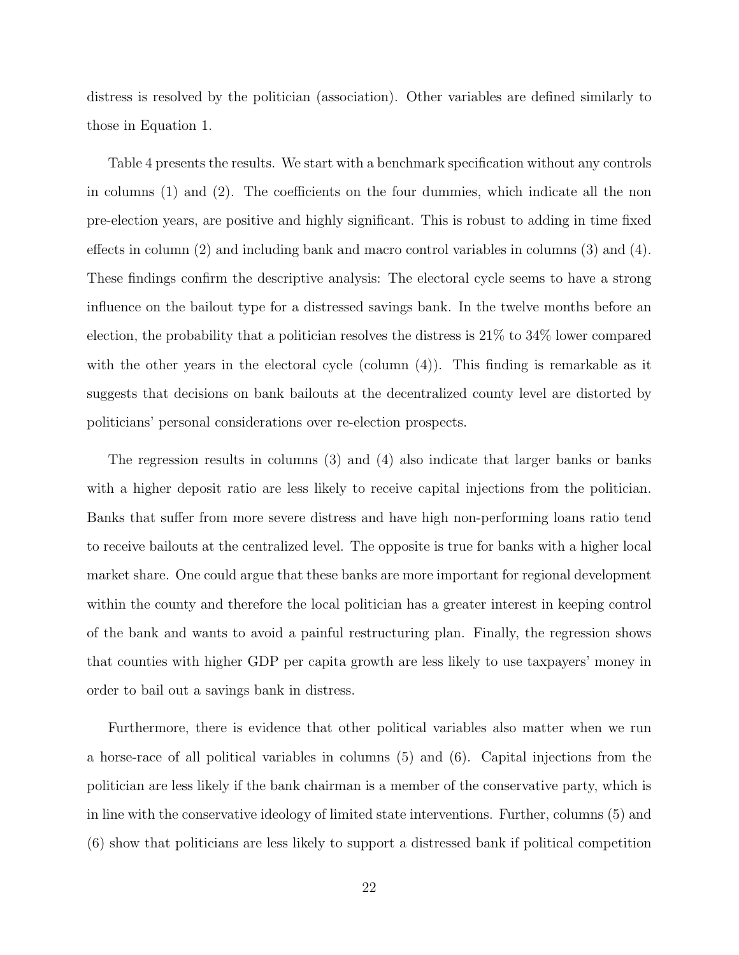distress is resolved by the politician (association). Other variables are defined similarly to those in Equation [1.](#page-18-1)

Table [4](#page-46-0) presents the results. We start with a benchmark specification without any controls in columns (1) and (2). The coefficients on the four dummies, which indicate all the non pre-election years, are positive and highly significant. This is robust to adding in time fixed effects in column (2) and including bank and macro control variables in columns (3) and (4). These findings confirm the descriptive analysis: The electoral cycle seems to have a strong influence on the bailout type for a distressed savings bank. In the twelve months before an election, the probability that a politician resolves the distress is 21% to 34% lower compared with the other years in the electoral cycle (column  $(4)$ ). This finding is remarkable as it suggests that decisions on bank bailouts at the decentralized county level are distorted by politicians' personal considerations over re-election prospects.

The regression results in columns (3) and (4) also indicate that larger banks or banks with a higher deposit ratio are less likely to receive capital injections from the politician. Banks that suffer from more severe distress and have high non-performing loans ratio tend to receive bailouts at the centralized level. The opposite is true for banks with a higher local market share. One could argue that these banks are more important for regional development within the county and therefore the local politician has a greater interest in keeping control of the bank and wants to avoid a painful restructuring plan. Finally, the regression shows that counties with higher GDP per capita growth are less likely to use taxpayers' money in order to bail out a savings bank in distress.

Furthermore, there is evidence that other political variables also matter when we run a horse-race of all political variables in columns (5) and (6). Capital injections from the politician are less likely if the bank chairman is a member of the conservative party, which is in line with the conservative ideology of limited state interventions. Further, columns (5) and (6) show that politicians are less likely to support a distressed bank if political competition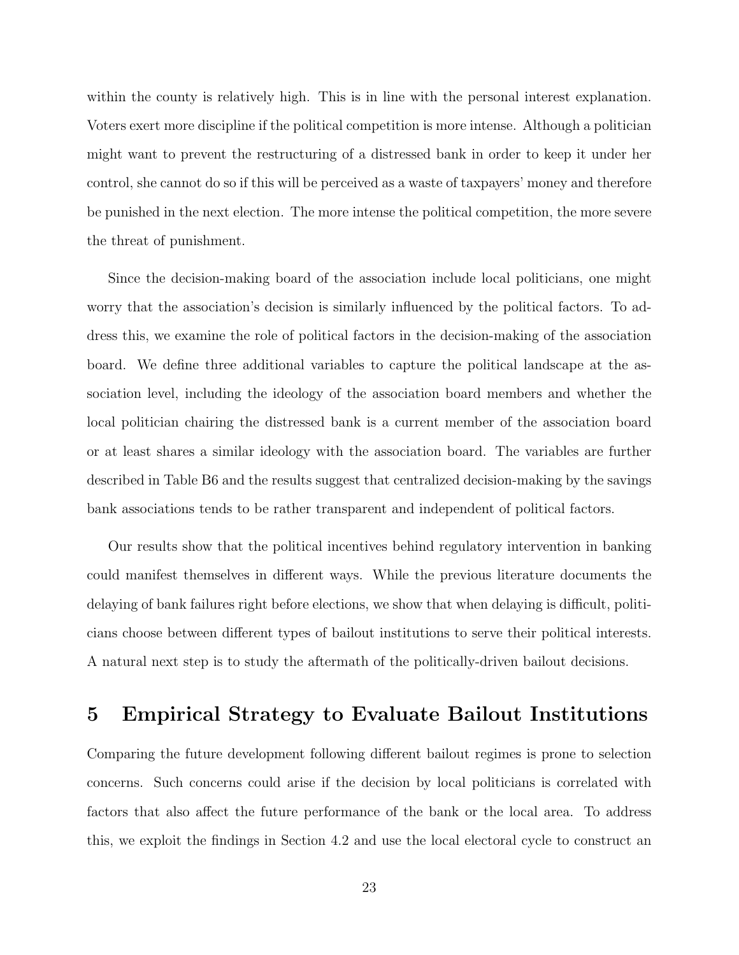within the county is relatively high. This is in line with the personal interest explanation. Voters exert more discipline if the political competition is more intense. Although a politician might want to prevent the restructuring of a distressed bank in order to keep it under her control, she cannot do so if this will be perceived as a waste of taxpayers' money and therefore be punished in the next election. The more intense the political competition, the more severe the threat of punishment.

Since the decision-making board of the association include local politicians, one might worry that the association's decision is similarly influenced by the political factors. To address this, we examine the role of political factors in the decision-making of the association board. We define three additional variables to capture the political landscape at the association level, including the ideology of the association board members and whether the local politician chairing the distressed bank is a current member of the association board or at least shares a similar ideology with the association board. The variables are further described in Table [B6](#page-65-0) and the results suggest that centralized decision-making by the savings bank associations tends to be rather transparent and independent of political factors.

Our results show that the political incentives behind regulatory intervention in banking could manifest themselves in different ways. While the previous literature documents the delaying of bank failures right before elections, we show that when delaying is difficult, politicians choose between different types of bailout institutions to serve their political interests. A natural next step is to study the aftermath of the politically-driven bailout decisions.

## <span id="page-22-0"></span>5 Empirical Strategy to Evaluate Bailout Institutions

Comparing the future development following different bailout regimes is prone to selection concerns. Such concerns could arise if the decision by local politicians is correlated with factors that also affect the future performance of the bank or the local area. To address this, we exploit the findings in Section [4.2](#page-19-3) and use the local electoral cycle to construct an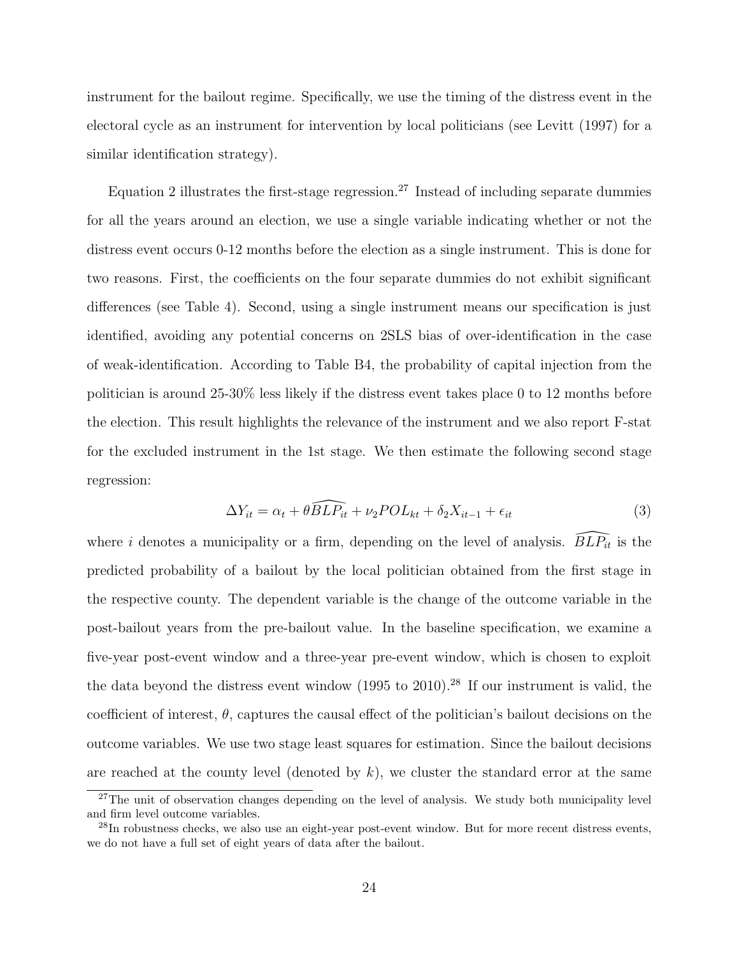instrument for the bailout regime. Specifically, we use the timing of the distress event in the electoral cycle as an instrument for intervention by local politicians (see [Levitt](#page-38-12) [\(1997\)](#page-38-12) for a similar identification strategy).

Equation [2](#page-20-1) illustrates the first-stage regression.<sup>[27](#page-23-0)</sup> Instead of including separate dummies for all the years around an election, we use a single variable indicating whether or not the distress event occurs 0-12 months before the election as a single instrument. This is done for two reasons. First, the coefficients on the four separate dummies do not exhibit significant differences (see Table [4\)](#page-46-0). Second, using a single instrument means our specification is just identified, avoiding any potential concerns on 2SLS bias of over-identification in the case of weak-identification. According to Table [B4,](#page-63-0) the probability of capital injection from the politician is around 25-30% less likely if the distress event takes place 0 to 12 months before the election. This result highlights the relevance of the instrument and we also report F-stat for the excluded instrument in the 1st stage. We then estimate the following second stage regression:

<span id="page-23-2"></span>
$$
\Delta Y_{it} = \alpha_t + \theta \widehat{BLP_{it}} + \nu_2 POL_{kt} + \delta_2 X_{it-1} + \epsilon_{it}
$$
\n(3)

where i denotes a municipality or a firm, depending on the level of analysis.  $\widehat{BLP}_{it}$  is the predicted probability of a bailout by the local politician obtained from the first stage in the respective county. The dependent variable is the change of the outcome variable in the post-bailout years from the pre-bailout value. In the baseline specification, we examine a five-year post-event window and a three-year pre-event window, which is chosen to exploit the data beyond the distress event window (1995 to 2010).<sup>[28](#page-23-1)</sup> If our instrument is valid, the coefficient of interest,  $\theta$ , captures the causal effect of the politician's bailout decisions on the outcome variables. We use two stage least squares for estimation. Since the bailout decisions are reached at the county level (denoted by  $k$ ), we cluster the standard error at the same

<span id="page-23-0"></span><sup>&</sup>lt;sup>27</sup>The unit of observation changes depending on the level of analysis. We study both municipality level and firm level outcome variables.

<span id="page-23-1"></span><sup>&</sup>lt;sup>28</sup>In robustness checks, we also use an eight-year post-event window. But for more recent distress events, we do not have a full set of eight years of data after the bailout.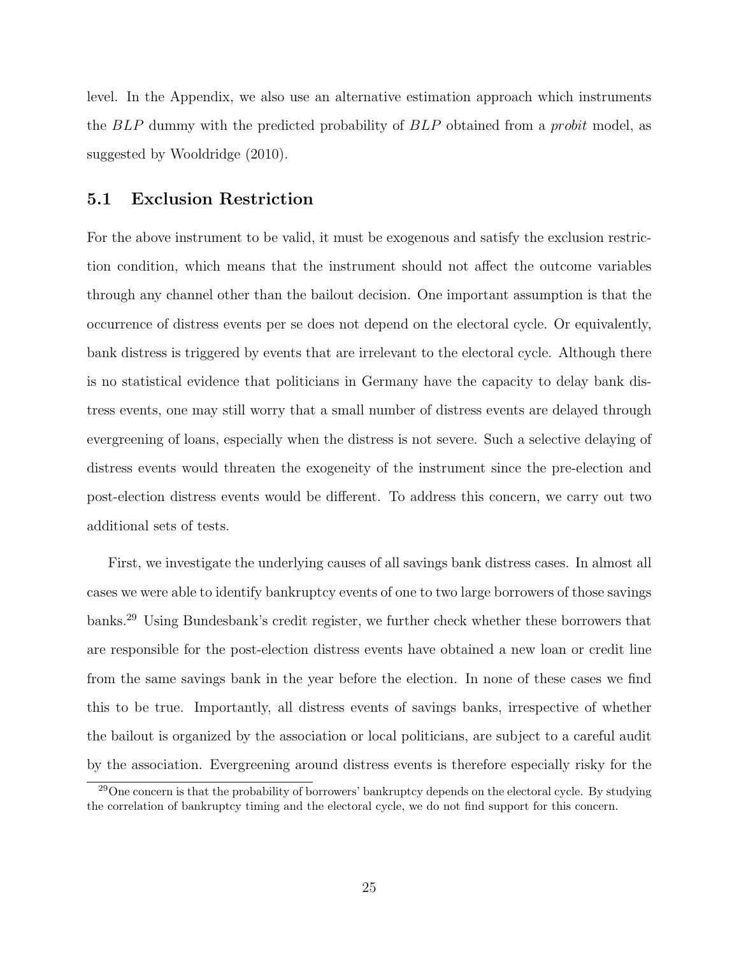level. In the Appendix, we also use an alternative estimation approach which instruments the BLP dummy with the predicted probability of BLP obtained from a probit model, as suggested by [Wooldridge](#page-39-1) [\(2010\)](#page-39-1).

### <span id="page-24-0"></span>5.1 Exclusion Restriction

For the above instrument to be valid, it must be exogenous and satisfy the exclusion restriction condition, which means that the instrument should not affect the outcome variables through any channel other than the bailout decision. One important assumption is that the occurrence of distress events per se does not depend on the electoral cycle. Or equivalently, bank distress is triggered by events that are irrelevant to the electoral cycle. Although there is no statistical evidence that politicians in Germany have the capacity to delay bank distress events, one may still worry that a small number of distress events are delayed through evergreening of loans, especially when the distress is not severe. Such a selective delaying of distress events would threaten the exogeneity of the instrument since the pre-election and post-election distress events would be different. To address this concern, we carry out two additional sets of tests.

First, we investigate the underlying causes of all savings bank distress cases. In almost all cases we were able to identify bankruptcy events of one to two large borrowers of those savings banks.[29](#page-24-1) Using Bundesbank's credit register, we further check whether these borrowers that are responsible for the post-election distress events have obtained a new loan or credit line from the same savings bank in the year before the election. In none of these cases we find this to be true. Importantly, all distress events of savings banks, irrespective of whether the bailout is organized by the association or local politicians, are subject to a careful audit by the association. Evergreening around distress events is therefore especially risky for the

<span id="page-24-1"></span><sup>&</sup>lt;sup>29</sup>One concern is that the probability of borrowers' bankruptcy depends on the electoral cycle. By studying the correlation of bankruptcy timing and the electoral cycle, we do not find support for this concern.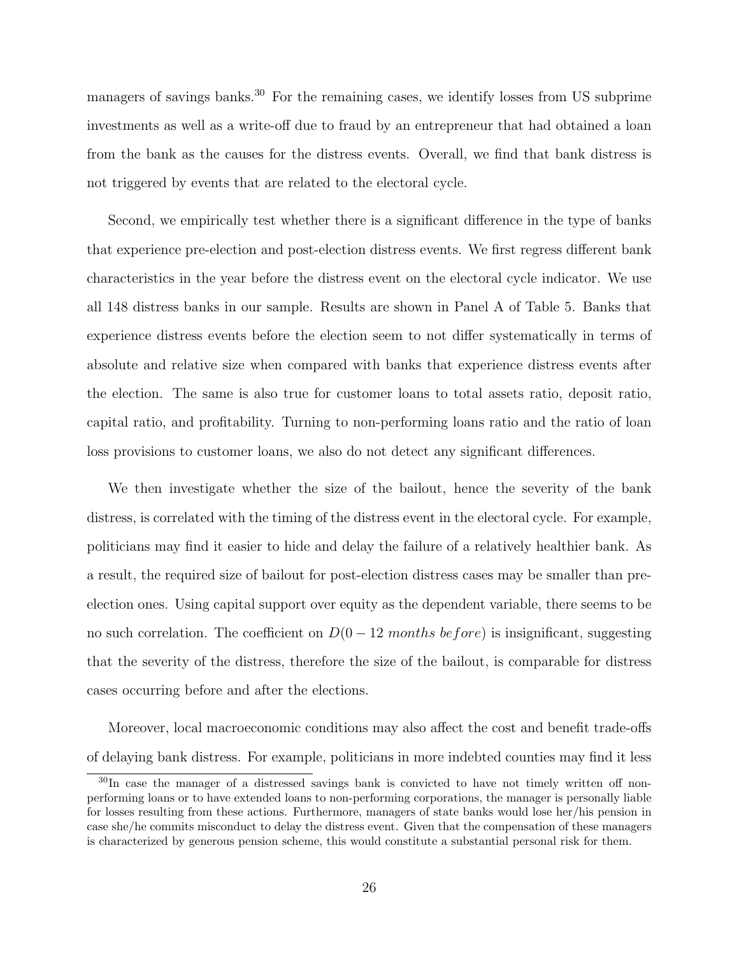managers of savings banks.<sup>[30](#page-25-0)</sup> For the remaining cases, we identify losses from US subprime investments as well as a write-off due to fraud by an entrepreneur that had obtained a loan from the bank as the causes for the distress events. Overall, we find that bank distress is not triggered by events that are related to the electoral cycle.

Second, we empirically test whether there is a significant difference in the type of banks that experience pre-election and post-election distress events. We first regress different bank characteristics in the year before the distress event on the electoral cycle indicator. We use all 148 distress banks in our sample. Results are shown in Panel A of Table [5.](#page-47-0) Banks that experience distress events before the election seem to not differ systematically in terms of absolute and relative size when compared with banks that experience distress events after the election. The same is also true for customer loans to total assets ratio, deposit ratio, capital ratio, and profitability. Turning to non-performing loans ratio and the ratio of loan loss provisions to customer loans, we also do not detect any significant differences.

We then investigate whether the size of the bailout, hence the severity of the bank distress, is correlated with the timing of the distress event in the electoral cycle. For example, politicians may find it easier to hide and delay the failure of a relatively healthier bank. As a result, the required size of bailout for post-election distress cases may be smaller than preelection ones. Using capital support over equity as the dependent variable, there seems to be no such correlation. The coefficient on  $D(0-12 \text{ months before})$  is insignificant, suggesting that the severity of the distress, therefore the size of the bailout, is comparable for distress cases occurring before and after the elections.

Moreover, local macroeconomic conditions may also affect the cost and benefit trade-offs of delaying bank distress. For example, politicians in more indebted counties may find it less

<span id="page-25-0"></span><sup>&</sup>lt;sup>30</sup>In case the manager of a distressed savings bank is convicted to have not timely written off nonperforming loans or to have extended loans to non-performing corporations, the manager is personally liable for losses resulting from these actions. Furthermore, managers of state banks would lose her/his pension in case she/he commits misconduct to delay the distress event. Given that the compensation of these managers is characterized by generous pension scheme, this would constitute a substantial personal risk for them.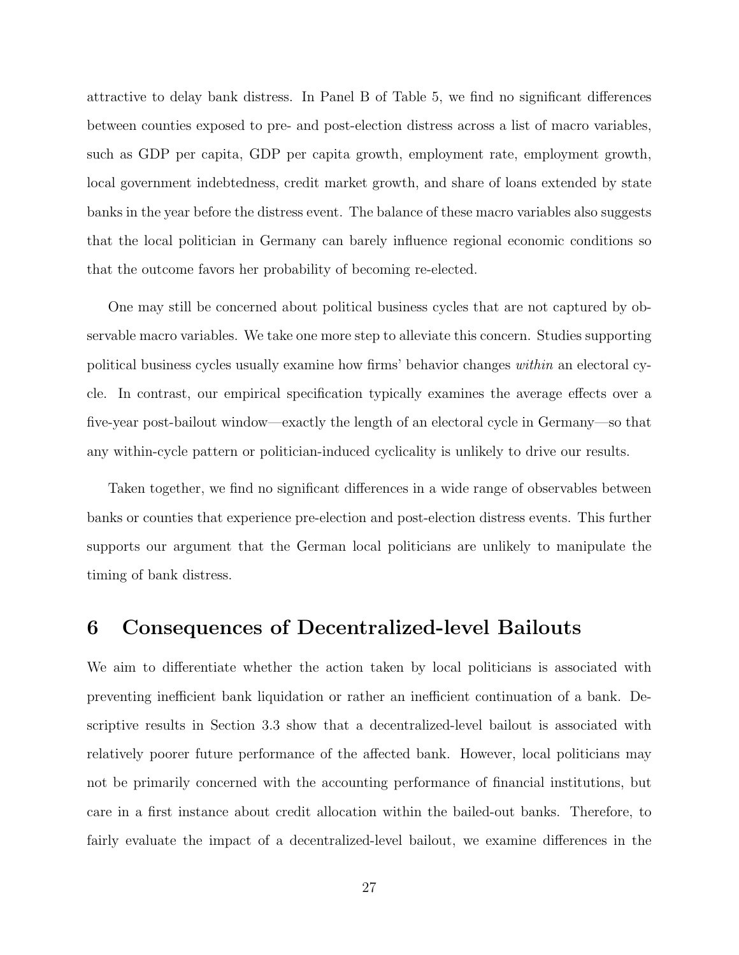attractive to delay bank distress. In Panel B of Table [5,](#page-47-0) we find no significant differences between counties exposed to pre- and post-election distress across a list of macro variables, such as GDP per capita, GDP per capita growth, employment rate, employment growth, local government indebtedness, credit market growth, and share of loans extended by state banks in the year before the distress event. The balance of these macro variables also suggests that the local politician in Germany can barely influence regional economic conditions so that the outcome favors her probability of becoming re-elected.

One may still be concerned about political business cycles that are not captured by observable macro variables. We take one more step to alleviate this concern. Studies supporting political business cycles usually examine how firms' behavior changes within an electoral cycle. In contrast, our empirical specification typically examines the average effects over a five-year post-bailout window—exactly the length of an electoral cycle in Germany—so that any within-cycle pattern or politician-induced cyclicality is unlikely to drive our results.

Taken together, we find no significant differences in a wide range of observables between banks or counties that experience pre-election and post-election distress events. This further supports our argument that the German local politicians are unlikely to manipulate the timing of bank distress.

### <span id="page-26-0"></span>6 Consequences of Decentralized-level Bailouts

We aim to differentiate whether the action taken by local politicians is associated with preventing inefficient bank liquidation or rather an inefficient continuation of a bank. Descriptive results in Section [3.3](#page-14-1) show that a decentralized-level bailout is associated with relatively poorer future performance of the affected bank. However, local politicians may not be primarily concerned with the accounting performance of financial institutions, but care in a first instance about credit allocation within the bailed-out banks. Therefore, to fairly evaluate the impact of a decentralized-level bailout, we examine differences in the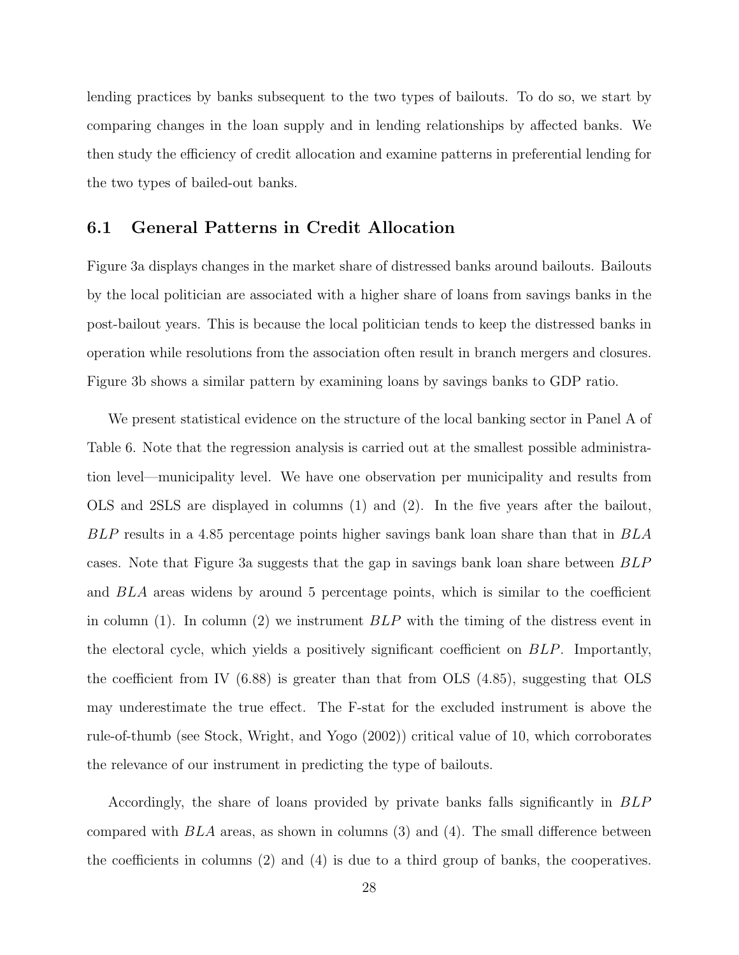lending practices by banks subsequent to the two types of bailouts. To do so, we start by comparing changes in the loan supply and in lending relationships by affected banks. We then study the efficiency of credit allocation and examine patterns in preferential lending for the two types of bailed-out banks.

#### 6.1 General Patterns in Credit Allocation

Figure [3a](#page-41-1) displays changes in the market share of distressed banks around bailouts. Bailouts by the local politician are associated with a higher share of loans from savings banks in the post-bailout years. This is because the local politician tends to keep the distressed banks in operation while resolutions from the association often result in branch mergers and closures. Figure [3b](#page-41-1) shows a similar pattern by examining loans by savings banks to GDP ratio.

We present statistical evidence on the structure of the local banking sector in Panel A of Table [6.](#page-48-0) Note that the regression analysis is carried out at the smallest possible administration level—municipality level. We have one observation per municipality and results from OLS and 2SLS are displayed in columns (1) and (2). In the five years after the bailout, BLP results in a 4.85 percentage points higher savings bank loan share than that in BLA cases. Note that Figure [3a](#page-41-1) suggests that the gap in savings bank loan share between BLP and BLA areas widens by around 5 percentage points, which is similar to the coefficient in column (1). In column (2) we instrument  $BLP$  with the timing of the distress event in the electoral cycle, which yields a positively significant coefficient on BLP. Importantly, the coefficient from IV (6.88) is greater than that from OLS (4.85), suggesting that OLS may underestimate the true effect. The F-stat for the excluded instrument is above the rule-of-thumb (see [Stock, Wright, and Yogo](#page-39-2) [\(2002\)](#page-39-2)) critical value of 10, which corroborates the relevance of our instrument in predicting the type of bailouts.

Accordingly, the share of loans provided by private banks falls significantly in BLP compared with  $BLA$  areas, as shown in columns (3) and (4). The small difference between the coefficients in columns (2) and (4) is due to a third group of banks, the cooperatives.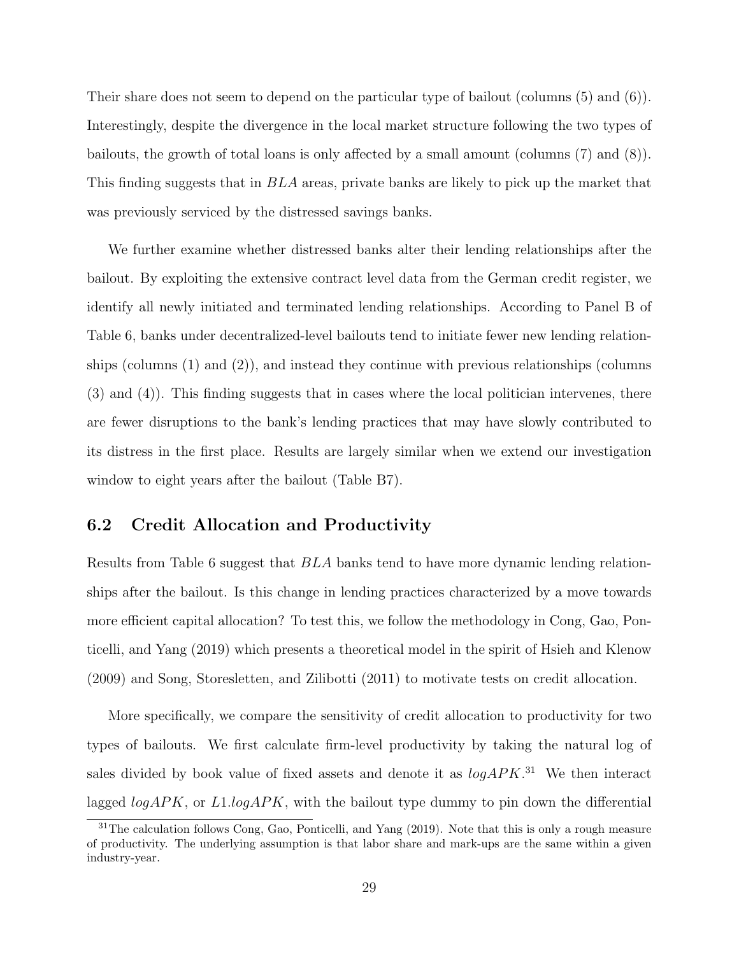Their share does not seem to depend on the particular type of bailout (columns (5) and (6)). Interestingly, despite the divergence in the local market structure following the two types of bailouts, the growth of total loans is only affected by a small amount (columns (7) and (8)). This finding suggests that in BLA areas, private banks are likely to pick up the market that was previously serviced by the distressed savings banks.

We further examine whether distressed banks alter their lending relationships after the bailout. By exploiting the extensive contract level data from the German credit register, we identify all newly initiated and terminated lending relationships. According to Panel B of Table [6,](#page-48-0) banks under decentralized-level bailouts tend to initiate fewer new lending relationships (columns (1) and (2)), and instead they continue with previous relationships (columns (3) and (4)). This finding suggests that in cases where the local politician intervenes, there are fewer disruptions to the bank's lending practices that may have slowly contributed to its distress in the first place. Results are largely similar when we extend our investigation window to eight years after the bailout (Table [B7\)](#page-66-0).

### 6.2 Credit Allocation and Productivity

Results from Table [6](#page-48-0) suggest that BLA banks tend to have more dynamic lending relationships after the bailout. Is this change in lending practices characterized by a move towards more efficient capital allocation? To test this, we follow the methodology in [Cong, Gao, Pon](#page-37-13)[ticelli, and Yang](#page-37-13) [\(2019\)](#page-37-13) which presents a theoretical model in the spirit of [Hsieh and Klenow](#page-38-13) [\(2009\)](#page-38-13) and [Song, Storesletten, and Zilibotti](#page-38-14) [\(2011\)](#page-38-14) to motivate tests on credit allocation.

More specifically, we compare the sensitivity of credit allocation to productivity for two types of bailouts. We first calculate firm-level productivity by taking the natural log of sales divided by book value of fixed assets and denote it as  $logAPK$ .<sup>[31](#page-28-0)</sup> We then interact lagged  $logAPK$ , or  $L1logAPK$ , with the bailout type dummy to pin down the differential

<span id="page-28-0"></span><sup>&</sup>lt;sup>31</sup>The calculation follows [Cong, Gao, Ponticelli, and Yang](#page-37-13) [\(2019\)](#page-37-13). Note that this is only a rough measure of productivity. The underlying assumption is that labor share and mark-ups are the same within a given industry-year.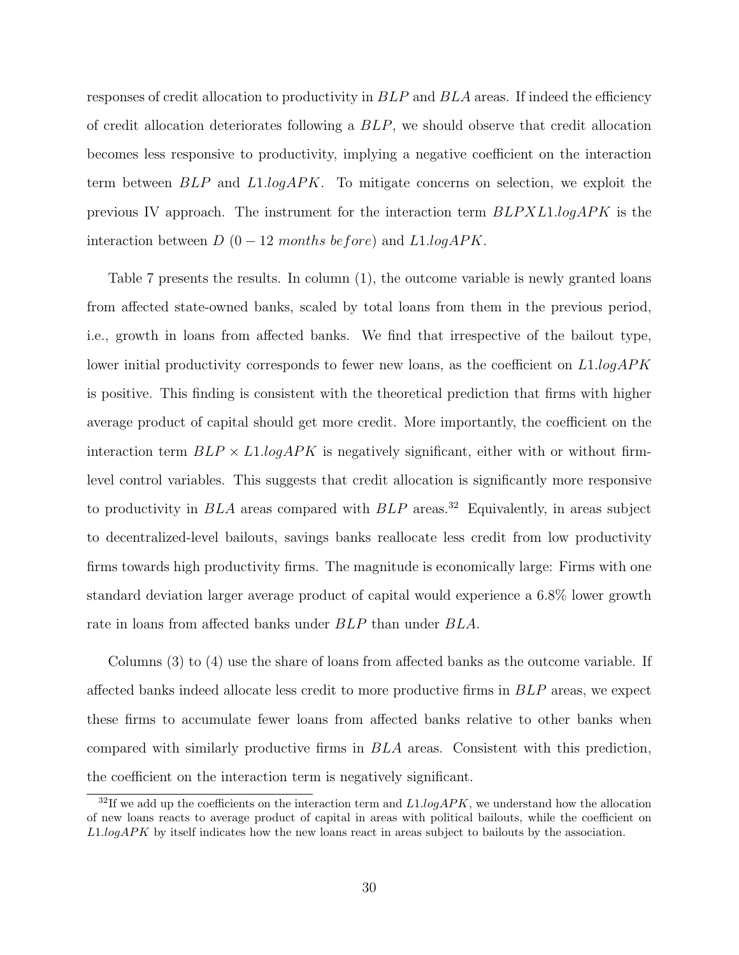responses of credit allocation to productivity in  $BLP$  and  $BLA$  areas. If indeed the efficiency of credit allocation deteriorates following a BLP, we should observe that credit allocation becomes less responsive to productivity, implying a negative coefficient on the interaction term between BLP and L1.logAPK. To mitigate concerns on selection, we exploit the previous IV approach. The instrument for the interaction term  $BLPXL1.logAPK$  is the interaction between  $D(0-12$  months before) and  $L1.logAPK$ .

Table [7](#page-49-0) presents the results. In column (1), the outcome variable is newly granted loans from affected state-owned banks, scaled by total loans from them in the previous period, i.e., growth in loans from affected banks. We find that irrespective of the bailout type, lower initial productivity corresponds to fewer new loans, as the coefficient on  $L1.logAPK$ is positive. This finding is consistent with the theoretical prediction that firms with higher average product of capital should get more credit. More importantly, the coefficient on the interaction term  $BLP \times L1~logAPK$  is negatively significant, either with or without firmlevel control variables. This suggests that credit allocation is significantly more responsive to productivity in  $BLA$  areas compared with  $BLP$  areas.<sup>[32](#page-29-0)</sup> Equivalently, in areas subject to decentralized-level bailouts, savings banks reallocate less credit from low productivity firms towards high productivity firms. The magnitude is economically large: Firms with one standard deviation larger average product of capital would experience a 6.8% lower growth rate in loans from affected banks under BLP than under BLA.

Columns (3) to (4) use the share of loans from affected banks as the outcome variable. If affected banks indeed allocate less credit to more productive firms in BLP areas, we expect these firms to accumulate fewer loans from affected banks relative to other banks when compared with similarly productive firms in BLA areas. Consistent with this prediction, the coefficient on the interaction term is negatively significant.

<span id="page-29-0"></span><sup>&</sup>lt;sup>32</sup>If we add up the coefficients on the interaction term and  $L1.logAPK$ , we understand how the allocation of new loans reacts to average product of capital in areas with political bailouts, while the coefficient on L1.logAPK by itself indicates how the new loans react in areas subject to bailouts by the association.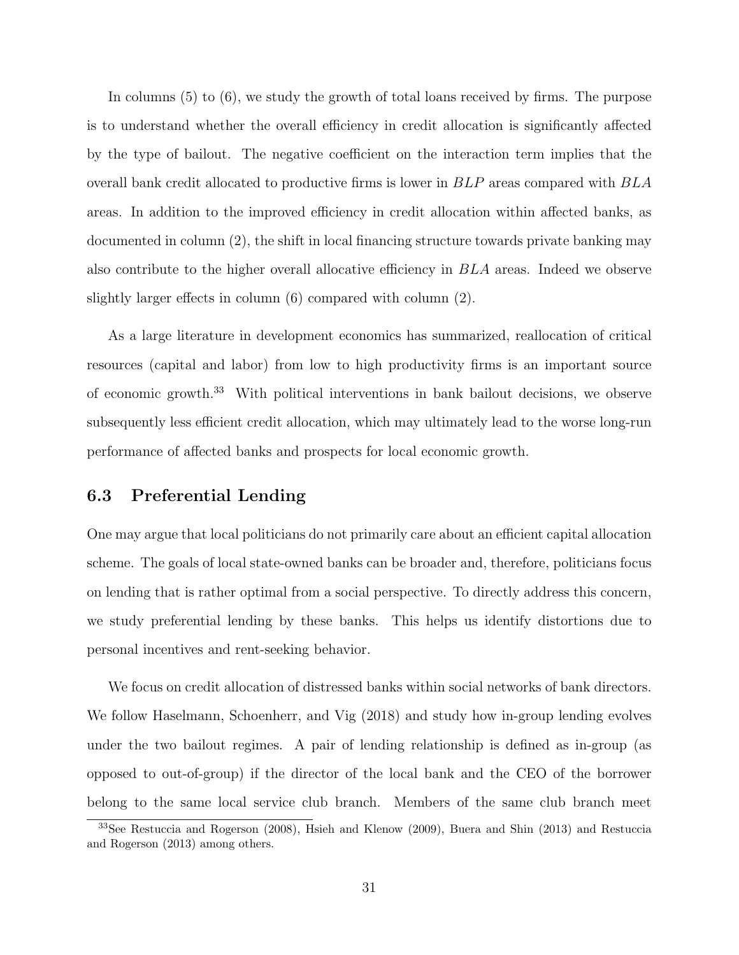In columns (5) to (6), we study the growth of total loans received by firms. The purpose is to understand whether the overall efficiency in credit allocation is significantly affected by the type of bailout. The negative coefficient on the interaction term implies that the overall bank credit allocated to productive firms is lower in BLP areas compared with BLA areas. In addition to the improved efficiency in credit allocation within affected banks, as documented in column (2), the shift in local financing structure towards private banking may also contribute to the higher overall allocative efficiency in BLA areas. Indeed we observe slightly larger effects in column (6) compared with column (2).

As a large literature in development economics has summarized, reallocation of critical resources (capital and labor) from low to high productivity firms is an important source of economic growth.[33](#page-30-0) With political interventions in bank bailout decisions, we observe subsequently less efficient credit allocation, which may ultimately lead to the worse long-run performance of affected banks and prospects for local economic growth.

#### 6.3 Preferential Lending

One may argue that local politicians do not primarily care about an efficient capital allocation scheme. The goals of local state-owned banks can be broader and, therefore, politicians focus on lending that is rather optimal from a social perspective. To directly address this concern, we study preferential lending by these banks. This helps us identify distortions due to personal incentives and rent-seeking behavior.

We focus on credit allocation of distressed banks within social networks of bank directors. We follow [Haselmann, Schoenherr, and Vig](#page-38-15) [\(2018\)](#page-38-15) and study how in-group lending evolves under the two bailout regimes. A pair of lending relationship is defined as in-group (as opposed to out-of-group) if the director of the local bank and the CEO of the borrower belong to the same local service club branch. Members of the same club branch meet

<span id="page-30-0"></span><sup>33</sup>See [Restuccia and Rogerson](#page-38-16) [\(2008\)](#page-38-16), [Hsieh and Klenow](#page-38-13) [\(2009\)](#page-38-13), [Buera and Shin](#page-37-14) [\(2013\)](#page-37-14) and [Restuccia](#page-38-17) [and Rogerson](#page-38-17) [\(2013\)](#page-38-17) among others.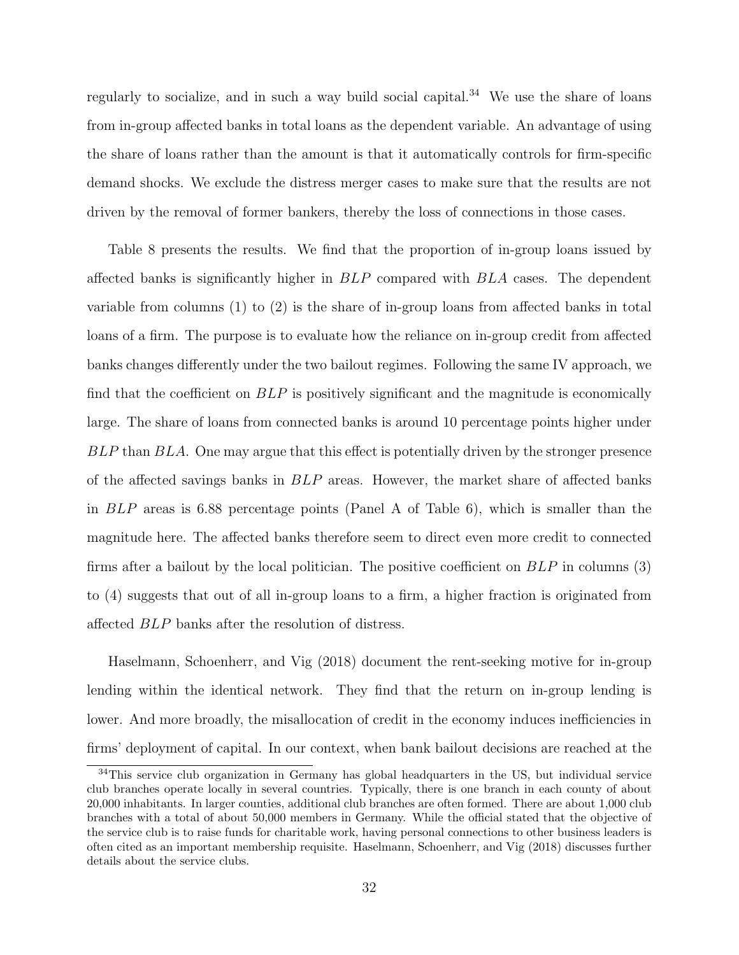regularly to socialize, and in such a way build social capital. $34$  We use the share of loans from in-group affected banks in total loans as the dependent variable. An advantage of using the share of loans rather than the amount is that it automatically controls for firm-specific demand shocks. We exclude the distress merger cases to make sure that the results are not driven by the removal of former bankers, thereby the loss of connections in those cases.

Table [8](#page-50-0) presents the results. We find that the proportion of in-group loans issued by affected banks is significantly higher in BLP compared with BLA cases. The dependent variable from columns (1) to (2) is the share of in-group loans from affected banks in total loans of a firm. The purpose is to evaluate how the reliance on in-group credit from affected banks changes differently under the two bailout regimes. Following the same IV approach, we find that the coefficient on BLP is positively significant and the magnitude is economically large. The share of loans from connected banks is around 10 percentage points higher under BLP than BLA. One may argue that this effect is potentially driven by the stronger presence of the affected savings banks in BLP areas. However, the market share of affected banks in BLP areas is 6.88 percentage points (Panel A of Table [6\)](#page-48-0), which is smaller than the magnitude here. The affected banks therefore seem to direct even more credit to connected firms after a bailout by the local politician. The positive coefficient on  $BLP$  in columns (3) to (4) suggests that out of all in-group loans to a firm, a higher fraction is originated from affected BLP banks after the resolution of distress.

[Haselmann, Schoenherr, and Vig](#page-38-15) [\(2018\)](#page-38-15) document the rent-seeking motive for in-group lending within the identical network. They find that the return on in-group lending is lower. And more broadly, the misallocation of credit in the economy induces inefficiencies in firms' deployment of capital. In our context, when bank bailout decisions are reached at the

<span id="page-31-0"></span><sup>&</sup>lt;sup>34</sup>This service club organization in Germany has global headquarters in the US, but individual service club branches operate locally in several countries. Typically, there is one branch in each county of about 20,000 inhabitants. In larger counties, additional club branches are often formed. There are about 1,000 club branches with a total of about 50,000 members in Germany. While the official stated that the objective of the service club is to raise funds for charitable work, having personal connections to other business leaders is often cited as an important membership requisite. [Haselmann, Schoenherr, and Vig](#page-38-15) [\(2018\)](#page-38-15) discusses further details about the service clubs.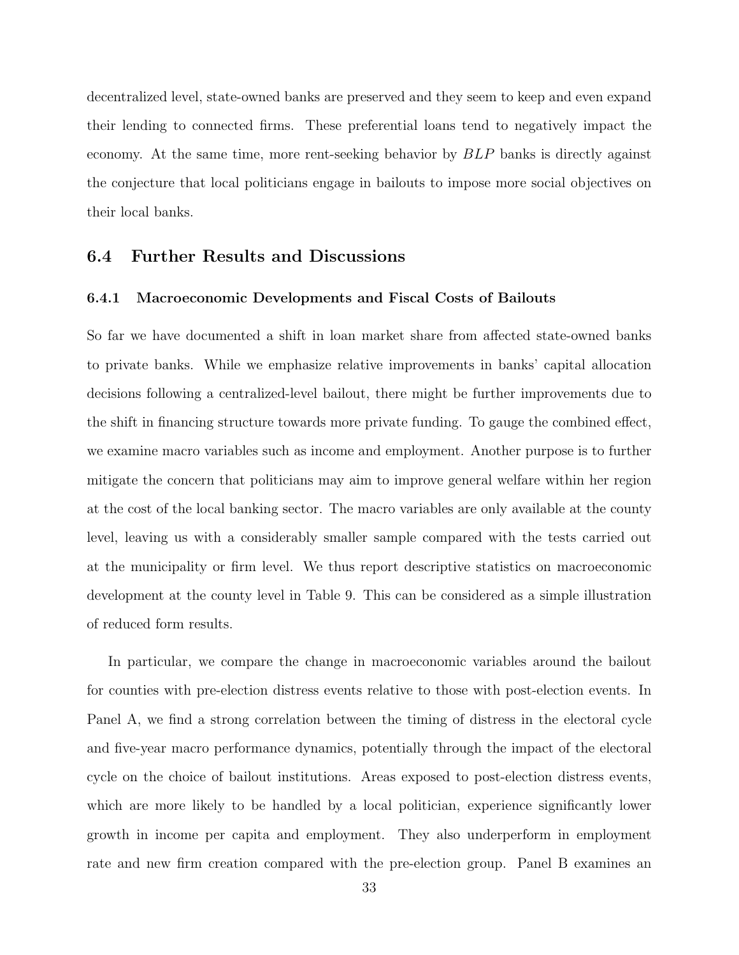decentralized level, state-owned banks are preserved and they seem to keep and even expand their lending to connected firms. These preferential loans tend to negatively impact the economy. At the same time, more rent-seeking behavior by BLP banks is directly against the conjecture that local politicians engage in bailouts to impose more social objectives on their local banks.

#### 6.4 Further Results and Discussions

#### 6.4.1 Macroeconomic Developments and Fiscal Costs of Bailouts

So far we have documented a shift in loan market share from affected state-owned banks to private banks. While we emphasize relative improvements in banks' capital allocation decisions following a centralized-level bailout, there might be further improvements due to the shift in financing structure towards more private funding. To gauge the combined effect, we examine macro variables such as income and employment. Another purpose is to further mitigate the concern that politicians may aim to improve general welfare within her region at the cost of the local banking sector. The macro variables are only available at the county level, leaving us with a considerably smaller sample compared with the tests carried out at the municipality or firm level. We thus report descriptive statistics on macroeconomic development at the county level in Table [9.](#page-51-0) This can be considered as a simple illustration of reduced form results.

In particular, we compare the change in macroeconomic variables around the bailout for counties with pre-election distress events relative to those with post-election events. In Panel A, we find a strong correlation between the timing of distress in the electoral cycle and five-year macro performance dynamics, potentially through the impact of the electoral cycle on the choice of bailout institutions. Areas exposed to post-election distress events, which are more likely to be handled by a local politician, experience significantly lower growth in income per capita and employment. They also underperform in employment rate and new firm creation compared with the pre-election group. Panel B examines an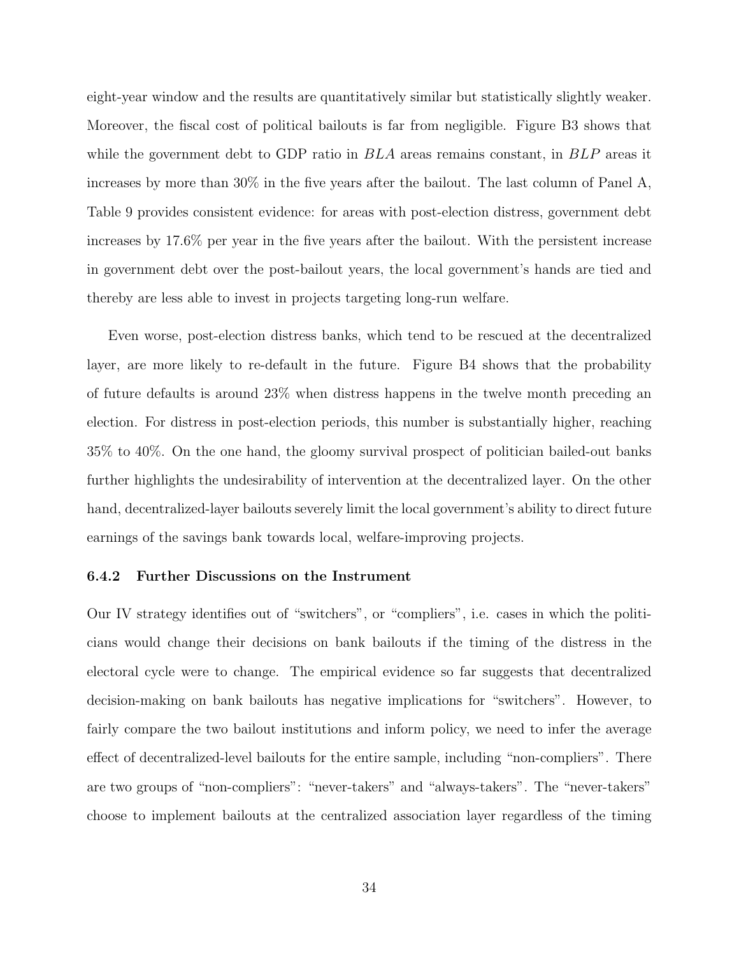eight-year window and the results are quantitatively similar but statistically slightly weaker. Moreover, the fiscal cost of political bailouts is far from negligible. Figure [B3](#page-59-0) shows that while the government debt to GDP ratio in  $BLA$  areas remains constant, in  $BLP$  areas it increases by more than 30% in the five years after the bailout. The last column of Panel A, Table [9](#page-51-0) provides consistent evidence: for areas with post-election distress, government debt increases by 17.6% per year in the five years after the bailout. With the persistent increase in government debt over the post-bailout years, the local government's hands are tied and thereby are less able to invest in projects targeting long-run welfare.

Even worse, post-election distress banks, which tend to be rescued at the decentralized layer, are more likely to re-default in the future. Figure [B4](#page-59-1) shows that the probability of future defaults is around 23% when distress happens in the twelve month preceding an election. For distress in post-election periods, this number is substantially higher, reaching 35% to 40%. On the one hand, the gloomy survival prospect of politician bailed-out banks further highlights the undesirability of intervention at the decentralized layer. On the other hand, decentralized-layer bailouts severely limit the local government's ability to direct future earnings of the savings bank towards local, welfare-improving projects.

#### 6.4.2 Further Discussions on the Instrument

Our IV strategy identifies out of "switchers", or "compliers", i.e. cases in which the politicians would change their decisions on bank bailouts if the timing of the distress in the electoral cycle were to change. The empirical evidence so far suggests that decentralized decision-making on bank bailouts has negative implications for "switchers". However, to fairly compare the two bailout institutions and inform policy, we need to infer the average effect of decentralized-level bailouts for the entire sample, including "non-compliers". There are two groups of "non-compliers": "never-takers" and "always-takers". The "never-takers" choose to implement bailouts at the centralized association layer regardless of the timing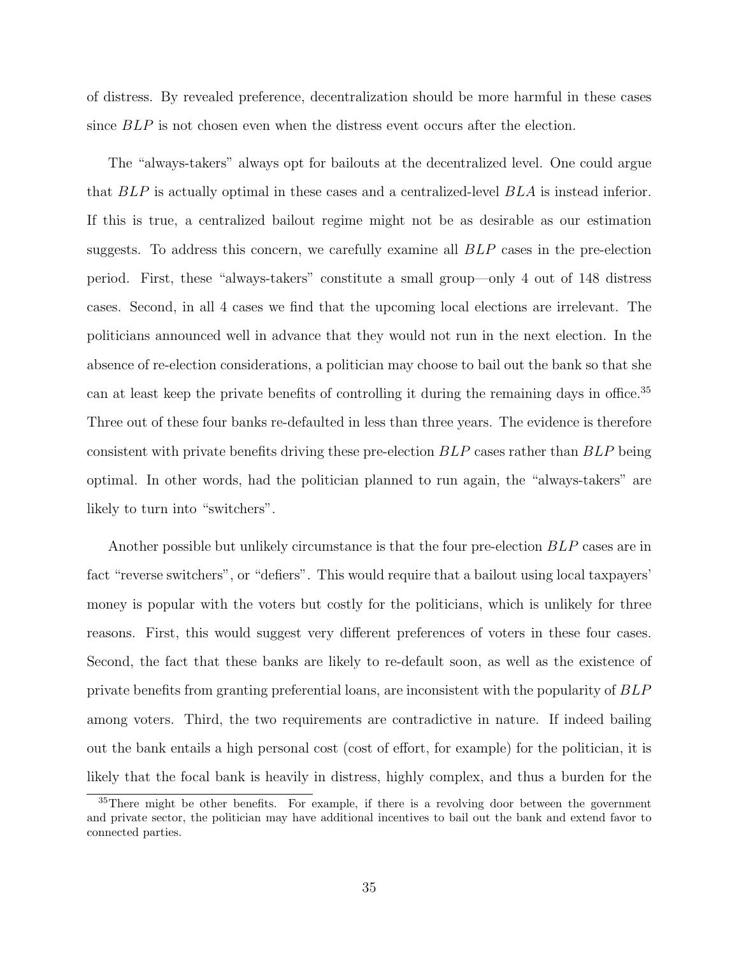of distress. By revealed preference, decentralization should be more harmful in these cases since BLP is not chosen even when the distress event occurs after the election.

The "always-takers" always opt for bailouts at the decentralized level. One could argue that BLP is actually optimal in these cases and a centralized-level BLA is instead inferior. If this is true, a centralized bailout regime might not be as desirable as our estimation suggests. To address this concern, we carefully examine all BLP cases in the pre-election period. First, these "always-takers" constitute a small group—only 4 out of 148 distress cases. Second, in all 4 cases we find that the upcoming local elections are irrelevant. The politicians announced well in advance that they would not run in the next election. In the absence of re-election considerations, a politician may choose to bail out the bank so that she can at least keep the private benefits of controlling it during the remaining days in office.[35](#page-34-0) Three out of these four banks re-defaulted in less than three years. The evidence is therefore consistent with private benefits driving these pre-election BLP cases rather than BLP being optimal. In other words, had the politician planned to run again, the "always-takers" are likely to turn into "switchers".

Another possible but unlikely circumstance is that the four pre-election  $BLP$  cases are in fact "reverse switchers", or "defiers". This would require that a bailout using local taxpayers' money is popular with the voters but costly for the politicians, which is unlikely for three reasons. First, this would suggest very different preferences of voters in these four cases. Second, the fact that these banks are likely to re-default soon, as well as the existence of private benefits from granting preferential loans, are inconsistent with the popularity of BLP among voters. Third, the two requirements are contradictive in nature. If indeed bailing out the bank entails a high personal cost (cost of effort, for example) for the politician, it is likely that the focal bank is heavily in distress, highly complex, and thus a burden for the

<span id="page-34-0"></span><sup>&</sup>lt;sup>35</sup>There might be other benefits. For example, if there is a revolving door between the government and private sector, the politician may have additional incentives to bail out the bank and extend favor to connected parties.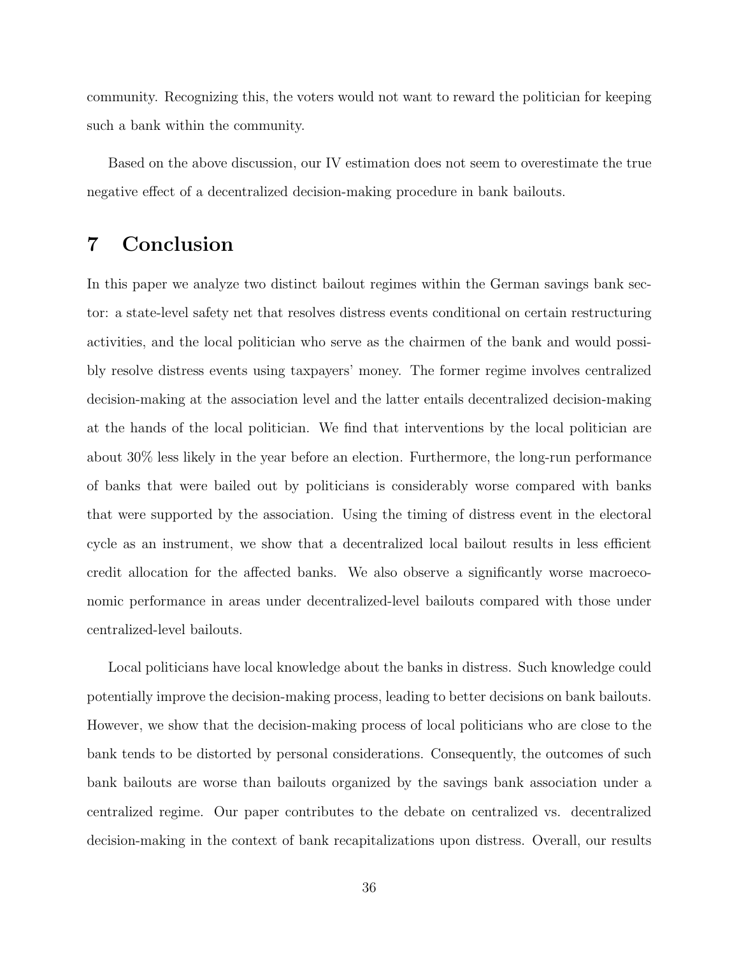community. Recognizing this, the voters would not want to reward the politician for keeping such a bank within the community.

Based on the above discussion, our IV estimation does not seem to overestimate the true negative effect of a decentralized decision-making procedure in bank bailouts.

## 7 Conclusion

In this paper we analyze two distinct bailout regimes within the German savings bank sector: a state-level safety net that resolves distress events conditional on certain restructuring activities, and the local politician who serve as the chairmen of the bank and would possibly resolve distress events using taxpayers' money. The former regime involves centralized decision-making at the association level and the latter entails decentralized decision-making at the hands of the local politician. We find that interventions by the local politician are about 30% less likely in the year before an election. Furthermore, the long-run performance of banks that were bailed out by politicians is considerably worse compared with banks that were supported by the association. Using the timing of distress event in the electoral cycle as an instrument, we show that a decentralized local bailout results in less efficient credit allocation for the affected banks. We also observe a significantly worse macroeconomic performance in areas under decentralized-level bailouts compared with those under centralized-level bailouts.

Local politicians have local knowledge about the banks in distress. Such knowledge could potentially improve the decision-making process, leading to better decisions on bank bailouts. However, we show that the decision-making process of local politicians who are close to the bank tends to be distorted by personal considerations. Consequently, the outcomes of such bank bailouts are worse than bailouts organized by the savings bank association under a centralized regime. Our paper contributes to the debate on centralized vs. decentralized decision-making in the context of bank recapitalizations upon distress. Overall, our results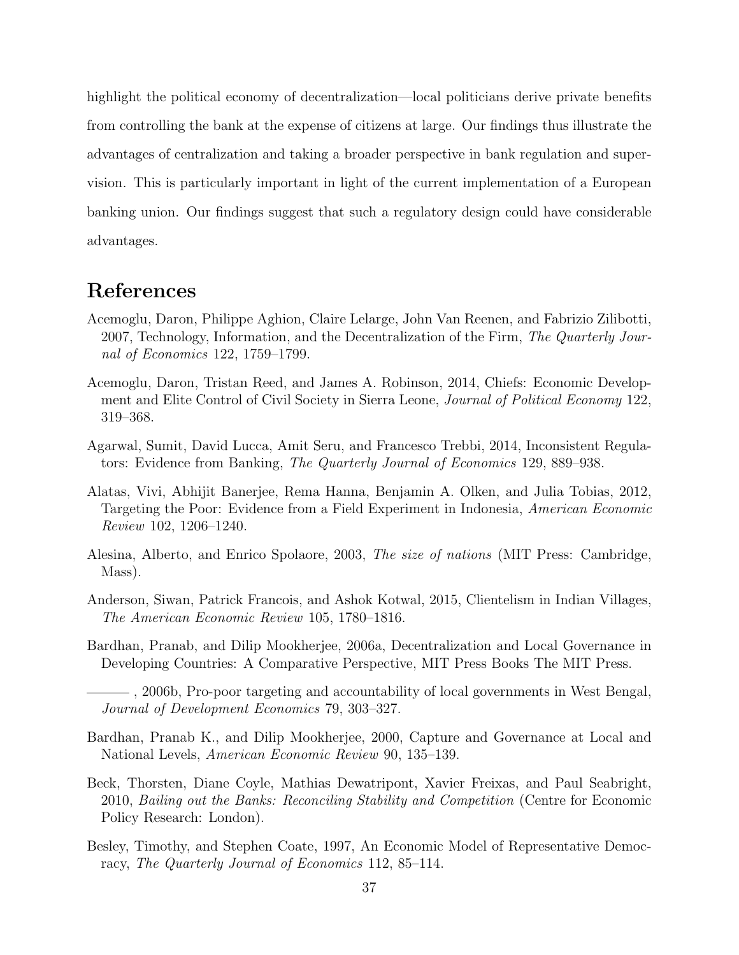highlight the political economy of decentralization—local politicians derive private benefits from controlling the bank at the expense of citizens at large. Our findings thus illustrate the advantages of centralization and taking a broader perspective in bank regulation and supervision. This is particularly important in light of the current implementation of a European banking union. Our findings suggest that such a regulatory design could have considerable advantages.

## References

- <span id="page-36-8"></span>Acemoglu, Daron, Philippe Aghion, Claire Lelarge, John Van Reenen, and Fabrizio Zilibotti, 2007, Technology, Information, and the Decentralization of the Firm, The Quarterly Journal of Economics 122, 1759–1799.
- <span id="page-36-6"></span>Acemoglu, Daron, Tristan Reed, and James A. Robinson, 2014, Chiefs: Economic Development and Elite Control of Civil Society in Sierra Leone, Journal of Political Economy 122, 319–368.
- <span id="page-36-9"></span>Agarwal, Sumit, David Lucca, Amit Seru, and Francesco Trebbi, 2014, Inconsistent Regulators: Evidence from Banking, The Quarterly Journal of Economics 129, 889–938.
- <span id="page-36-5"></span>Alatas, Vivi, Abhijit Banerjee, Rema Hanna, Benjamin A. Olken, and Julia Tobias, 2012, Targeting the Poor: Evidence from a Field Experiment in Indonesia, American Economic Review 102, 1206–1240.
- <span id="page-36-2"></span>Alesina, Alberto, and Enrico Spolaore, 2003, The size of nations (MIT Press: Cambridge, Mass).
- <span id="page-36-7"></span>Anderson, Siwan, Patrick Francois, and Ashok Kotwal, 2015, Clientelism in Indian Villages, The American Economic Review 105, 1780–1816.
- <span id="page-36-3"></span>Bardhan, Pranab, and Dilip Mookherjee, 2006a, Decentralization and Local Governance in Developing Countries: A Comparative Perspective, MIT Press Books The MIT Press.

- <span id="page-36-0"></span>Bardhan, Pranab K., and Dilip Mookherjee, 2000, Capture and Governance at Local and National Levels, American Economic Review 90, 135–139.
- <span id="page-36-10"></span>Beck, Thorsten, Diane Coyle, Mathias Dewatripont, Xavier Freixas, and Paul Seabright, 2010, Bailing out the Banks: Reconciling Stability and Competition (Centre for Economic Policy Research: London).
- <span id="page-36-1"></span>Besley, Timothy, and Stephen Coate, 1997, An Economic Model of Representative Democracy, The Quarterly Journal of Economics 112, 85–114.

<span id="page-36-4"></span><sup>, 2006</sup>b, Pro-poor targeting and accountability of local governments in West Bengal, Journal of Development Economics 79, 303–327.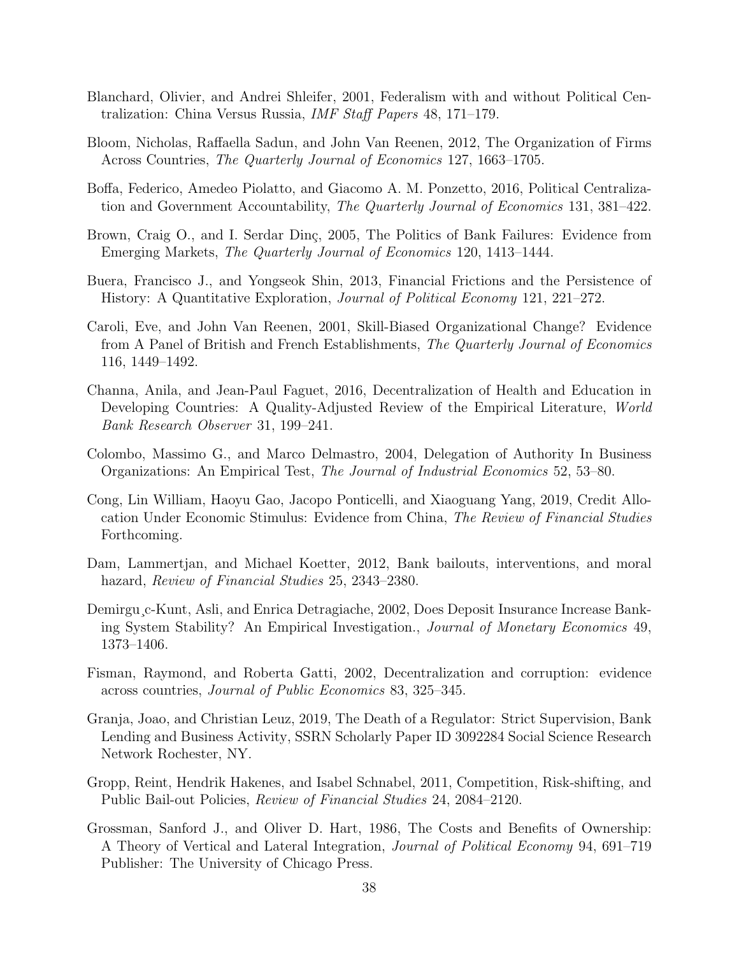- <span id="page-37-1"></span>Blanchard, Olivier, and Andrei Shleifer, 2001, Federalism with and without Political Centralization: China Versus Russia, IMF Staff Papers 48, 171–179.
- <span id="page-37-6"></span>Bloom, Nicholas, Raffaella Sadun, and John Van Reenen, 2012, The Organization of Firms Across Countries, The Quarterly Journal of Economics 127, 1663–1705.
- <span id="page-37-2"></span>Boffa, Federico, Amedeo Piolatto, and Giacomo A. M. Ponzetto, 2016, Political Centralization and Government Accountability, The Quarterly Journal of Economics 131, 381–422.
- <span id="page-37-12"></span>Brown, Craig O., and I. Serdar Dinç, 2005, The Politics of Bank Failures: Evidence from Emerging Markets, The Quarterly Journal of Economics 120, 1413–1444.
- <span id="page-37-14"></span>Buera, Francisco J., and Yongseok Shin, 2013, Financial Frictions and the Persistence of History: A Quantitative Exploration, Journal of Political Economy 121, 221–272.
- <span id="page-37-4"></span>Caroli, Eve, and John Van Reenen, 2001, Skill-Biased Organizational Change? Evidence from A Panel of British and French Establishments, The Quarterly Journal of Economics 116, 1449–1492.
- <span id="page-37-7"></span>Channa, Anila, and Jean-Paul Faguet, 2016, Decentralization of Health and Education in Developing Countries: A Quality-Adjusted Review of the Empirical Literature, World Bank Research Observer 31, 199–241.
- <span id="page-37-5"></span>Colombo, Massimo G., and Marco Delmastro, 2004, Delegation of Authority In Business Organizations: An Empirical Test, The Journal of Industrial Economics 52, 53–80.
- <span id="page-37-13"></span>Cong, Lin William, Haoyu Gao, Jacopo Ponticelli, and Xiaoguang Yang, 2019, Credit Allocation Under Economic Stimulus: Evidence from China, The Review of Financial Studies Forthcoming.
- <span id="page-37-10"></span>Dam, Lammertjan, and Michael Koetter, 2012, Bank bailouts, interventions, and moral hazard, Review of Financial Studies 25, 2343–2380.
- <span id="page-37-9"></span>Demirgu¸c-Kunt, Asli, and Enrica Detragiache, 2002, Does Deposit Insurance Increase Banking System Stability? An Empirical Investigation., Journal of Monetary Economics 49, 1373–1406.
- <span id="page-37-3"></span>Fisman, Raymond, and Roberta Gatti, 2002, Decentralization and corruption: evidence across countries, Journal of Public Economics 83, 325–345.
- <span id="page-37-8"></span>Granja, Joao, and Christian Leuz, 2019, The Death of a Regulator: Strict Supervision, Bank Lending and Business Activity, SSRN Scholarly Paper ID 3092284 Social Science Research Network Rochester, NY.
- <span id="page-37-11"></span>Gropp, Reint, Hendrik Hakenes, and Isabel Schnabel, 2011, Competition, Risk-shifting, and Public Bail-out Policies, Review of Financial Studies 24, 2084–2120.
- <span id="page-37-0"></span>Grossman, Sanford J., and Oliver D. Hart, 1986, The Costs and Benefits of Ownership: A Theory of Vertical and Lateral Integration, Journal of Political Economy 94, 691–719 Publisher: The University of Chicago Press.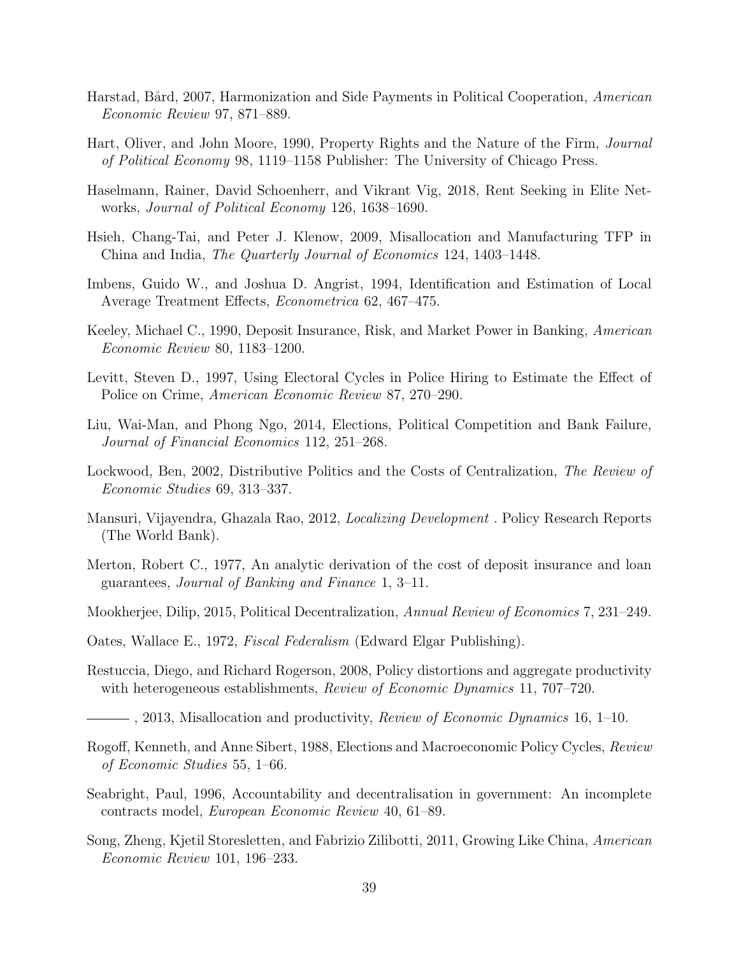- <span id="page-38-5"></span>Harstad, Bård, 2007, Harmonization and Side Payments in Political Cooperation, American Economic Review 97, 871–889.
- <span id="page-38-0"></span>Hart, Oliver, and John Moore, 1990, Property Rights and the Nature of the Firm, Journal of Political Economy 98, 1119–1158 Publisher: The University of Chicago Press.
- <span id="page-38-15"></span>Haselmann, Rainer, David Schoenherr, and Vikrant Vig, 2018, Rent Seeking in Elite Networks, Journal of Political Economy 126, 1638–1690.
- <span id="page-38-13"></span>Hsieh, Chang-Tai, and Peter J. Klenow, 2009, Misallocation and Manufacturing TFP in China and India, The Quarterly Journal of Economics 124, 1403–1448.
- <span id="page-38-2"></span>Imbens, Guido W., and Joshua D. Angrist, 1994, Identification and Estimation of Local Average Treatment Effects, Econometrica 62, 467–475.
- <span id="page-38-9"></span>Keeley, Michael C., 1990, Deposit Insurance, Risk, and Market Power in Banking, American Economic Review 80, 1183–1200.
- <span id="page-38-12"></span>Levitt, Steven D., 1997, Using Electoral Cycles in Police Hiring to Estimate the Effect of Police on Crime, American Economic Review 87, 270–290.
- <span id="page-38-11"></span>Liu, Wai-Man, and Phong Ngo, 2014, Elections, Political Competition and Bank Failure, Journal of Financial Economics 112, 251–268.
- <span id="page-38-4"></span>Lockwood, Ben, 2002, Distributive Politics and the Costs of Centralization, The Review of Economic Studies 69, 313–337.
- <span id="page-38-7"></span>Mansuri, Vijayendra, Ghazala Rao, 2012, Localizing Development . Policy Research Reports (The World Bank).
- <span id="page-38-8"></span>Merton, Robert C., 1977, An analytic derivation of the cost of deposit insurance and loan guarantees, Journal of Banking and Finance 1, 3–11.
- <span id="page-38-6"></span>Mookherjee, Dilip, 2015, Political Decentralization, Annual Review of Economics 7, 231–249.
- <span id="page-38-3"></span>Oates, Wallace E., 1972, Fiscal Federalism (Edward Elgar Publishing).
- <span id="page-38-16"></span>Restuccia, Diego, and Richard Rogerson, 2008, Policy distortions and aggregate productivity with heterogeneous establishments, *Review of Economic Dynamics* 11, 707–720.
- <span id="page-38-17"></span> $-$ , 2013, Misallocation and productivity, *Review of Economic Dynamics* 16, 1–10.
- <span id="page-38-10"></span>Rogoff, Kenneth, and Anne Sibert, 1988, Elections and Macroeconomic Policy Cycles, Review of Economic Studies 55, 1–66.
- <span id="page-38-1"></span>Seabright, Paul, 1996, Accountability and decentralisation in government: An incomplete contracts model, European Economic Review 40, 61–89.
- <span id="page-38-14"></span>Song, Zheng, Kjetil Storesletten, and Fabrizio Zilibotti, 2011, Growing Like China, American Economic Review 101, 196–233.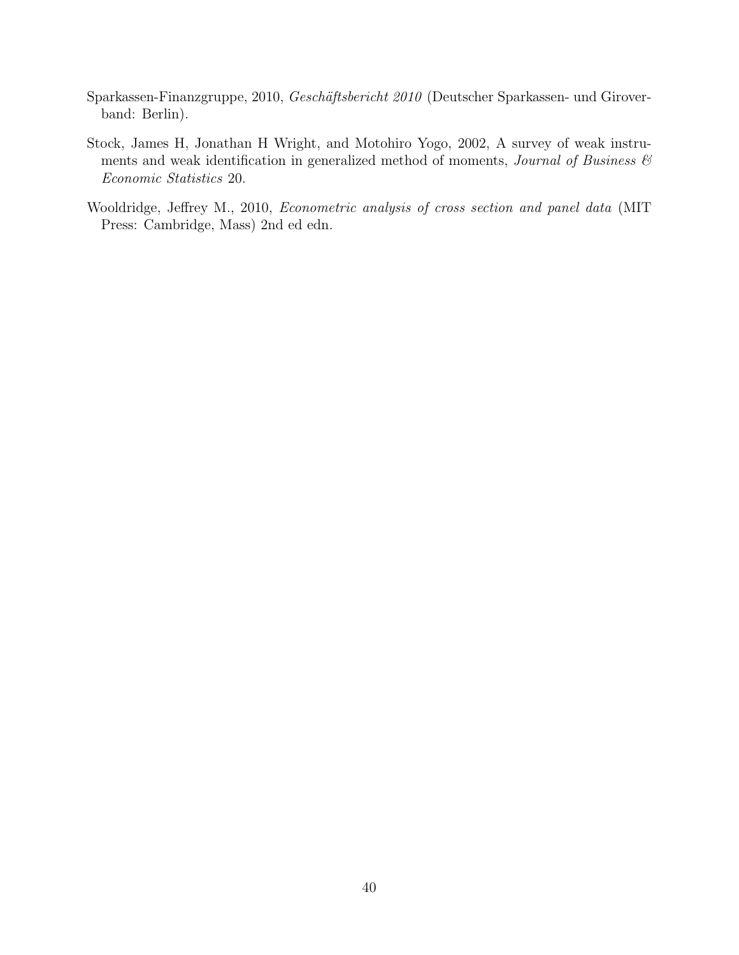- <span id="page-39-0"></span>Sparkassen-Finanzgruppe, 2010, Geschäftsbericht 2010 (Deutscher Sparkassen- und Giroverband: Berlin).
- <span id="page-39-2"></span>Stock, James H, Jonathan H Wright, and Motohiro Yogo, 2002, A survey of weak instruments and weak identification in generalized method of moments, *Journal of Business*  $\mathcal{C}$ Economic Statistics 20.
- <span id="page-39-1"></span>Wooldridge, Jeffrey M., 2010, Econometric analysis of cross section and panel data (MIT Press: Cambridge, Mass) 2nd ed edn.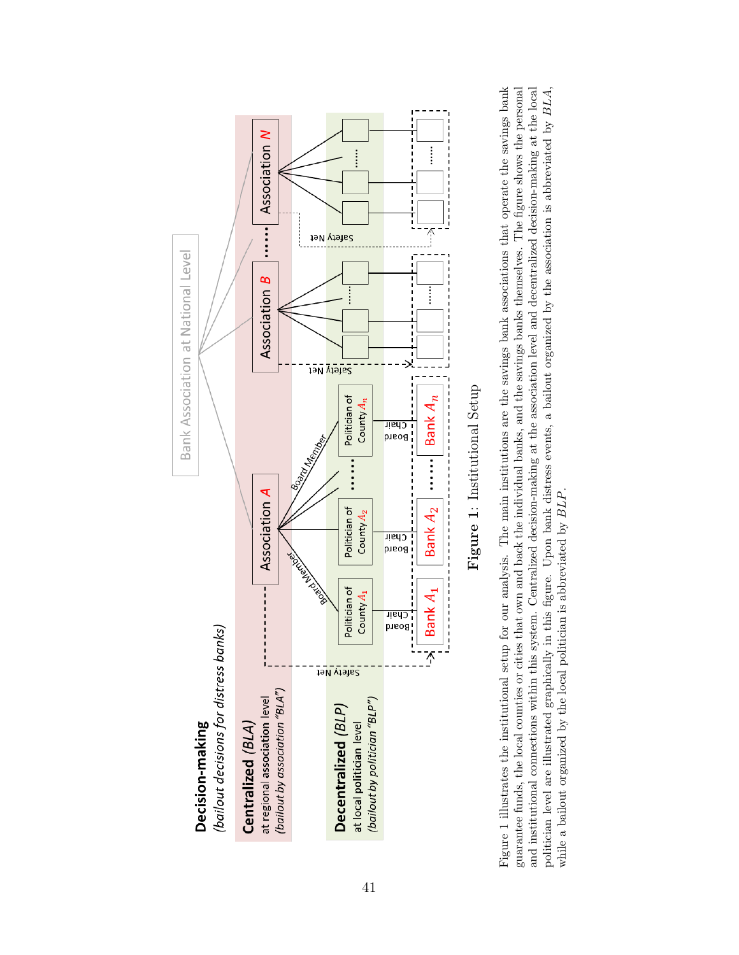<span id="page-40-0"></span>



Figure 1 illustrates the institutional setup for our analysis. The main institutions are the savings bank associations that operate the savings bank guarantee funds, the local counties or cities that own and back the individual banks, and the savings banks themselves. The figure shows the personal and institutional connections within this system. Centralized decision-making at the association level and decentralized decision-making at the local politician level are illustrated graphically in this figure. Upon bank distress events, a bailout organized by the association is abbreviated by BLA, Figure [1](#page-40-0) illustrates the institutional setup for our analysis. The main institutions are the savings bank associations that operate the savings bank guarantee funds, the local counties or cities that own and back the individual banks, and the savings banks themselves. The figure shows the personal and institutional connections within this system. Centralized decision-making at the association level and decentralized decision-making at the local politician level are illustrated graphically in this figure. Upon bank distress events, a bailout organized by the association is abbreviated by BLA, while a bailout organized by the local politician is abbreviated by  $BLP$ . while a bailout organized by the local politician is abbreviated by BLP.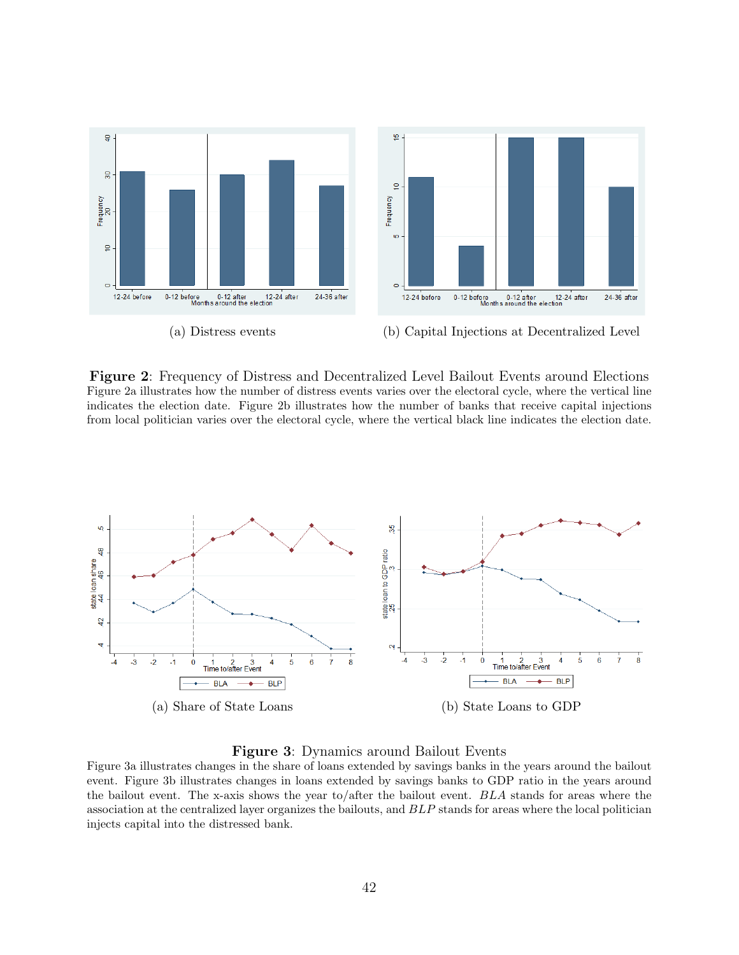<span id="page-41-0"></span>

Figure 2: Frequency of Distress and Decentralized Level Bailout Events around Elections Figure [2a](#page-41-0) illustrates how the number of distress events varies over the electoral cycle, where the vertical line indicates the election date. Figure [2b](#page-41-0) illustrates how the number of banks that receive capital injections from local politician varies over the electoral cycle, where the vertical black line indicates the election date.

<span id="page-41-1"></span>

Figure 3: Dynamics around Bailout Events

Figure [3a](#page-41-1) illustrates changes in the share of loans extended by savings banks in the years around the bailout event. Figure [3b](#page-41-1) illustrates changes in loans extended by savings banks to GDP ratio in the years around the bailout event. The x-axis shows the year to/after the bailout event. BLA stands for areas where the association at the centralized layer organizes the bailouts, and BLP stands for areas where the local politician injects capital into the distressed bank.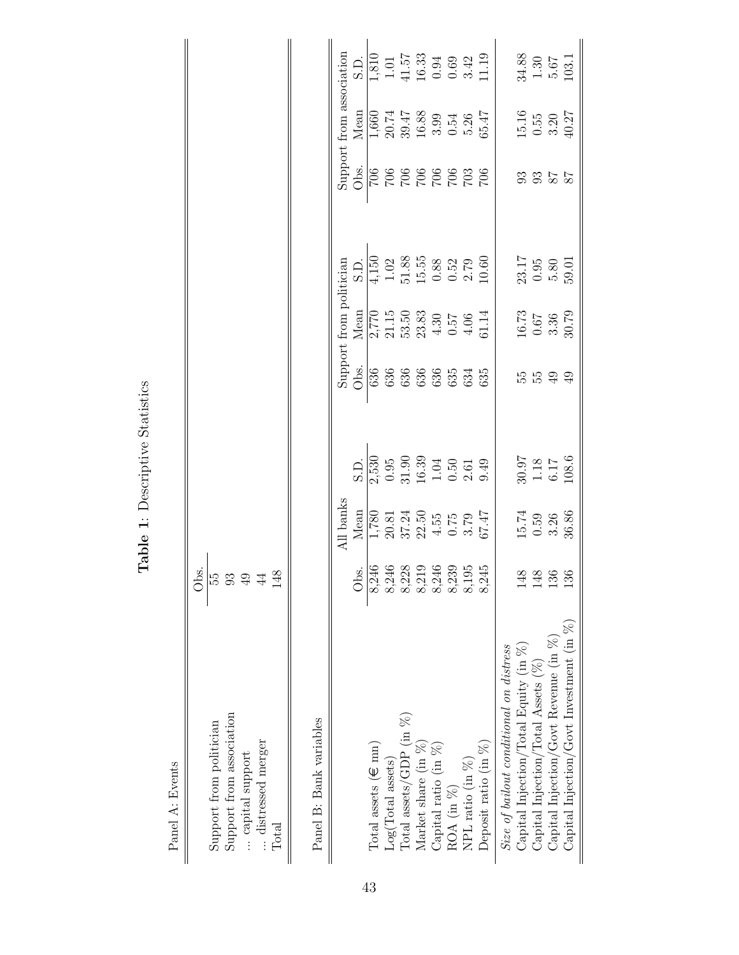<span id="page-42-0"></span>

| ŧ<br>$\frac{1}{2}$<br>٢ |
|-------------------------|
| ř<br>l<br>ł<br>こくし<br>ļ |
| ł                       |
| Ŕ<br>ā                  |

Panel A: Events Panel A: Events  $\parallel$ 

|                                                | Obs.             |                                                                                                        |                                                                                                                                                 |                            |                                                                                                                                                                                                                        |                                                                           |                                       |                                                                                                                               |                                                                                                                                                                                                                             |
|------------------------------------------------|------------------|--------------------------------------------------------------------------------------------------------|-------------------------------------------------------------------------------------------------------------------------------------------------|----------------------------|------------------------------------------------------------------------------------------------------------------------------------------------------------------------------------------------------------------------|---------------------------------------------------------------------------|---------------------------------------|-------------------------------------------------------------------------------------------------------------------------------|-----------------------------------------------------------------------------------------------------------------------------------------------------------------------------------------------------------------------------|
| Support from politician                        | ကြ               |                                                                                                        |                                                                                                                                                 |                            |                                                                                                                                                                                                                        |                                                                           |                                       |                                                                                                                               |                                                                                                                                                                                                                             |
| Support from association                       | 93               |                                                                                                        |                                                                                                                                                 |                            |                                                                                                                                                                                                                        |                                                                           |                                       |                                                                                                                               |                                                                                                                                                                                                                             |
| capital support                                | 49               |                                                                                                        |                                                                                                                                                 |                            |                                                                                                                                                                                                                        |                                                                           |                                       |                                                                                                                               |                                                                                                                                                                                                                             |
| distressed merger                              | 44               |                                                                                                        |                                                                                                                                                 |                            |                                                                                                                                                                                                                        |                                                                           |                                       |                                                                                                                               |                                                                                                                                                                                                                             |
| Total                                          | 148              |                                                                                                        |                                                                                                                                                 |                            |                                                                                                                                                                                                                        |                                                                           |                                       |                                                                                                                               |                                                                                                                                                                                                                             |
|                                                |                  |                                                                                                        |                                                                                                                                                 |                            |                                                                                                                                                                                                                        |                                                                           |                                       |                                                                                                                               |                                                                                                                                                                                                                             |
| Panel B: Bank variables                        |                  |                                                                                                        |                                                                                                                                                 |                            |                                                                                                                                                                                                                        |                                                                           |                                       |                                                                                                                               |                                                                                                                                                                                                                             |
|                                                |                  | All banks                                                                                              |                                                                                                                                                 |                            | Support from politician                                                                                                                                                                                                |                                                                           |                                       | Support from association                                                                                                      |                                                                                                                                                                                                                             |
|                                                |                  |                                                                                                        |                                                                                                                                                 | Obs.                       |                                                                                                                                                                                                                        |                                                                           |                                       |                                                                                                                               |                                                                                                                                                                                                                             |
| Total assets ( $\in$ mn)                       |                  |                                                                                                        |                                                                                                                                                 |                            |                                                                                                                                                                                                                        |                                                                           |                                       |                                                                                                                               |                                                                                                                                                                                                                             |
| $Log(Total$ assets)                            |                  |                                                                                                        |                                                                                                                                                 |                            |                                                                                                                                                                                                                        |                                                                           |                                       |                                                                                                                               |                                                                                                                                                                                                                             |
| $Total$ assets/GDP $(in %)$                    |                  |                                                                                                        |                                                                                                                                                 | 636 636 635<br>636 636 635 |                                                                                                                                                                                                                        |                                                                           | 007<br>009 009 009 009<br>009 009 009 |                                                                                                                               |                                                                                                                                                                                                                             |
| Market share (in %)                            |                  |                                                                                                        |                                                                                                                                                 |                            |                                                                                                                                                                                                                        |                                                                           |                                       |                                                                                                                               |                                                                                                                                                                                                                             |
| Capital ratio (in $%$ )                        |                  |                                                                                                        |                                                                                                                                                 |                            |                                                                                                                                                                                                                        |                                                                           |                                       |                                                                                                                               |                                                                                                                                                                                                                             |
| ROA (in %)                                     |                  |                                                                                                        |                                                                                                                                                 |                            |                                                                                                                                                                                                                        |                                                                           |                                       |                                                                                                                               |                                                                                                                                                                                                                             |
| NPL ratio (in $%$ )                            |                  |                                                                                                        |                                                                                                                                                 |                            |                                                                                                                                                                                                                        |                                                                           |                                       |                                                                                                                               |                                                                                                                                                                                                                             |
| Deposit ratio (in %)                           |                  | Mean<br>$\frac{1,780}{1,780}$<br>$\frac{20.81}{37.24}$<br>$\frac{4.55}{4.55}$<br>$\frac{67.47}{67.47}$ | $\begin{array}{c} 5 \cdot \text{D} \\ 2 \cdot \overline{530} \\ 0.95 \\ 1.30 \\ 16.39 \\ 10.39 \\ -1.05 \\ 0.51 \\ 0.50 \\ 0.49 \\ \end{array}$ |                            | $\frac{\text{Mean}}{2,770}$<br>$\frac{2}{3}$<br>$\frac{3}{3}$<br>$\frac{3}{3}$<br>$\frac{3}{3}$<br>$\frac{3}{4}$<br>$\frac{3}{5}$<br>$\frac{3}{5}$<br>$\frac{3}{5}$<br>$\frac{3}{5}$<br>$\frac{3}{5}$<br>$\frac{3}{5}$ | $\frac{5 \text{ L}}{4,150}$<br>1.02 5.58 8.52 7.69<br>1.51 5.53 8.52 7.60 |                                       | $\begin{array}{l} \underline{\text{Mean}} \\ 1,660 \\ 20.74 \\ 29.47 \\ 16.88 \\ 16.89 \\ 3.99 \\ 5.36 \\ \hline \end{array}$ | $\frac{S.D.}{1,810}$ $\frac{1}{1,51}$ $\frac{1}{4}$ $\frac{1}{4}$ $\frac{1}{5}$ $\frac{1}{5}$ $\frac{1}{5}$ $\frac{1}{5}$ $\frac{1}{5}$ $\frac{1}{5}$ $\frac{1}{5}$ $\frac{1}{5}$ $\frac{1}{5}$ $\frac{1}{5}$ $\frac{1}{5}$ |
| Size of bailout conditional on distress        |                  |                                                                                                        |                                                                                                                                                 |                            |                                                                                                                                                                                                                        |                                                                           |                                       |                                                                                                                               |                                                                                                                                                                                                                             |
| $\emph{Capital Injection/Total Equity (in %)}$ | 148              | $15.74$<br>0.59<br>3.26<br>36.86                                                                       |                                                                                                                                                 |                            | $\frac{16.73}{0.67}$<br>3.36<br>30.79                                                                                                                                                                                  | 23.17<br>0.95<br>5.80<br>59.01                                            |                                       |                                                                                                                               |                                                                                                                                                                                                                             |
| Capital Injection/Total Assets $(\%)$          | 148              |                                                                                                        | 30.97<br>1.18<br>108.6<br>108.6                                                                                                                 | 5599                       |                                                                                                                                                                                                                        |                                                                           | 3355                                  |                                                                                                                               |                                                                                                                                                                                                                             |
| Capital Injection/Govt Revenue (in $%$ )       | $\frac{3}{5}$    |                                                                                                        |                                                                                                                                                 |                            |                                                                                                                                                                                                                        |                                                                           |                                       |                                                                                                                               |                                                                                                                                                                                                                             |
| Capital Injection/Govt Investment (in $\%$ )   | $\widetilde{13}$ |                                                                                                        |                                                                                                                                                 |                            |                                                                                                                                                                                                                        |                                                                           |                                       | $15.16$<br>0.55<br>3.20<br>40.27                                                                                              | $\begin{array}{c} 34.88 \\ 1.30 \\ 5.67 \\ 103.1 \end{array}$                                                                                                                                                               |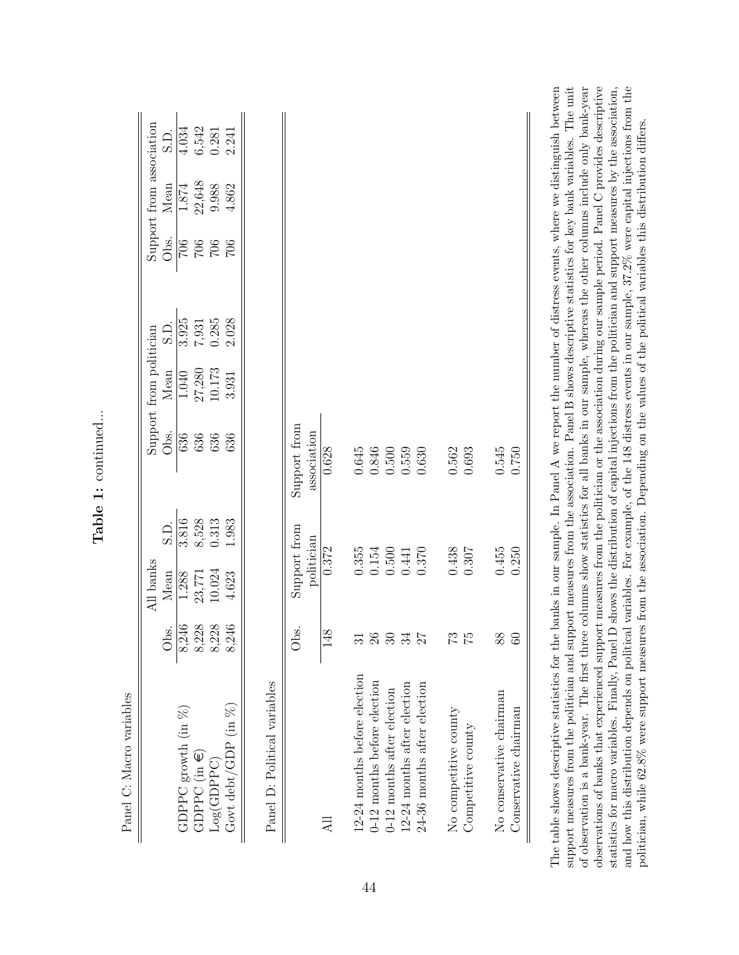|                              |                    | All banks                  |                    |                             | Support from politician |                |                   | Support from association |                  |
|------------------------------|--------------------|----------------------------|--------------------|-----------------------------|-------------------------|----------------|-------------------|--------------------------|------------------|
|                              | Obs.               | Mean                       | $\frac{1}{\Omega}$ | Obs.                        | Mean                    | S.             | Obs.              | Mean                     | C.<br>Si         |
| GDPPC growth $(in %)$        | 8,246              | 1.288                      | 3.816              | 636                         | 1.040                   | 3.925          | 706               | 1.874                    | 4.034            |
| $GDPCC$ (in $\in$ )          |                    |                            | 8,528              | 636                         | 27,280<br>10.173        |                | $\frac{902}{902}$ | 22,648                   |                  |
| Log(GDPPC)                   | $8,228$<br>$8,228$ | 23,771<br>10.024           | 0.313              | 636                         |                         | 7,931<br>0.285 |                   | 9.988                    | $6,542$<br>0.281 |
| Govt debt/GDP $(in %)$       | 8,246              | 4.623                      | 1.983              | 636                         | 3.931                   | 2.028          | 706               | 4.862                    | 2.241            |
|                              |                    |                            |                    |                             |                         |                |                   |                          |                  |
| Panel D: Political variables |                    |                            |                    |                             |                         |                |                   |                          |                  |
|                              | Obs.               | Support from<br>politician |                    | Support from<br>association |                         |                |                   |                          |                  |
| 급                            | 148                | 0.372                      |                    | 0.628                       |                         |                |                   |                          |                  |
| 12-24 months before election | 31                 | 0.355                      |                    | 0.645                       |                         |                |                   |                          |                  |
| 0-12 months before election  | 26                 | 0.154                      |                    | 0.846                       |                         |                |                   |                          |                  |
| 0-12 months after election   | 30 <sub>o</sub>    | 0.500                      |                    | $0.500\,$                   |                         |                |                   |                          |                  |
| 12-24 months after election  | 34                 | 0.441                      |                    | 0.559                       |                         |                |                   |                          |                  |
| 24-36 months after election  | 27                 | 0.370                      |                    | 0.630                       |                         |                |                   |                          |                  |
| No competitive county        | 73                 | 0.438                      |                    | 0.562                       |                         |                |                   |                          |                  |
| Competitive county           | 52                 | 0.307                      |                    | 0.693                       |                         |                |                   |                          |                  |
| No conservative chairman     | 88                 | 0.455                      |                    | 0.545                       |                         |                |                   |                          |                  |
| Conservative chairman        | 60                 | 0.250                      |                    | 0.750                       |                         |                |                   |                          |                  |

Table 1: continued... Table 1: continued...

support measures from the politician and support measures from the association. Panel B shows descriptive statistics for key bank variables. The unit of observation is a bank-year. The first three columns show statistics for all banks in our sample, whereas the other columns include only bank-year observations of banks that experienced support measures from the politician or the association during our sample period. Panel C provides descriptive and how this distribution depends on political variables. For example, of the 148 distress events in our sample, 37.2% were capital injections from the statistics for macro variables. Finally, Panel D shows the distribution of capital injections from the politician and support measures by the association, The table shows descriptive statistics for the banks in our sample. In Panel A we report the number of distress events, where we distinguish between of observation is a bank-year. The first three columns show statistics for all banks in our sample, whereas the other columns include only bank-year observations of banks that experienced support measures from the politician or the association during our sample period. Panel C provides descriptive and how this distribution depends on political variables. For example, of the 148 distress events in our sample, 37.2% were capital injections from the support measures from the politician and support measures from the association. Panel B shows descriptive statistics for key bank variables. The unit statistics for macro variables. Finally, Panel D shows the distribution of capital injections from the politician and support measures by the association, politician, while 62.8% were support measures from the association. Depending on the values of the political variables this distribution differs. politician, while 62.8% were support measures from the association. Depending on the values of the political variables this distribution differs. The 1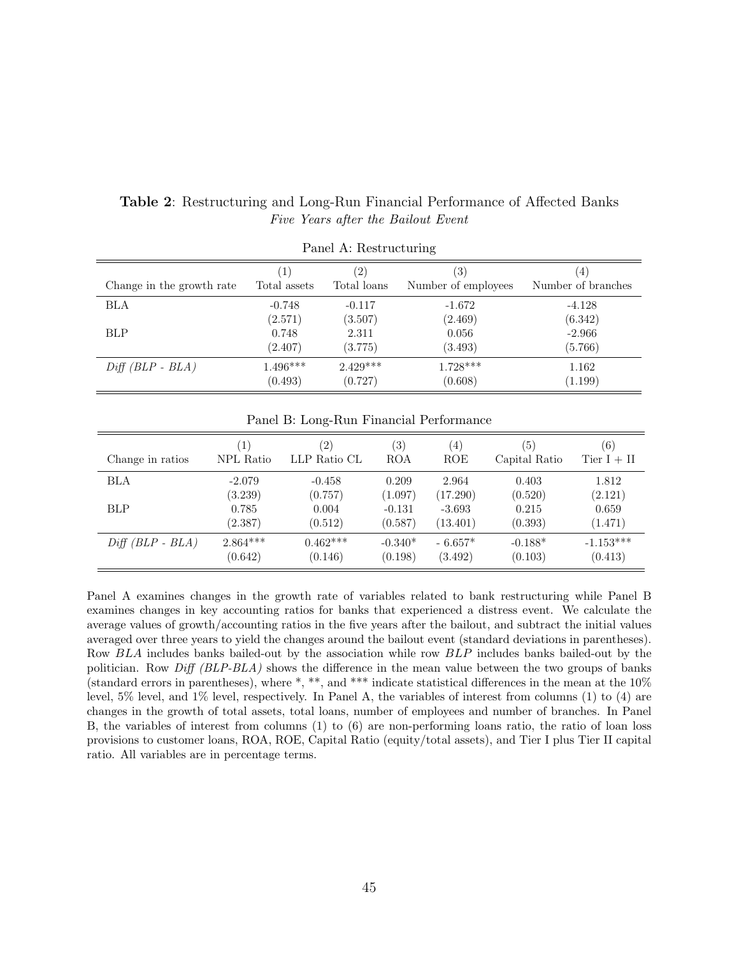|                           |                  | Panel A: Restructuring |                     |                    |
|---------------------------|------------------|------------------------|---------------------|--------------------|
| Change in the growth rate | $\left  \right $ | $\left( 2\right)$      | $\left( 3\right)$   | $\left(4\right)$   |
|                           | Total assets     | Total loans            | Number of employees | Number of branches |
| BLA                       | $-0.748$         | $-0.117$               | $-1.672$            | $-4.128$           |
|                           | (2.571)          | (3.507)                | (2.469)             | (6.342)            |
| <b>BLP</b>                | 0.748            | 2.311                  | 0.056               | $-2.966$           |
|                           | (2.407)          | (3.775)                | (3.493)             | (5.766)            |
| $Diff(BLP - BLA)$         | $1.496***$       | $2.429***$             | $1.728***$          | 1.162              |
|                           | (0.493)          | (0.727)                | (0.608)             | (1.199)            |

#### <span id="page-44-0"></span>Table 2: Restructuring and Long-Run Financial Performance of Affected Banks Five Years after the Bailout Event

| Change in ratios  | $\left 1\right\rangle$ | (2)          | $\left( 3\right)$ | (4)       | (5)           | (6)           |
|-------------------|------------------------|--------------|-------------------|-----------|---------------|---------------|
|                   | NPL Ratio              | LLP Ratio CL | ROA               | ROE       | Capital Ratio | Tier $I + II$ |
| BLA               | $-2.079$               | $-0.458$     | 0.209             | 2.964     | 0.403         | 1.812         |
| BLP               | (3.239)                | (0.757)      | (1.097)           | (17.290)  | (0.520)       | (2.121)       |
|                   | 0.785                  | 0.004        | $-0.131$          | $-3.693$  | 0.215         | 0.659         |
|                   | (2.387)                | (0.512)      | (0.587)           | (13.401)  | (0.393)       | (1.471)       |
| $Diff(BLP - BLA)$ | $2.864***$             | $0.462***$   | $-0.340*$         | $-6.657*$ | $-0.188*$     | $-1.153***$   |
|                   | (0.642)                | (0.146)      | (0.198)           | (3.492)   | (0.103)       | (0.413)       |

Panel A examines changes in the growth rate of variables related to bank restructuring while Panel B examines changes in key accounting ratios for banks that experienced a distress event. We calculate the average values of growth/accounting ratios in the five years after the bailout, and subtract the initial values averaged over three years to yield the changes around the bailout event (standard deviations in parentheses). Row BLA includes banks bailed-out by the association while row BLP includes banks bailed-out by the politician. Row Diff (BLP-BLA) shows the difference in the mean value between the two groups of banks (standard errors in parentheses), where \*, \*\*, and \*\*\* indicate statistical differences in the mean at the 10% level, 5% level, and 1% level, respectively. In Panel A, the variables of interest from columns (1) to (4) are changes in the growth of total assets, total loans, number of employees and number of branches. In Panel B, the variables of interest from columns (1) to (6) are non-performing loans ratio, the ratio of loan loss provisions to customer loans, ROA, ROE, Capital Ratio (equity/total assets), and Tier I plus Tier II capital ratio. All variables are in percentage terms.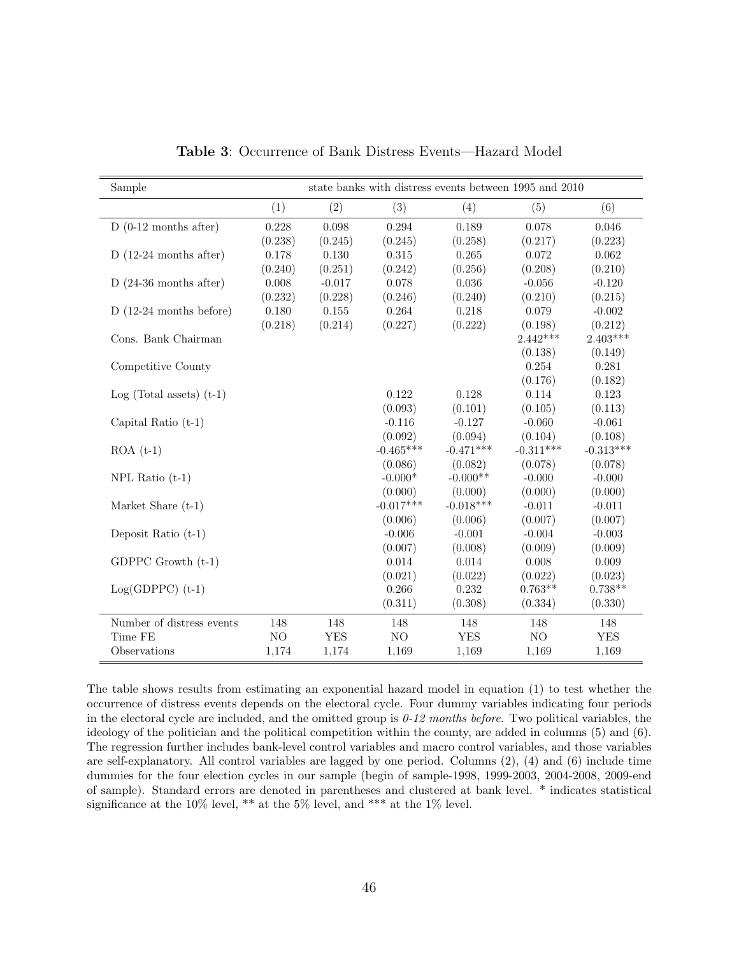<span id="page-45-0"></span>

| Sample                     |         |            | state banks with distress events between 1995 and 2010 |             |             |             |
|----------------------------|---------|------------|--------------------------------------------------------|-------------|-------------|-------------|
|                            | (1)     | (2)        | (3)                                                    | (4)         | (5)         | (6)         |
| $D(0-12$ months after)     | 0.228   | 0.098      | 0.294                                                  | 0.189       | 0.078       | $0.046\,$   |
|                            | (0.238) | (0.245)    | (0.245)                                                | (0.258)     | (0.217)     | (0.223)     |
| $D(12-24$ months after)    | 0.178   | 0.130      | 0.315                                                  | 0.265       | 0.072       | 0.062       |
|                            | (0.240) | (0.251)    | (0.242)                                                | (0.256)     | (0.208)     | (0.210)     |
| $D(24-36$ months after)    | 0.008   | $-0.017$   | 0.078                                                  | 0.036       | $-0.056$    | $-0.120$    |
|                            | (0.232) | (0.228)    | (0.246)                                                | (0.240)     | (0.210)     | (0.215)     |
| $D(12-24$ months before)   | 0.180   | $0.155\,$  | 0.264                                                  | 0.218       | 0.079       | $-0.002$    |
|                            | (0.218) | (0.214)    | (0.227)                                                | (0.222)     | (0.198)     | (0.212)     |
| Cons. Bank Chairman        |         |            |                                                        |             | $2.442***$  | $2.403***$  |
|                            |         |            |                                                        |             | (0.138)     | (0.149)     |
| Competitive County         |         |            |                                                        |             | 0.254       | 0.281       |
|                            |         |            |                                                        |             | (0.176)     | (0.182)     |
| $Log (Total assets) (t-1)$ |         |            | 0.122                                                  | 0.128       | 0.114       | 0.123       |
|                            |         |            | (0.093)                                                | (0.101)     | (0.105)     | (0.113)     |
| Capital Ratio $(t-1)$      |         |            | $-0.116$                                               | $-0.127$    | $-0.060$    | $-0.061$    |
|                            |         |            | (0.092)                                                | (0.094)     | (0.104)     | (0.108)     |
| $ROA(t-1)$                 |         |            | $-0.465***$                                            | $-0.471***$ | $-0.311***$ | $-0.313***$ |
|                            |         |            | (0.086)                                                | (0.082)     | (0.078)     | (0.078)     |
| $NPL$ Ratio $(t-1)$        |         |            | $-0.000*$                                              | $-0.000**$  | $-0.000$    | $-0.000$    |
|                            |         |            | (0.000)                                                | (0.000)     | (0.000)     | (0.000)     |
| Market Share (t-1)         |         |            | $-0.017***$                                            | $-0.018***$ | $-0.011$    | $-0.011$    |
|                            |         |            | (0.006)                                                | (0.006)     | (0.007)     | (0.007)     |
| Deposit Ratio $(t-1)$      |         |            | $-0.006$                                               | $-0.001$    | $-0.004$    | $-0.003$    |
|                            |         |            | (0.007)                                                | (0.008)     | (0.009)     | (0.009)     |
| GDPPC Growth $(t-1)$       |         |            | 0.014                                                  | 0.014       | 0.008       | 0.009       |
|                            |         |            | (0.021)                                                | (0.022)     | (0.022)     | (0.023)     |
| $Log(GDPPC)$ (t-1)         |         |            | 0.266                                                  | 0.232       | $0.763**$   | $0.738**$   |
|                            |         |            | (0.311)                                                | (0.308)     | (0.334)     | (0.330)     |
| Number of distress events  | 148     | 148        | 148                                                    | 148         | 148         | 148         |
| Time FE                    | NO      | <b>YES</b> | $\rm NO$                                               | <b>YES</b>  | NO          | <b>YES</b>  |
| Observations               | 1,174   | 1,174      | 1,169                                                  | 1,169       | 1,169       | 1,169       |

Table 3: Occurrence of Bank Distress Events—Hazard Model

The table shows results from estimating an exponential hazard model in equation [\(1\)](#page-18-1) to test whether the occurrence of distress events depends on the electoral cycle. Four dummy variables indicating four periods in the electoral cycle are included, and the omitted group is  $0-12$  months before. Two political variables, the ideology of the politician and the political competition within the county, are added in columns (5) and (6). The regression further includes bank-level control variables and macro control variables, and those variables are self-explanatory. All control variables are lagged by one period. Columns (2), (4) and (6) include time dummies for the four election cycles in our sample (begin of sample-1998, 1999-2003, 2004-2008, 2009-end of sample). Standard errors are denoted in parentheses and clustered at bank level. \* indicates statistical significance at the 10% level, \*\* at the 5% level, and \*\*\* at the 1% level.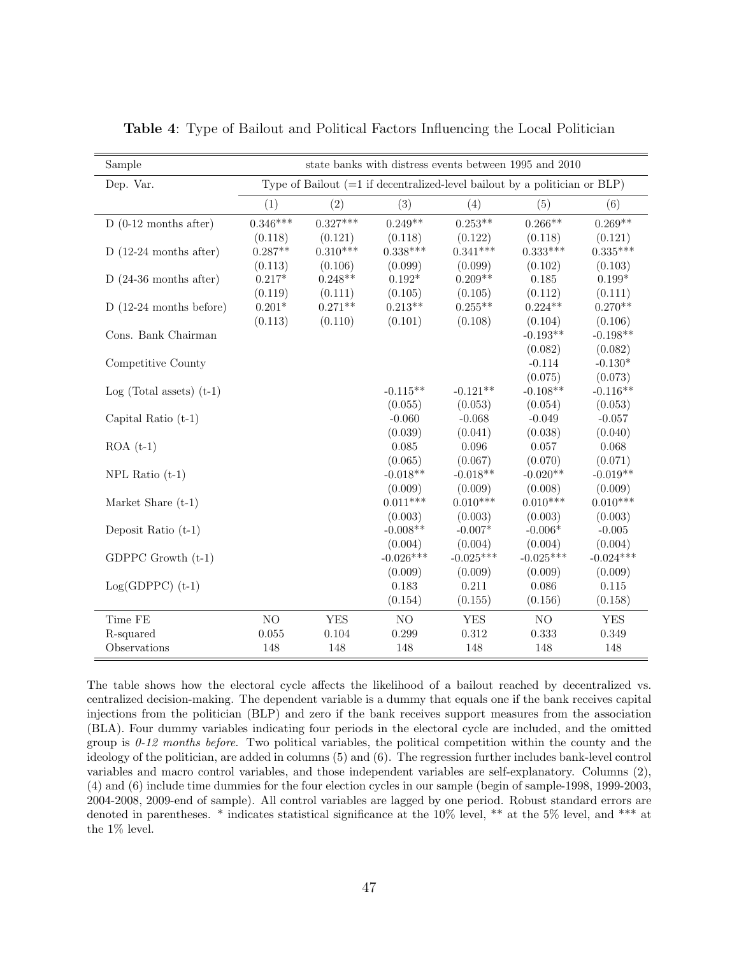| Sample                     |            |            | state banks with distress events between 1995 and 2010                       |             |             |             |
|----------------------------|------------|------------|------------------------------------------------------------------------------|-------------|-------------|-------------|
| Dep. Var.                  |            |            | Type of Bailout $(=1$ if decentralized-level bailout by a politician or BLP) |             |             |             |
|                            | (1)        | (2)        | (3)                                                                          | (4)         | (5)         | (6)         |
| $D(0-12$ months after)     | $0.346***$ | $0.327***$ | $0.249**$                                                                    | $0.253**$   | $0.266**$   | $0.269**$   |
|                            | (0.118)    | (0.121)    | (0.118)                                                                      | (0.122)     | (0.118)     | (0.121)     |
| $D(12-24$ months after)    | $0.287**$  | $0.310***$ | $0.338***$                                                                   | $0.341***$  | $0.333***$  | $0.335***$  |
|                            | (0.113)    | (0.106)    | (0.099)                                                                      | (0.099)     | (0.102)     | (0.103)     |
| $D(24-36$ months after)    | $0.217*$   | $0.248**$  | $0.192*$                                                                     | $0.209**$   | 0.185       | $0.199*$    |
|                            | (0.119)    | (0.111)    | (0.105)                                                                      | (0.105)     | (0.112)     | (0.111)     |
| $D(12-24$ months before)   | $0.201*$   | $0.271**$  | $0.213**$                                                                    | $0.255**$   | $0.224**$   | $0.270**$   |
|                            | (0.113)    | (0.110)    | (0.101)                                                                      | (0.108)     | (0.104)     | (0.106)     |
| Cons. Bank Chairman        |            |            |                                                                              |             | $-0.193**$  | $-0.198**$  |
|                            |            |            |                                                                              |             | (0.082)     | (0.082)     |
| Competitive County         |            |            |                                                                              |             | $-0.114$    | $-0.130*$   |
|                            |            |            |                                                                              |             | (0.075)     | (0.073)     |
| $Log (Total assets) (t-1)$ |            |            | $-0.115**$                                                                   | $-0.121**$  | $-0.108**$  | $-0.116**$  |
|                            |            |            | (0.055)                                                                      | (0.053)     | (0.054)     | (0.053)     |
| Capital Ratio $(t-1)$      |            |            | $-0.060$                                                                     | $-0.068$    | $-0.049$    | $-0.057$    |
|                            |            |            | (0.039)                                                                      | (0.041)     | (0.038)     | (0.040)     |
| $ROA(t-1)$                 |            |            | 0.085                                                                        | 0.096       | 0.057       | 0.068       |
|                            |            |            | (0.065)                                                                      | (0.067)     | (0.070)     | (0.071)     |
| $NPL$ Ratio $(t-1)$        |            |            | $-0.018**$                                                                   | $-0.018**$  | $-0.020**$  | $-0.019**$  |
|                            |            |            | (0.009)                                                                      | (0.009)     | (0.008)     | (0.009)     |
| Market Share $(t-1)$       |            |            | $0.011***$                                                                   | $0.010***$  | $0.010***$  | $0.010***$  |
|                            |            |            | (0.003)                                                                      | (0.003)     | (0.003)     | (0.003)     |
| Deposit Ratio $(t-1)$      |            |            | $-0.008**$                                                                   | $-0.007*$   | $-0.006*$   | $-0.005$    |
|                            |            |            | (0.004)                                                                      | (0.004)     | (0.004)     | (0.004)     |
| GDPPC Growth $(t-1)$       |            |            | $-0.026***$                                                                  | $-0.025***$ | $-0.025***$ | $-0.024***$ |
|                            |            |            | (0.009)                                                                      | (0.009)     | (0.009)     | (0.009)     |
| $Log(GDPPC)$ (t-1)         |            |            | 0.183                                                                        | 0.211       | 0.086       | 0.115       |
|                            |            |            | (0.154)                                                                      | (0.155)     | (0.156)     | (0.158)     |
| Time FE                    | NO         | <b>YES</b> | NO                                                                           | <b>YES</b>  | NO          | <b>YES</b>  |
| R-squared                  | 0.055      | 0.104      | 0.299                                                                        | 0.312       | 0.333       | 0.349       |
| Observations               | 148        | 148        | 148                                                                          | 148         | 148         | 148         |

<span id="page-46-0"></span>Table 4: Type of Bailout and Political Factors Influencing the Local Politician

The table shows how the electoral cycle affects the likelihood of a bailout reached by decentralized vs. centralized decision-making. The dependent variable is a dummy that equals one if the bank receives capital injections from the politician (BLP) and zero if the bank receives support measures from the association (BLA). Four dummy variables indicating four periods in the electoral cycle are included, and the omitted group is  $0-12$  months before. Two political variables, the political competition within the county and the ideology of the politician, are added in columns (5) and (6). The regression further includes bank-level control variables and macro control variables, and those independent variables are self-explanatory. Columns (2), (4) and (6) include time dummies for the four election cycles in our sample (begin of sample-1998, 1999-2003, 2004-2008, 2009-end of sample). All control variables are lagged by one period. Robust standard errors are denoted in parentheses. \* indicates statistical significance at the 10% level, \*\* at the 5% level, and \*\*\* at the  $1\%$  level.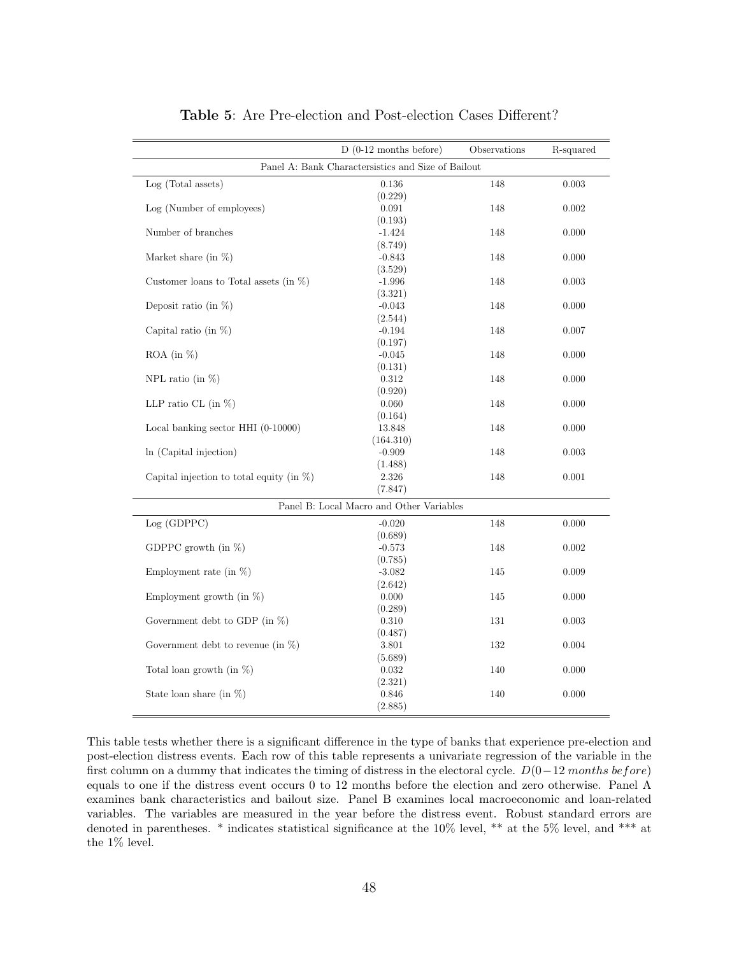<span id="page-47-0"></span>

|                                              | $D(0-12$ months before)                            | Observations | R-squared |
|----------------------------------------------|----------------------------------------------------|--------------|-----------|
|                                              | Panel A: Bank Charactersistics and Size of Bailout |              |           |
| Log (Total assets)                           | $0.136\,$                                          | 148          | 0.003     |
|                                              | (0.229)                                            |              |           |
| Log (Number of employees)                    | 0.091                                              | 148          | 0.002     |
|                                              | (0.193)                                            |              |           |
| Number of branches                           | $-1.424$                                           | 148          | 0.000     |
| Market share (in $\%$ )                      | (8.749)<br>$-0.843$                                | 148          | 0.000     |
|                                              | (3.529)                                            |              |           |
| Customer loans to Total assets (in $\%$ )    | $-1.996$                                           | 148          | 0.003     |
|                                              | (3.321)                                            |              |           |
| Deposit ratio (in $\%$ )                     | $-0.043$                                           | 148          | 0.000     |
|                                              | (2.544)                                            |              |           |
| Capital ratio (in $\%$ )                     | $-0.194$                                           | 148          | 0.007     |
|                                              | (0.197)                                            |              |           |
| $ROA$ (in $\%$ )                             | $-0.045$                                           | 148          | 0.000     |
|                                              | (0.131)                                            |              |           |
| NPL ratio (in $\%$ )                         | 0.312                                              | 148          | 0.000     |
|                                              | (0.920)                                            |              |           |
| LLP ratio CL (in $\%$ )                      | 0.060                                              | 148          | 0.000     |
|                                              | (0.164)                                            |              |           |
| Local banking sector HHI (0-10000)           | 13.848                                             | 148          | 0.000     |
|                                              | (164.310)                                          |              |           |
| In (Capital injection)                       | $-0.909$                                           | 148          | 0.003     |
|                                              | (1.488)                                            |              |           |
| Capital injection to total equity (in $\%$ ) | 2.326                                              | 148          | 0.001     |
|                                              | (7.847)                                            |              |           |
|                                              | Panel B: Local Macro and Other Variables           |              |           |
| Log (GDPPC)                                  | $-0.020$                                           | 148          | 0.000     |
|                                              | (0.689)                                            |              |           |
| GDPPC growth (in $\%$ )                      | $-0.573$                                           | 148          | 0.002     |
|                                              | (0.785)                                            |              |           |
| Employment rate (in $\%$ )                   | $-3.082$                                           | 145          | 0.009     |
|                                              | (2.642)                                            |              |           |
| Employment growth (in $\%$ )                 | 0.000                                              | 145          | 0.000     |
|                                              | (0.289)                                            |              |           |
| Government debt to GDP (in $\%$ )            | 0.310                                              | 131          | 0.003     |
|                                              | (0.487)                                            |              |           |
| Government debt to revenue (in $\%$ )        | 3.801                                              | 132          | 0.004     |
| Total loan growth (in $\%$ )                 | (5.689)<br>0.032                                   | 140          | 0.000     |
|                                              | (2.321)                                            |              |           |
| State loan share (in $\%$ )                  | 0.846                                              | 140          | 0.000     |
|                                              | (2.885)                                            |              |           |
|                                              |                                                    |              |           |

Table 5: Are Pre-election and Post-election Cases Different?

This table tests whether there is a significant difference in the type of banks that experience pre-election and post-election distress events. Each row of this table represents a univariate regression of the variable in the first column on a dummy that indicates the timing of distress in the electoral cycle.  $D(0-12$  months before) equals to one if the distress event occurs 0 to 12 months before the election and zero otherwise. Panel A examines bank characteristics and bailout size. Panel B examines local macroeconomic and loan-related variables. The variables are measured in the year before the distress event. Robust standard errors are denoted in parentheses. \* indicates statistical significance at the 10% level, \*\* at the 5% level, and \*\*\* at the 1% level.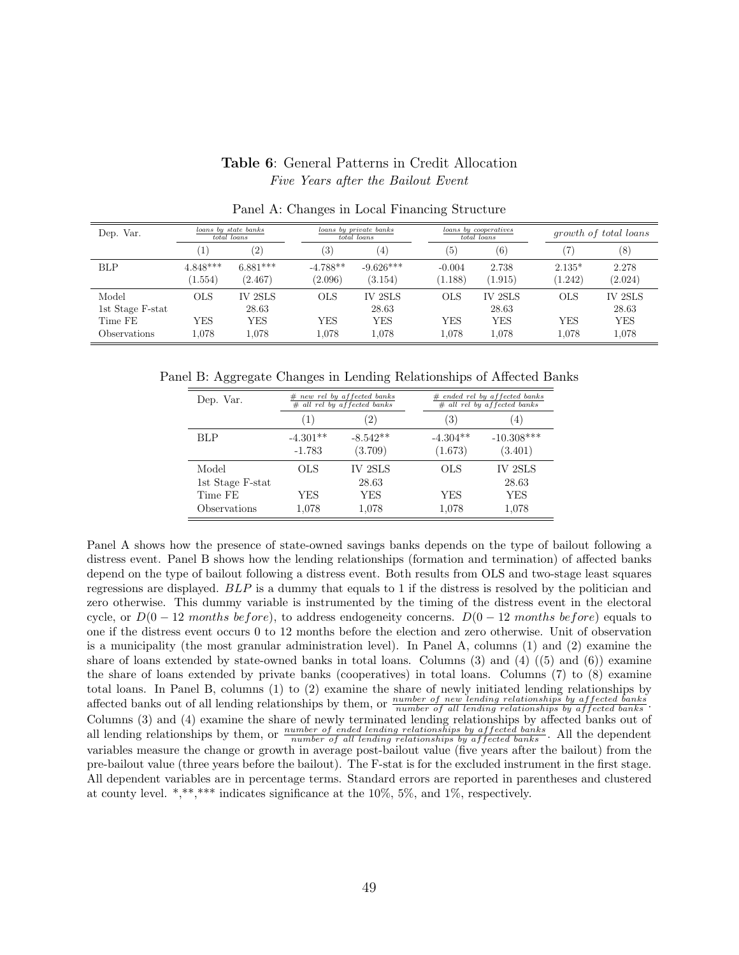#### Table 6: General Patterns in Credit Allocation Five Years after the Bailout Event

<span id="page-48-0"></span>

| Dep. Var.                                                   | loans by state banks  | total loans                                    |                                   | loans by private banks<br>total loans   |                                   | loans by cooperatives<br>total loans           |                                   | <i>growth of total loans</i>                   |
|-------------------------------------------------------------|-----------------------|------------------------------------------------|-----------------------------------|-----------------------------------------|-----------------------------------|------------------------------------------------|-----------------------------------|------------------------------------------------|
|                                                             | $\mathbf{1}$          | $\left( 2\right)$                              | $\left( 3\right)$                 | (4)                                     | (5)                               | $^{\rm (6)}$                                   |                                   | (8)                                            |
| <b>BLP</b>                                                  | $4.848***$<br>(1.554) | $6.881***$<br>(2.467)                          | $-4.788**$<br>(2.096)             | $-9.626***$<br>(3.154)                  | $-0.004$<br>1.188)                | 2.738<br>(1.915)                               | $2.135*$<br>(1.242)               | 2.278<br>(2.024)                               |
| Model<br>1st Stage F-stat<br>Time FE<br><b>Observations</b> | OLS<br>YES<br>1,078   | <b>IV 2SLS</b><br>28.63<br><b>YES</b><br>1.078 | <b>OLS</b><br><b>YES</b><br>1.078 | <b>IV 2SLS</b><br>28.63<br>YES<br>1.078 | <b>OLS</b><br><b>YES</b><br>1,078 | <b>IV 2SLS</b><br>28.63<br><b>YES</b><br>1,078 | <b>OLS</b><br><b>YES</b><br>1,078 | <b>IV 2SLS</b><br>28.63<br><b>YES</b><br>1,078 |

Panel A: Changes in Local Financing Structure

Panel B: Aggregate Changes in Lending Relationships of Affected Banks

| Dep. Var.        |            | $#$ new rel by affected banks<br>$#$ all rel by affected banks |            | $#$ ended rel by affected banks<br>$#$ all rel by affected banks |
|------------------|------------|----------------------------------------------------------------|------------|------------------------------------------------------------------|
|                  | (1)        | $\left(2\right)$                                               | 3)         | $\left(4\right)$                                                 |
| BLP              | $-4.301**$ | $-8.542**$                                                     | $-4.304**$ | $-10.308***$                                                     |
|                  | $-1.783$   | (3.709)                                                        | (1.673)    | (3.401)                                                          |
| Model            | OLS        | IV 2SLS                                                        | OLS        | IV 2SLS                                                          |
| 1st Stage F-stat |            | 28.63                                                          |            | 28.63                                                            |
| Time FE          | YES        | YES                                                            | YES        | YES                                                              |
| Observations     | 1,078      | 1,078                                                          | 1,078      | 1,078                                                            |

Panel A shows how the presence of state-owned savings banks depends on the type of bailout following a distress event. Panel B shows how the lending relationships (formation and termination) of affected banks depend on the type of bailout following a distress event. Both results from OLS and two-stage least squares regressions are displayed. BLP is a dummy that equals to 1 if the distress is resolved by the politician and zero otherwise. This dummy variable is instrumented by the timing of the distress event in the electoral cycle, or  $D(0-12$  months before), to address endogeneity concerns.  $D(0-12$  months before) equals to one if the distress event occurs 0 to 12 months before the election and zero otherwise. Unit of observation is a municipality (the most granular administration level). In Panel A, columns (1) and (2) examine the share of loans extended by state-owned banks in total loans. Columns  $(3)$  and  $(4)$   $((5)$  and  $(6))$  examine the share of loans extended by private banks (cooperatives) in total loans. Columns (7) to (8) examine total loans. In Panel B, columns (1) to (2) examine the share of newly initiated lending relationships by affected banks out of all lending relationships by them, or  $\frac{number\ of\ new\ lending\ relationship\ by\ affected\ banks}{number\ of\ all\ lending\ relationship\ by\ affected\ banks}$ . Columns (3) and (4) examine the share of newly terminated lending relationships by affected banks out of all lending relationships by them, or  $\frac{number\ of\ ended\ lending\ relationship\ by\ affected\ banks}{number\ of\ all\ lending\ relationships\ by\ affected\ banks}$ . All the dependent an ideal ending relationships by them, or *number of all lending relationships by affected banks*. This the dependent variables measure the change or growth in average post-bailout value (five years after the bailout) from pre-bailout value (three years before the bailout). The F-stat is for the excluded instrument in the first stage. All dependent variables are in percentage terms. Standard errors are reported in parentheses and clustered at county level. \*,\*\*,\*\*\* indicates significance at the  $10\%$ , 5%, and 1%, respectively.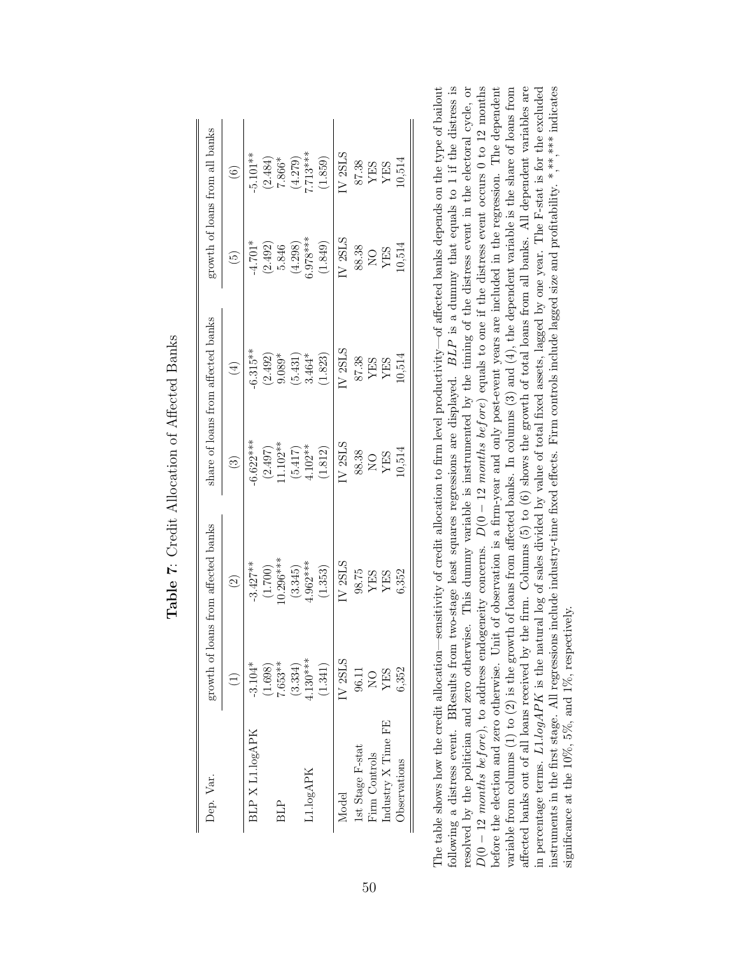| Dep. Var.            | growth of 1    | loans from affected banks                                                        |                                     | share of loans from affected banks                                                                     |                                                                           | growth of loans from all banks                                                           |
|----------------------|----------------|----------------------------------------------------------------------------------|-------------------------------------|--------------------------------------------------------------------------------------------------------|---------------------------------------------------------------------------|------------------------------------------------------------------------------------------|
|                      |                | $\odot$                                                                          | $\odot$                             | $\bigoplus$                                                                                            | $\widetilde{\Theta}$                                                      | $\odot$                                                                                  |
| BLP X L1.logAPK      | $-3.104*$      | $-3.427**$                                                                       | $-6.622***$                         | $-6.315**$                                                                                             | $-4.701*$                                                                 | $-5.101**$                                                                               |
|                      | (1.698)        | $(1.700)$<br>$(0.296***$                                                         |                                     |                                                                                                        |                                                                           |                                                                                          |
| <b>BLP</b>           | $7.653**$      |                                                                                  | $(2.497)$<br>11.102**               | $(2.492)$<br>9.089*                                                                                    | $(2.492)$<br>5.846<br>$(4.298)$<br>$(9.78***)$                            | $(2.484)$<br>7.866*                                                                      |
|                      | (3.334)        | (3.345)                                                                          | $(5.417)$<br>4.102**                | $(5.431)$<br>$3.464*$                                                                                  |                                                                           | $(4.279)$<br>7.713***                                                                    |
| 1.logAPK             | $1.30***$      | $1.962***$                                                                       |                                     |                                                                                                        |                                                                           |                                                                                          |
|                      | (1.341)        | (1.353)                                                                          | $(1.812)$                           | (1.823)                                                                                                | (1.849)                                                                   | (1.859)                                                                                  |
| Model                | IV 2SLS        | IV <sub>2SLS</sub>                                                               | IV <sub>2SLS</sub>                  | V <sub>2SLS</sub>                                                                                      | IV 2SLS                                                                   | $N$ 2SLS                                                                                 |
| Ist Stage F-stat     | 96.11          |                                                                                  |                                     |                                                                                                        |                                                                           |                                                                                          |
| Firm Controls        | $\overline{O}$ |                                                                                  |                                     |                                                                                                        |                                                                           |                                                                                          |
| Industry X Time FE   | YES            | $\begin{array}{c} 98.75 \\ \text{YES} \\ \text{YES} \\ \text{G.352} \end{array}$ | 88.38<br>NO<br>YES<br>YES<br>10,514 | $\begin{array}{c} \text{87.38} \\ \text{YES} \\ \text{YES} \\ \text{YES} \\ \text{10.514} \end{array}$ | $\begin{array}{c} 88.38 \\ \text{NO} \\ \text{YES} \\ 10.514 \end{array}$ | $\begin{array}{c} \text{87.38} \\ \text{YES} \\ \text{YES} \\ \text{10.514} \end{array}$ |
| <b>J</b> bservations | 6,352          |                                                                                  |                                     |                                                                                                        |                                                                           |                                                                                          |

<span id="page-49-0"></span>Table 7: Credit Allocation of Affected Banks Table 7: Credit Allocation of Affected Banks

following a distress event. BResults from two-stage least squares regressions are displayed. BLP is a dummy that equals to 1 if the distress is resolved by the politician and zero otherwise. This dummy variable is instrumented by the timing of the distress event in the electoral cycle, or  $D(0-12 \text{ months } before)$ , to address endogeneity concerns.  $D(0-12 \text{ months } before)$  equals to one if the distress event occurs 0 to 12 months before the election and zero otherwise. Unit of observation is a firm-year and only post-event years are included in the regression. The dependent variable from columns  $(1)$  to  $(2)$  is the growth of loans from affected banks. In columns  $(3)$  and  $(4)$ , the dependent variable is the share of loans from affected banks out of all loans received by the firm. Columns (5) to (6) shows the growth of total loans from all banks. All dependent variables are The table shows how the credit allocation—sensitivity of credit allocation to firm level productivity—of affected banks depends on the type of bailout following a distress event. BResults from two-stage least squares regressions are displayed. BLP is a dummy that equals to 1 if the distress is in percentage terms.  $L1.logAPK$  is the natural log of sales divided by value of total fixed assets, lagged by one year. The F-stat is for the excluded instruments in the first stage. All regressions include industry-time fixed effects. Firm controls include lagged size and profitability. \*,\*\*\*\*\* indicates resolved by the politician and zero otherwise. This dummy variable is instrumented by the timing of the distress event in the electoral cycle, or  $D(0 - 12 \text{ months } before)$ , to address endogeneity concerns.  $D(0 - 12 \text{ months } before)$  equals to one if the distress event occurs 0 to 12 months  $\cdots$ variable from columns (1) to (2) is the growth of loans from affected banks. In columns (3) and (4), the dependent variable is the share of loans from  $\frac{a}{1}$ affected banks out of all loans received by the firm. Columns (5) to (6) shows the growth of total loans from all banks. All dependent variables are in percentage terms. L1.logAPK is the natural log of sales divided by value of total fixed assets, lagged by one year. The F-stat is for the excluded is for the excluded is for the excluded is for the excluded is for the e instruments in the first stage. All regressions include industry-time fixed effects. Firm controls include lagged size and profitability.  $*,**$  indicates The table shows how the credit allocation—sensitivity of credit allocation to firm level productivity—of affected banks depends on the type of bailout before the election and zero otherwise. Unit of observation is a firm-year and only post-event years are included in the regression. The dependent significance at the 10%, 5%, and 1%, respectively. significance at the  $10\%$ ,  $5\%$ , and  $1\%$ , respectively.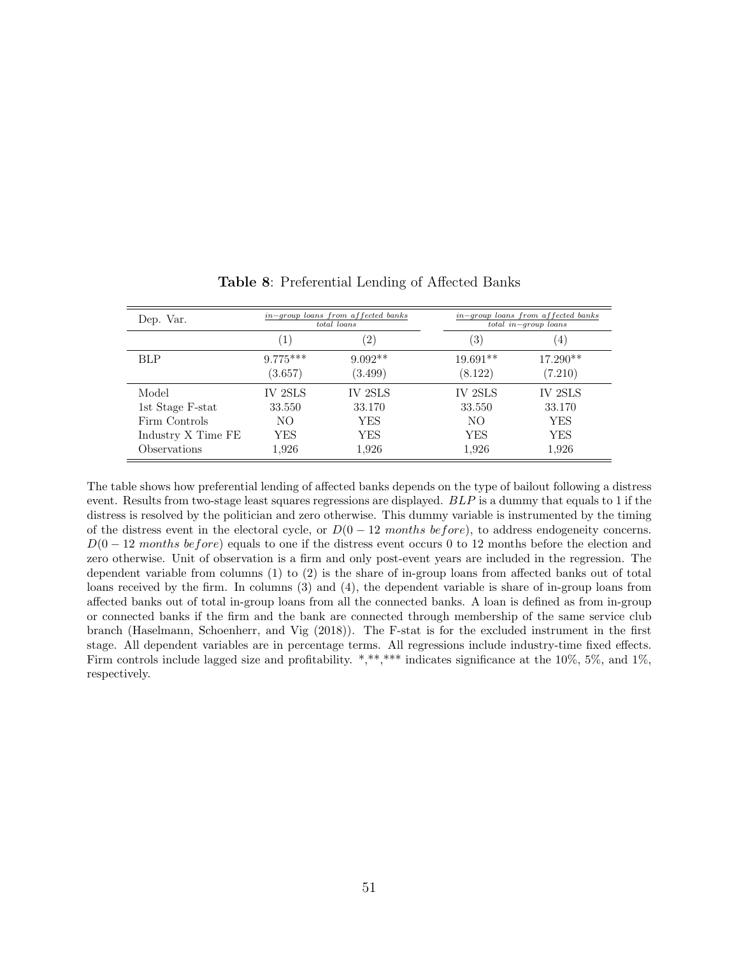<span id="page-50-0"></span>

| Dep. Var.                  |                                   | in-group loans from affected banks<br>total loans | $in-group$ loans from affected banks<br>$\overline{total}$ in-group loans |                  |  |
|----------------------------|-----------------------------------|---------------------------------------------------|---------------------------------------------------------------------------|------------------|--|
|                            | $^{\prime}2)$<br>$\left(1\right)$ |                                                   | 3)                                                                        | $\left(4\right)$ |  |
| <b>BLP</b>                 | $9.775***$                        | $9.092**$                                         | $19.691**$                                                                | $17.290**$       |  |
|                            | (3.657)                           | (3.499)                                           | (8.122)                                                                   | (7.210)          |  |
| Model                      | IV 2SLS                           | IV 2SLS                                           | IV 2SLS                                                                   | IV 2SLS          |  |
| 1st Stage F-stat           | 33.550                            | 33.170                                            | 33.550                                                                    | 33.170           |  |
| Firm Controls              | NO.                               | YES                                               | NO.                                                                       | YES              |  |
| Industry X Time FE         | YES                               | YES                                               | YES                                                                       | YES              |  |
| <i><b>Observations</b></i> | 1,926                             | 1,926                                             | 1,926                                                                     | 1,926            |  |

Table 8: Preferential Lending of Affected Banks

The table shows how preferential lending of affected banks depends on the type of bailout following a distress event. Results from two-stage least squares regressions are displayed. BLP is a dummy that equals to 1 if the distress is resolved by the politician and zero otherwise. This dummy variable is instrumented by the timing of the distress event in the electoral cycle, or  $D(0 - 12 \text{ months before})$ , to address endogeneity concerns.  $D(0-12$  months before) equals to one if the distress event occurs 0 to 12 months before the election and zero otherwise. Unit of observation is a firm and only post-event years are included in the regression. The dependent variable from columns (1) to (2) is the share of in-group loans from affected banks out of total loans received by the firm. In columns (3) and (4), the dependent variable is share of in-group loans from affected banks out of total in-group loans from all the connected banks. A loan is defined as from in-group or connected banks if the firm and the bank are connected through membership of the same service club branch [\(Haselmann, Schoenherr, and Vig](#page-38-15) [\(2018\)](#page-38-15)). The F-stat is for the excluded instrument in the first stage. All dependent variables are in percentage terms. All regressions include industry-time fixed effects. Firm controls include lagged size and profitability. \*,\*\*,\*\*\* indicates significance at the 10%, 5%, and 1%, respectively.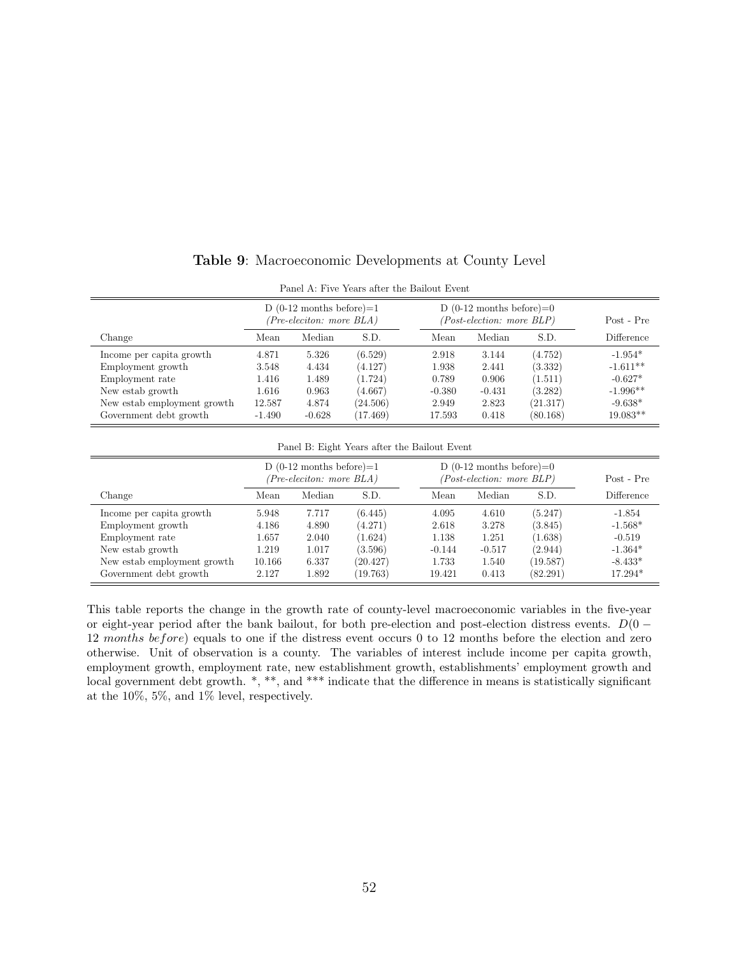<span id="page-51-0"></span>

| Panel A: Five Years after the Bailout Event |                                                        |          |          |          |                                                         |            |                   |  |
|---------------------------------------------|--------------------------------------------------------|----------|----------|----------|---------------------------------------------------------|------------|-------------------|--|
|                                             | D $(0-12$ months before)=1<br>(Pre-eleciton: more BLA) |          |          |          | D $(0-12$ months before)=0<br>(Post-election: more BLP) | Post - Pre |                   |  |
| Change                                      | Mean                                                   | Median   | S.D.     | Mean     | Median                                                  | S.D.       | <b>Difference</b> |  |
| Income per capita growth                    | 4.871                                                  | 5.326    | (6.529)  | 2.918    | 3.144                                                   | (4.752)    | $-1.954*$         |  |
| Employment growth                           | 3.548                                                  | 4.434    | (4.127)  | 1.938    | 2.441                                                   | (3.332)    | $-1.611**$        |  |
| Employment rate                             | 1.416                                                  | 1.489    | (1.724)  | 0.789    | 0.906                                                   | (1.511)    | $-0.627*$         |  |
| New estab growth                            | 1.616                                                  | 0.963    | (4.667)  | $-0.380$ | $-0.431$                                                | (3.282)    | $-1.996**$        |  |
| New estab employment growth                 | 12.587                                                 | 4.874    | (24.506) | 2.949    | 2.823                                                   | (21.317)   | $-9.638*$         |  |
| Government debt growth                      | $-1.490$                                               | $-0.628$ | (17.469) | 17.593   | 0.418                                                   | (80.168)   | $19.083**$        |  |

Table 9: Macroeconomic Developments at County Level

| Panel B: Eight Years after the Bailout Event |                                                                |        |          |                                                                 |          |          |            |  |
|----------------------------------------------|----------------------------------------------------------------|--------|----------|-----------------------------------------------------------------|----------|----------|------------|--|
|                                              | D $(0-12 \text{ months before})=1$<br>(Pre-eleciton: more BLA) |        |          | D $(0-12 \text{ months before})=0$<br>(Post-election: more BLP) |          |          | Post - Pre |  |
| Change                                       | Mean                                                           | Median | S.D.     | Mean                                                            | Median   | S.D.     | Difference |  |
| Income per capita growth                     | 5.948                                                          | 7.717  | (6.445)  | 4.095                                                           | 4.610    | (5.247)  | $-1.854$   |  |
| Employment growth                            | 4.186                                                          | 4.890  | (4.271)  | 2.618                                                           | 3.278    | (3.845)  | $-1.568*$  |  |
| Employment rate                              | 1.657                                                          | 2.040  | (1.624)  | 1.138                                                           | 1.251    | (1.638)  | $-0.519$   |  |
| New estab growth                             | 1.219                                                          | 1.017  | (3.596)  | $-0.144$                                                        | $-0.517$ | (2.944)  | $-1.364*$  |  |
| New estab employment growth                  | 10.166                                                         | 6.337  | (20.427) | 1.733                                                           | 1.540    | (19.587) | $-8.433*$  |  |
| Government debt growth                       | 2.127                                                          | 1.892  | (19.763) | 19.421                                                          | 0.413    | (82.291) | 17.294*    |  |

This table reports the change in the growth rate of county-level macroeconomic variables in the five-year or eight-year period after the bank bailout, for both pre-election and post-election distress events.  $D(0 -$ 12 months before) equals to one if the distress event occurs 0 to 12 months before the election and zero otherwise. Unit of observation is a county. The variables of interest include income per capita growth, employment growth, employment rate, new establishment growth, establishments' employment growth and local government debt growth.  $*, **$ , and  $***$  indicate that the difference in means is statistically significant at the 10%, 5%, and 1% level, respectively.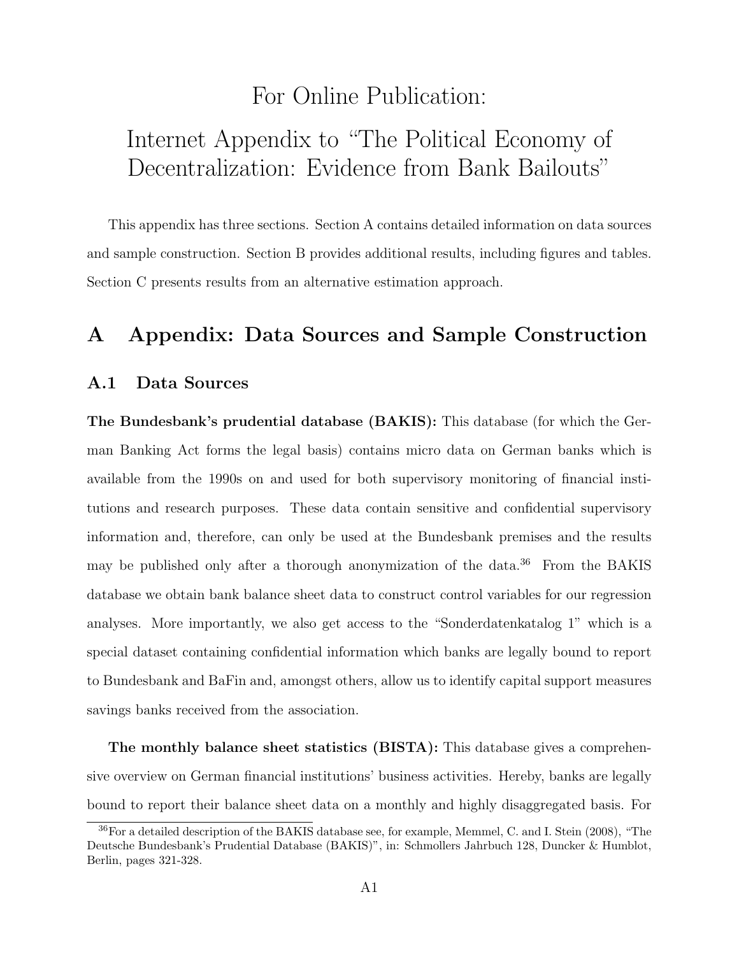## For Online Publication:

# Internet Appendix to "The Political Economy of Decentralization: Evidence from Bank Bailouts"

This appendix has three sections. Section [A](#page-52-0) contains detailed information on data sources and sample construction. Section [B](#page-58-2) provides additional results, including figures and tables. Section [C](#page-67-0) presents results from an alternative estimation approach.

## <span id="page-52-0"></span>A Appendix: Data Sources and Sample Construction

#### A.1 Data Sources

The Bundesbank's prudential database (BAKIS): This database (for which the German Banking Act forms the legal basis) contains micro data on German banks which is available from the 1990s on and used for both supervisory monitoring of financial institutions and research purposes. These data contain sensitive and confidential supervisory information and, therefore, can only be used at the Bundesbank premises and the results may be published only after a thorough anonymization of the data.<sup>[36](#page-52-1)</sup> From the BAKIS database we obtain bank balance sheet data to construct control variables for our regression analyses. More importantly, we also get access to the "Sonderdatenkatalog 1" which is a special dataset containing confidential information which banks are legally bound to report to Bundesbank and BaFin and, amongst others, allow us to identify capital support measures savings banks received from the association.

The monthly balance sheet statistics (BISTA): This database gives a comprehensive overview on German financial institutions' business activities. Hereby, banks are legally bound to report their balance sheet data on a monthly and highly disaggregated basis. For

<span id="page-52-1"></span><sup>36</sup>For a detailed description of the BAKIS database see, for example, Memmel, C. and I. Stein (2008), "The Deutsche Bundesbank's Prudential Database (BAKIS)", in: Schmollers Jahrbuch 128, Duncker & Humblot, Berlin, pages 321-328.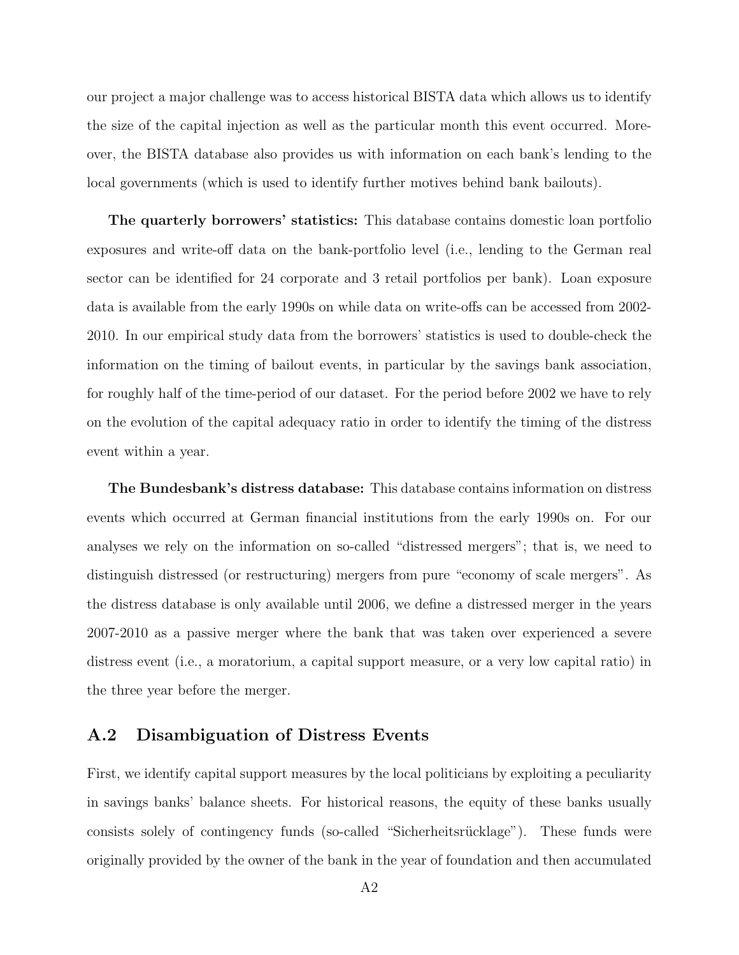our project a major challenge was to access historical BISTA data which allows us to identify the size of the capital injection as well as the particular month this event occurred. Moreover, the BISTA database also provides us with information on each bank's lending to the local governments (which is used to identify further motives behind bank bailouts).

The quarterly borrowers' statistics: This database contains domestic loan portfolio exposures and write-off data on the bank-portfolio level (i.e., lending to the German real sector can be identified for 24 corporate and 3 retail portfolios per bank). Loan exposure data is available from the early 1990s on while data on write-offs can be accessed from 2002- 2010. In our empirical study data from the borrowers' statistics is used to double-check the information on the timing of bailout events, in particular by the savings bank association, for roughly half of the time-period of our dataset. For the period before 2002 we have to rely on the evolution of the capital adequacy ratio in order to identify the timing of the distress event within a year.

The Bundesbank's distress database: This database contains information on distress events which occurred at German financial institutions from the early 1990s on. For our analyses we rely on the information on so-called "distressed mergers"; that is, we need to distinguish distressed (or restructuring) mergers from pure "economy of scale mergers". As the distress database is only available until 2006, we define a distressed merger in the years 2007-2010 as a passive merger where the bank that was taken over experienced a severe distress event (i.e., a moratorium, a capital support measure, or a very low capital ratio) in the three year before the merger.

#### A.2 Disambiguation of Distress Events

First, we identify capital support measures by the local politicians by exploiting a peculiarity in savings banks' balance sheets. For historical reasons, the equity of these banks usually consists solely of contingency funds (so-called "Sicherheitsrücklage"). These funds were originally provided by the owner of the bank in the year of foundation and then accumulated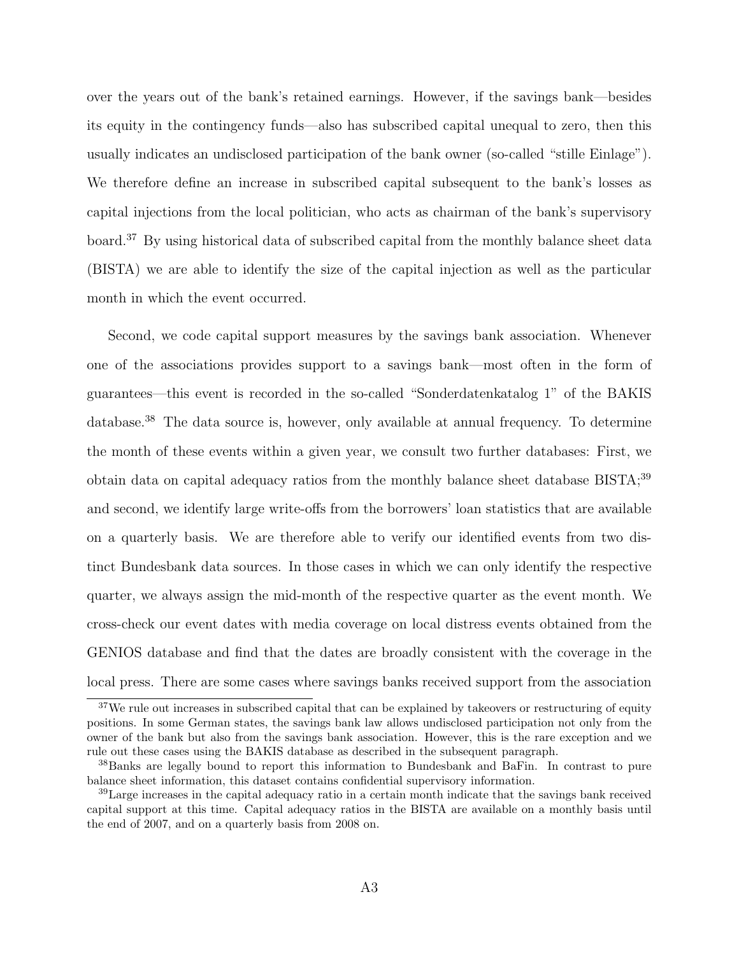over the years out of the bank's retained earnings. However, if the savings bank—besides its equity in the contingency funds—also has subscribed capital unequal to zero, then this usually indicates an undisclosed participation of the bank owner (so-called "stille Einlage"). We therefore define an increase in subscribed capital subsequent to the bank's losses as capital injections from the local politician, who acts as chairman of the bank's supervisory board.[37](#page-54-0) By using historical data of subscribed capital from the monthly balance sheet data (BISTA) we are able to identify the size of the capital injection as well as the particular month in which the event occurred.

Second, we code capital support measures by the savings bank association. Whenever one of the associations provides support to a savings bank—most often in the form of guarantees—this event is recorded in the so-called "Sonderdatenkatalog 1" of the BAKIS database.[38](#page-54-1) The data source is, however, only available at annual frequency. To determine the month of these events within a given year, we consult two further databases: First, we obtain data on capital adequacy ratios from the monthly balance sheet database  $BISTA;^{39}$  $BISTA;^{39}$  $BISTA;^{39}$ and second, we identify large write-offs from the borrowers' loan statistics that are available on a quarterly basis. We are therefore able to verify our identified events from two distinct Bundesbank data sources. In those cases in which we can only identify the respective quarter, we always assign the mid-month of the respective quarter as the event month. We cross-check our event dates with media coverage on local distress events obtained from the GENIOS database and find that the dates are broadly consistent with the coverage in the local press. There are some cases where savings banks received support from the association

<span id="page-54-0"></span><sup>&</sup>lt;sup>37</sup>We rule out increases in subscribed capital that can be explained by takeovers or restructuring of equity positions. In some German states, the savings bank law allows undisclosed participation not only from the owner of the bank but also from the savings bank association. However, this is the rare exception and we rule out these cases using the BAKIS database as described in the subsequent paragraph.

<span id="page-54-1"></span><sup>38</sup>Banks are legally bound to report this information to Bundesbank and BaFin. In contrast to pure balance sheet information, this dataset contains confidential supervisory information.

<span id="page-54-2"></span><sup>&</sup>lt;sup>39</sup>Large increases in the capital adequacy ratio in a certain month indicate that the savings bank received capital support at this time. Capital adequacy ratios in the BISTA are available on a monthly basis until the end of 2007, and on a quarterly basis from 2008 on.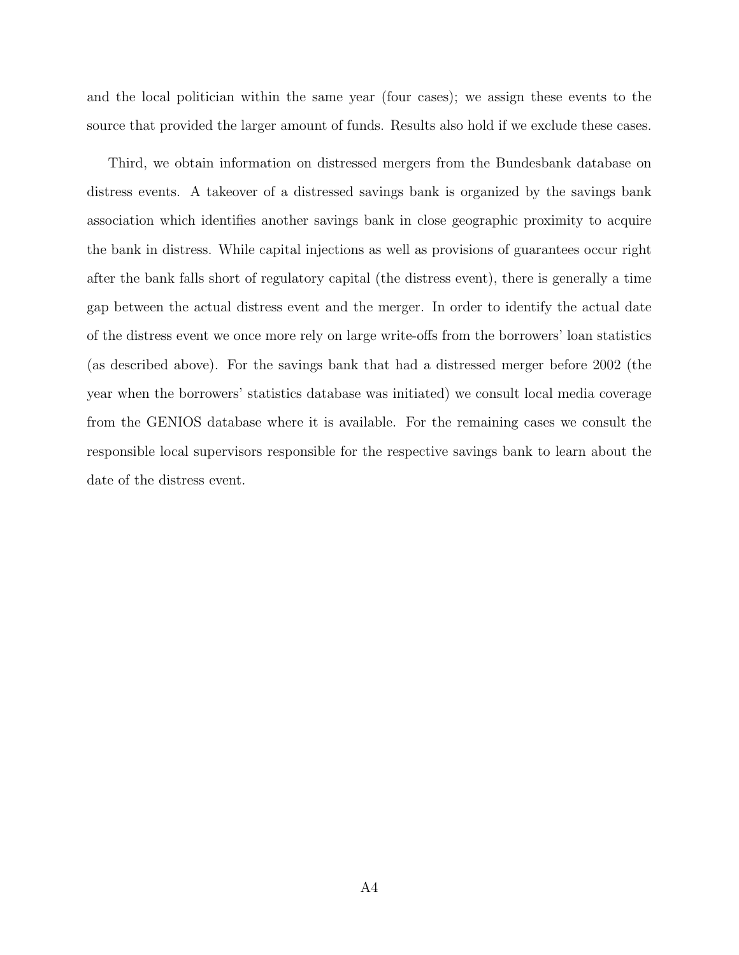and the local politician within the same year (four cases); we assign these events to the source that provided the larger amount of funds. Results also hold if we exclude these cases.

Third, we obtain information on distressed mergers from the Bundesbank database on distress events. A takeover of a distressed savings bank is organized by the savings bank association which identifies another savings bank in close geographic proximity to acquire the bank in distress. While capital injections as well as provisions of guarantees occur right after the bank falls short of regulatory capital (the distress event), there is generally a time gap between the actual distress event and the merger. In order to identify the actual date of the distress event we once more rely on large write-offs from the borrowers' loan statistics (as described above). For the savings bank that had a distressed merger before 2002 (the year when the borrowers' statistics database was initiated) we consult local media coverage from the GENIOS database where it is available. For the remaining cases we consult the responsible local supervisors responsible for the respective savings bank to learn about the date of the distress event.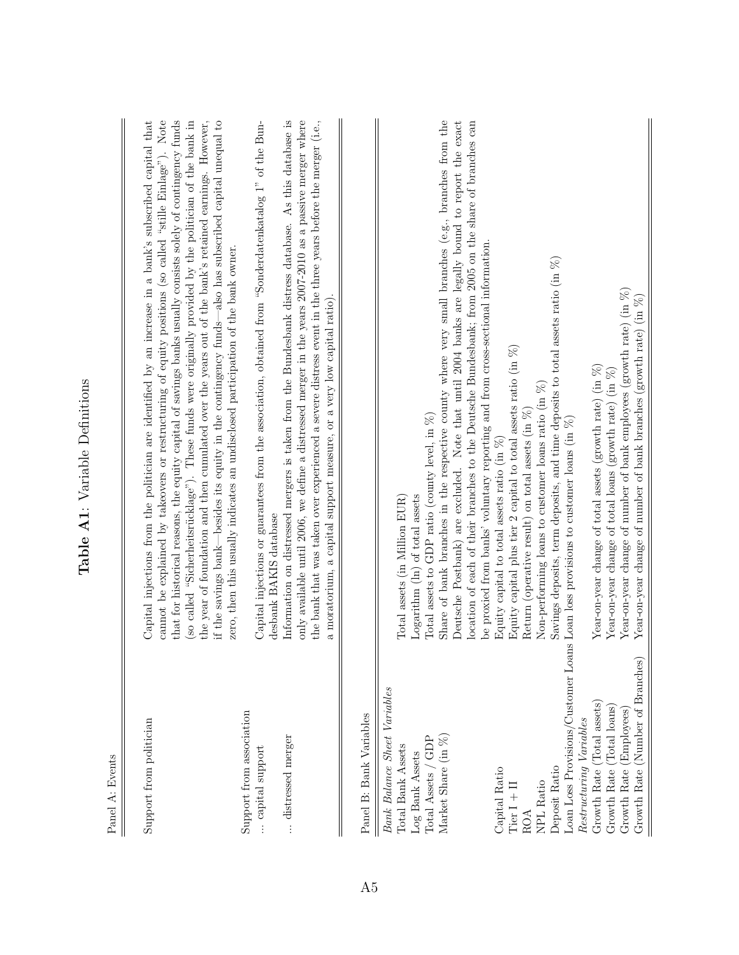<span id="page-56-0"></span>

| Panel A: Events                                                                                                                                                                                                                                                                                                         |                                                                                                                                                                                                                                                                                                                                                                                                                                                                                                                                                                                                                                                                                                                                                                                                                                                                                                                                                                                                                                                                                                                                                                                                                                                                                                                 |
|-------------------------------------------------------------------------------------------------------------------------------------------------------------------------------------------------------------------------------------------------------------------------------------------------------------------------|-----------------------------------------------------------------------------------------------------------------------------------------------------------------------------------------------------------------------------------------------------------------------------------------------------------------------------------------------------------------------------------------------------------------------------------------------------------------------------------------------------------------------------------------------------------------------------------------------------------------------------------------------------------------------------------------------------------------------------------------------------------------------------------------------------------------------------------------------------------------------------------------------------------------------------------------------------------------------------------------------------------------------------------------------------------------------------------------------------------------------------------------------------------------------------------------------------------------------------------------------------------------------------------------------------------------|
| Support from association<br>Support from politician<br>distressed merger<br>capital support                                                                                                                                                                                                                             | Capital injections from the politician are identified by an increase in a bank's subscribed capital that<br>that for historical reasons, the equity capital of savings banks usually consists solely of contingency funds<br>cannot be explained by takeovers or restructuring of equity positions (so called "stille Einlage"). Note<br>(so called "Sicherheitsrücklage"). These funds were originally provided by the politician of the bank in<br>the year of foundation and then cumulated over the years out of the bank's retained earnings. However,<br>if the savings bank—besides its equity in the contingency funds—also has subscribed capital unequal to<br>Information on distressed mergers is taken from the Bundesbank distress database. As this database is<br>only available until 2006, we define a distressed merger in the years 2007-2010 as a passive merger where<br>the bank that was taken over experienced a severe distress event in the three years before the merger (i.e.,<br>Capital injections or guarantees from the association, obtained from "Sonderdatenkatalog 1" of the Bun-<br>zero, then this usually indicates an undisclosed participation of the bank owner.<br>a moratorium, a capital support measure, or a very low capital ratio).<br>desbank BAKIS database |
| Panel B: Bank Variables                                                                                                                                                                                                                                                                                                 |                                                                                                                                                                                                                                                                                                                                                                                                                                                                                                                                                                                                                                                                                                                                                                                                                                                                                                                                                                                                                                                                                                                                                                                                                                                                                                                 |
| $\overline{\mathbf{c}}$<br>Loan Loss Provisions/Customer Loan<br>Growth Rate (Total assets)<br>(Total loans)<br>Restructuring Variables<br>Market Share $(in \%)$<br>Total Assets / GDP<br>Total Bank Assets<br>Log Bank Assets<br>Deposit Ratio<br>Growth Rate (<br>Capital Ratio<br>NPL Ratio<br>$Tier I + II$<br>ROA | Share of bank branches in the respective county where very small branches (e.g., branches from the<br>Deutsche Postbank) are excluded. Note that until 2004 banks are legally bound to report the exact<br>location of each of their branches to the Deutsche Bundesbank; from 2005 on the share of branches can<br>be proxied from banks' voluntary reporting and from cross-sectional information.<br>Savings deposits, term deposits, and time deposits to total assets ratio (in $\%$ )<br>Equity capital plus tier 2 capital to total assets ratio (in $\%$ )<br>Year-on-year change of total assets (growth rate) (in $\%$ )<br>Year-on-year change of total loans (growth rate) (in $\%$ )<br>Non-performing loans to customer loans ratio (in $\%$ )<br>Return (operative result) on total assets (in $\%$ )<br>Total assets to GDP ratio (county level, in $%$ )<br>Loan loss provisions to customer loans (in $\%$ )<br>Equity capital to total assets ratio (in $%$ )<br>Logarithm (ln) of total assets<br>Total assets (in Million EUR)                                                                                                                                                                                                                                                             |
| Growth Rate (Number of Branches)<br>Employees<br>Growth Rate (                                                                                                                                                                                                                                                          | Year-on-year change of number of bank employees (growth rate) (in $\%$ )<br>Year-on-year change of number of bank branches (growth rate) (in $\%$ )                                                                                                                                                                                                                                                                                                                                                                                                                                                                                                                                                                                                                                                                                                                                                                                                                                                                                                                                                                                                                                                                                                                                                             |

Table A1: Variable Definitions Table A1: Variable Definitions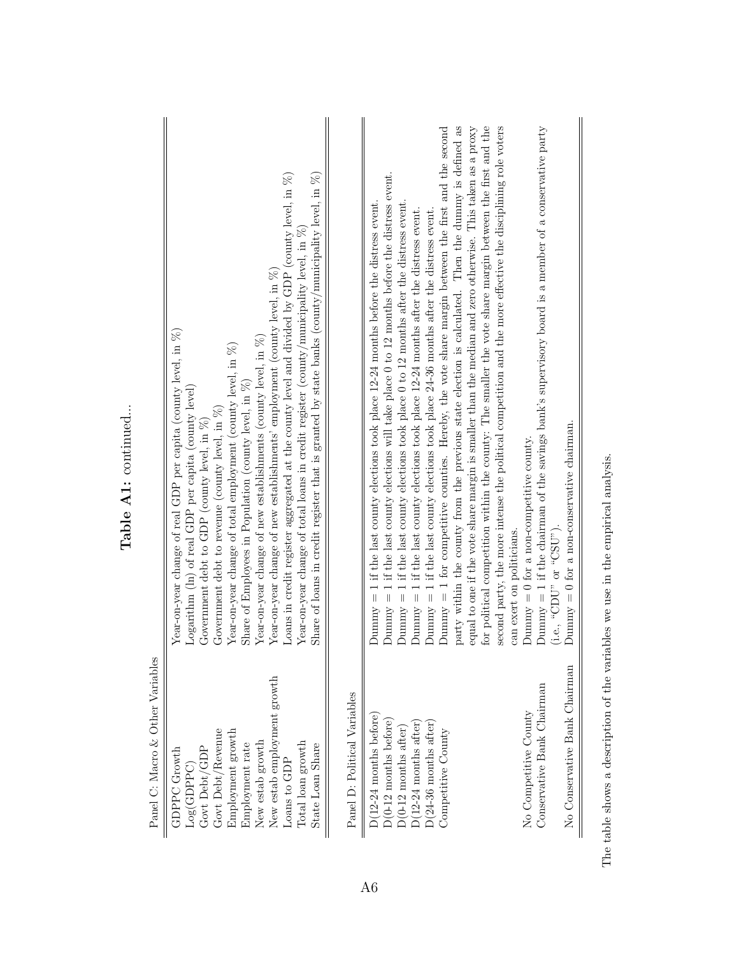| Panel C: Macro & Other Variables                                                                                                                                                                                                                                        |                                                                                                                                                                                                                                                                                                                                                                                                                                                                                                                                                                                                                                                                                                                                                                                                                                                                                                                                                                                                                                                                                                                                                                                                                                                                                                                                |
|-------------------------------------------------------------------------------------------------------------------------------------------------------------------------------------------------------------------------------------------------------------------------|--------------------------------------------------------------------------------------------------------------------------------------------------------------------------------------------------------------------------------------------------------------------------------------------------------------------------------------------------------------------------------------------------------------------------------------------------------------------------------------------------------------------------------------------------------------------------------------------------------------------------------------------------------------------------------------------------------------------------------------------------------------------------------------------------------------------------------------------------------------------------------------------------------------------------------------------------------------------------------------------------------------------------------------------------------------------------------------------------------------------------------------------------------------------------------------------------------------------------------------------------------------------------------------------------------------------------------|
| New estab employment growth<br>Govt Debt/Revenue<br>Employment growth<br>$\mbox{New}$ estab $\mbox{growth}$<br>Total loan growth<br>Employment rate<br>State Loan Share<br>Govt Debt/GDP<br><b>GDPPC</b> Growth<br>Loans to GDP<br>Log(GDPPC)                           | Loans in credit register aggregated at the county level and divided by GDP (county level, in $\%$ )<br>Share of loans in credit register that is granted by state banks (county/municipality level, in $\%$ )<br>Year-on-year change of total loans in credit register (county/municipality level, in $\%$ )<br>Year-on-year change of new establishments' employment (county level, in $\%$ )<br>Year-on-year change of real GDP per capita (county level, in $\%$ )<br>Year-on-year change of new establishments (county level, in<br>$\%)$<br>Year-on-year change of total employment (county level, in $\%$ )<br>Share of Employees in Population (county level, in $\%$ )<br>Logarithm (ln) of real GDP per capita (county level)<br>Government debt to revenue (county level, in $\%$ )<br>Government debt to GDP (county level, in $\%$ )                                                                                                                                                                                                                                                                                                                                                                                                                                                                               |
| Panel D: Political Variables                                                                                                                                                                                                                                            |                                                                                                                                                                                                                                                                                                                                                                                                                                                                                                                                                                                                                                                                                                                                                                                                                                                                                                                                                                                                                                                                                                                                                                                                                                                                                                                                |
| No Conservative Bank Chairman<br>Conservative Bank Chairman<br>No Competitive County<br>$D(12-24 \text{ months before})$<br>$D(0-12 \text{ months before})$<br>$D(12-24$ months after<br>$D(24-36$ months after<br>$D(0-12 \text{ months after})$<br>Competitive County | for political competition within the county: The smaller the vote share margin between the first and the<br>second party, the more intense the political competition and the more effective the disciplining role voters<br>party within the county from the previous state election is calculated. Then the dummy is defined as<br>Dummy $= 1$ for competitive counties. Hereby, the vote share margin between the first and the second<br>equal to one if the vote share margin is smaller than the median and zero otherwise. This taken as a proxy<br>Dummy $= 1$ if the chairman of the savings bank's supervisory board is a member of a conservative party<br>Dummy $= 1$ if the last county elections will take place 0 to 12 months before the distress event.<br>$= 1$ if the last county elections took place 0 to 12 months after the distress event.<br>1 if the last county elections took place 12-24 months before the distress event.<br>Dunnay = 1 if the last county elections took place $12-24$ months after the distress event.<br>Dummy = 1 if the last county elections took place $24-36$ months after the distress event.<br>Dummy $= 0$ for a non-conservative chairman.<br>Dummy $= 0$ for a non-competitive county.<br>(i.e., "CDU" or "CSU")<br>can exert on politicians.<br>$Dummy =$<br>Vuuunt |

The table shows a description of the variables we use in the empirical analysis. The table shows a description of the variables we use in the empirical analysis.

Table A1: continued... Table A1: continued...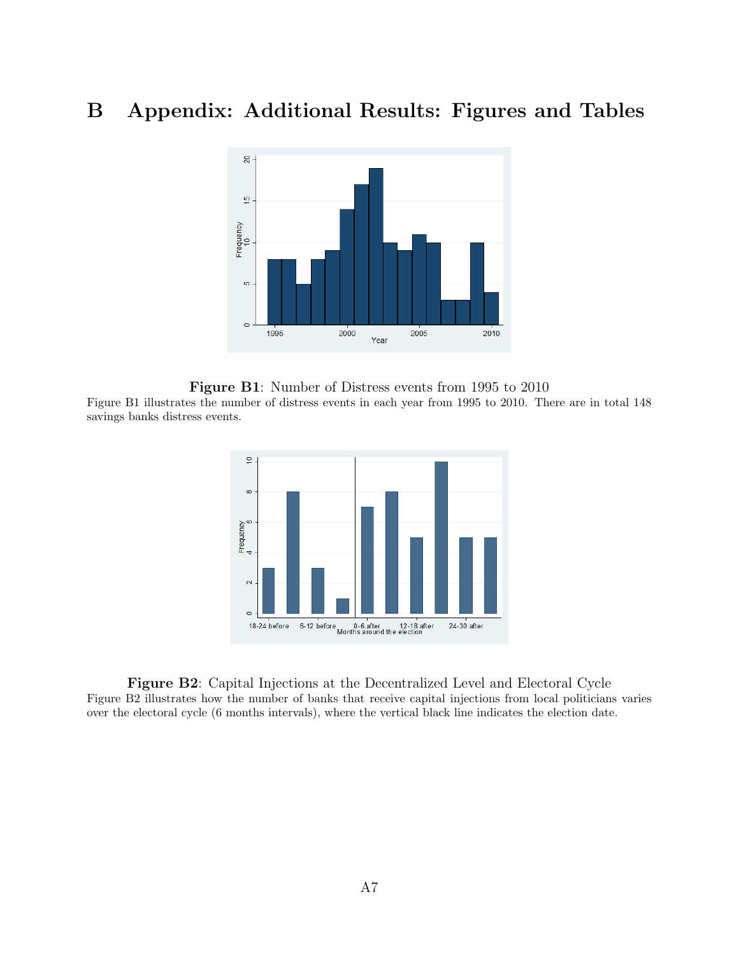# <span id="page-58-2"></span><span id="page-58-0"></span>B Appendix: Additional Results: Figures and Tables



<span id="page-58-1"></span>Figure B1: Number of Distress events from 1995 to 2010 Figure [B1](#page-58-0) illustrates the number of distress events in each year from 1995 to 2010. There are in total 148 savings banks distress events.



Figure B2: Capital Injections at the Decentralized Level and Electoral Cycle Figure [B2](#page-58-1) illustrates how the number of banks that receive capital injections from local politicians varies over the electoral cycle (6 months intervals), where the vertical black line indicates the election date.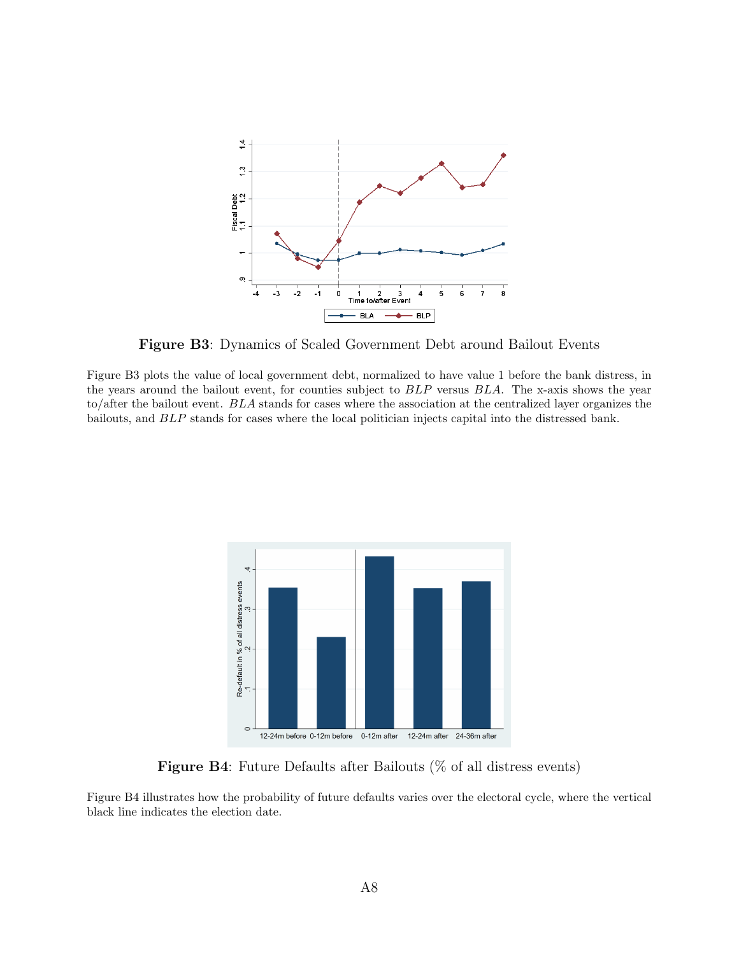<span id="page-59-0"></span>

Figure B3: Dynamics of Scaled Government Debt around Bailout Events

Figure [B3](#page-59-0) plots the value of local government debt, normalized to have value 1 before the bank distress, in the years around the bailout event, for counties subject to BLP versus BLA. The x-axis shows the year to/after the bailout event. BLA stands for cases where the association at the centralized layer organizes the bailouts, and BLP stands for cases where the local politician injects capital into the distressed bank.

<span id="page-59-1"></span>

Figure B4: Future Defaults after Bailouts (% of all distress events)

Figure [B4](#page-59-1) illustrates how the probability of future defaults varies over the electoral cycle, where the vertical black line indicates the election date.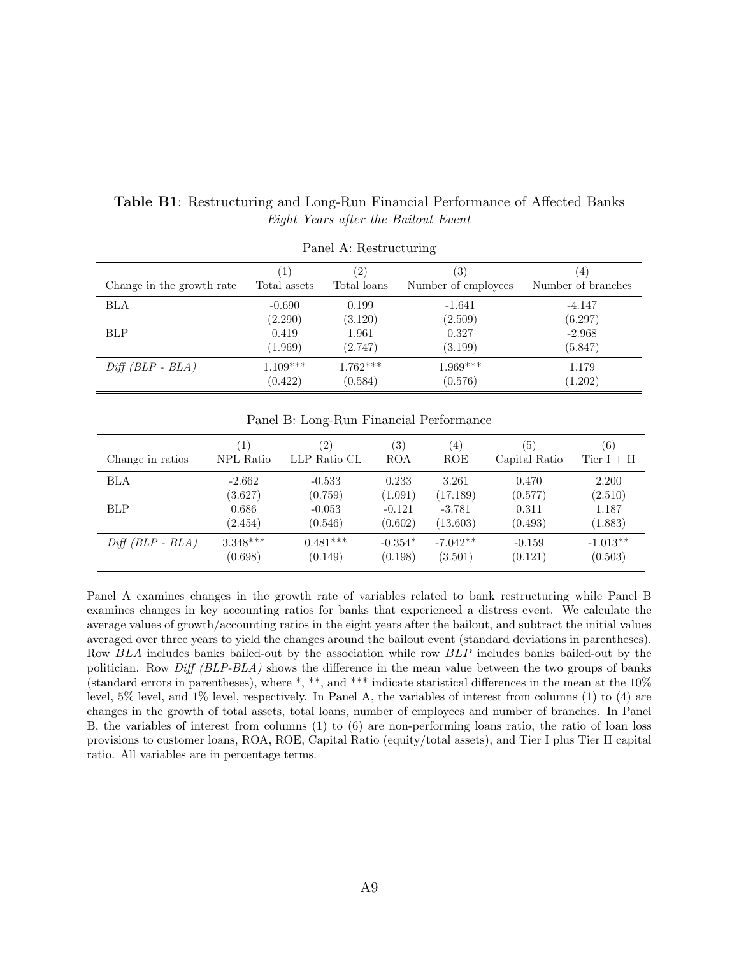| Panel A: Restructuring    |                              |                   |                     |                    |  |  |  |  |
|---------------------------|------------------------------|-------------------|---------------------|--------------------|--|--|--|--|
| Change in the growth rate | $\left\lceil 1 \right\rceil$ | $\left( 2\right)$ | (3)                 | $\left(4\right)$   |  |  |  |  |
|                           | Total assets                 | Total loans       | Number of employees | Number of branches |  |  |  |  |
| BLA                       | $-0.690$                     | 0.199             | $-1.641$            | $-4.147$           |  |  |  |  |
|                           | (2.290)                      | (3.120)           | (2.509)             | (6.297)            |  |  |  |  |
| <b>BLP</b>                | 0.419                        | 1.961             | 0.327               | $-2.968$           |  |  |  |  |
|                           | (1.969)                      | (2.747)           | (3.199)             | (5.847)            |  |  |  |  |
| $Diff(BLP - BLA)$         | $1.109***$                   | $1.762***$        | $1.969***$          | 1.179              |  |  |  |  |
|                           | (0.422)                      | (0.584)           | (0.576)             | (1.202)            |  |  |  |  |

#### <span id="page-60-0"></span>Table B1: Restructuring and Long-Run Financial Performance of Affected Banks Eight Years after the Bailout Event

| Change in ratios  | $\left(1\right)$ | (2)          | (3)       | (4)        | (5)           | $\left( 6\right)$ |
|-------------------|------------------|--------------|-----------|------------|---------------|-------------------|
|                   | <b>NPL</b> Ratio | LLP Ratio CL | ROA       | ROE        | Capital Ratio | Tier $I + II$     |
| BLA               | $-2.662$         | $-0.533$     | 0.233     | 3.261      | 0.470         | 2.200             |
| BLP               | (3.627)          | (0.759)      | (1.091)   | (17.189)   | (0.577)       | (2.510)           |
|                   | 0.686            | $-0.053$     | $-0.121$  | $-3.781$   | 0.311         | 1.187             |
|                   | (2.454)          | (0.546)      | (0.602)   | (13.603)   | (0.493)       | (1.883)           |
| $Diff(BLP - BLA)$ | $3.348***$       | $0.481***$   | $-0.354*$ | $-7.042**$ | $-0.159$      | $-1.013**$        |
|                   | (0.698)          | (0.149)      | (0.198)   | (3.501)    | (0.121)       | (0.503)           |

Panel A examines changes in the growth rate of variables related to bank restructuring while Panel B examines changes in key accounting ratios for banks that experienced a distress event. We calculate the average values of growth/accounting ratios in the eight years after the bailout, and subtract the initial values averaged over three years to yield the changes around the bailout event (standard deviations in parentheses). Row BLA includes banks bailed-out by the association while row BLP includes banks bailed-out by the politician. Row Diff (BLP-BLA) shows the difference in the mean value between the two groups of banks (standard errors in parentheses), where \*, \*\*, and \*\*\* indicate statistical differences in the mean at the 10% level, 5% level, and 1% level, respectively. In Panel A, the variables of interest from columns (1) to (4) are changes in the growth of total assets, total loans, number of employees and number of branches. In Panel B, the variables of interest from columns (1) to (6) are non-performing loans ratio, the ratio of loan loss provisions to customer loans, ROA, ROE, Capital Ratio (equity/total assets), and Tier I plus Tier II capital ratio. All variables are in percentage terms.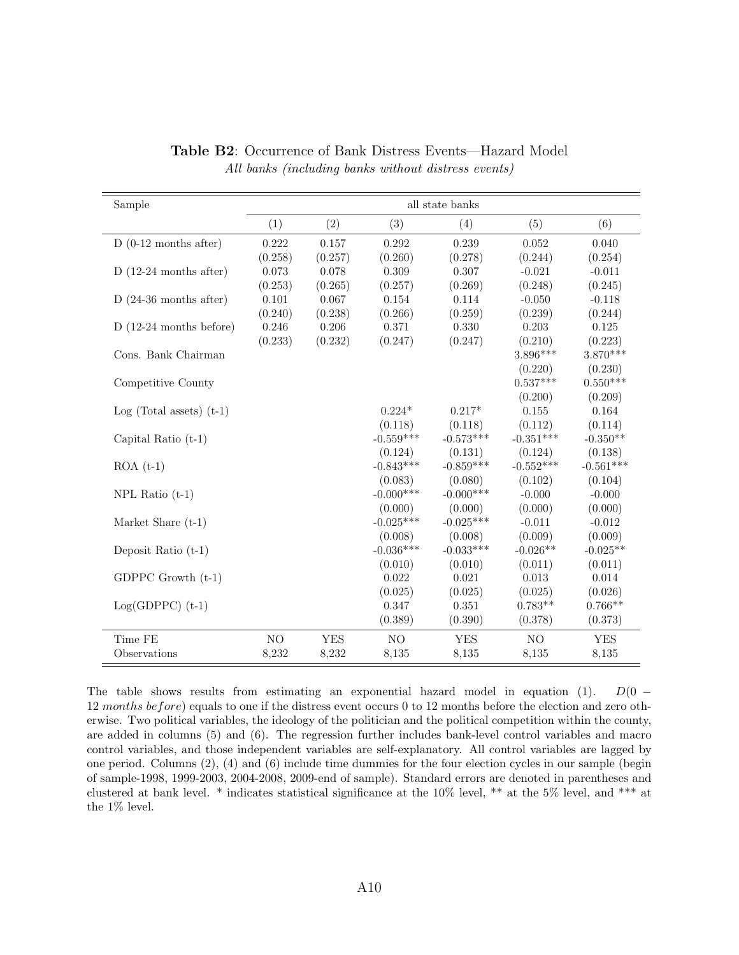<span id="page-61-0"></span>

| Sample                     | all state banks |            |                |             |             |             |  |  |
|----------------------------|-----------------|------------|----------------|-------------|-------------|-------------|--|--|
|                            | (1)             | (2)        | (3)            | (4)         | (5)         | (6)         |  |  |
| $D(0-12$ months after)     | 0.222           | 0.157      | 0.292          | 0.239       | 0.052       | 0.040       |  |  |
|                            | (0.258)         | (0.257)    | (0.260)        | (0.278)     | (0.244)     | (0.254)     |  |  |
| $D(12-24$ months after)    | 0.073           | 0.078      | 0.309          | 0.307       | $-0.021$    | $-0.011$    |  |  |
|                            | (0.253)         | (0.265)    | (0.257)        | (0.269)     | (0.248)     | (0.245)     |  |  |
| $D(24-36$ months after)    | 0.101           | 0.067      | 0.154          | 0.114       | $-0.050$    | $-0.118$    |  |  |
|                            | (0.240)         | (0.238)    | (0.266)        | (0.259)     | (0.239)     | (0.244)     |  |  |
| $D(12-24$ months before)   | 0.246           | 0.206      | 0.371          | 0.330       | 0.203       | 0.125       |  |  |
|                            | (0.233)         | (0.232)    | (0.247)        | (0.247)     | (0.210)     | (0.223)     |  |  |
| Cons. Bank Chairman        |                 |            |                |             | $3.896***$  | $3.870***$  |  |  |
|                            |                 |            |                |             | (0.220)     | (0.230)     |  |  |
| Competitive County         |                 |            |                |             | $0.537***$  | $0.550***$  |  |  |
|                            |                 |            |                |             | (0.200)     | (0.209)     |  |  |
| $Log (Total assets) (t-1)$ |                 |            | $0.224*$       | $0.217*$    | 0.155       | 0.164       |  |  |
|                            |                 |            | (0.118)        | (0.118)     | (0.112)     | (0.114)     |  |  |
| Capital Ratio $(t-1)$      |                 |            | $-0.559***$    | $-0.573***$ | $-0.351***$ | $-0.350**$  |  |  |
|                            |                 |            | (0.124)        | (0.131)     | (0.124)     | (0.138)     |  |  |
| $ROA(t-1)$                 |                 |            | $-0.843***$    | $-0.859***$ | $-0.552***$ | $-0.561***$ |  |  |
|                            |                 |            | (0.083)        | (0.080)     | (0.102)     | (0.104)     |  |  |
| $NPL$ Ratio $(t-1)$        |                 |            | $-0.000$ ***   | $-0.000***$ | $-0.000$    | $-0.000$    |  |  |
|                            |                 |            | (0.000)        | (0.000)     | (0.000)     | (0.000)     |  |  |
| Market Share $(t-1)$       |                 |            | $-0.025***$    | $-0.025***$ | $-0.011$    | $-0.012$    |  |  |
|                            |                 |            | (0.008)        | (0.008)     | (0.009)     | (0.009)     |  |  |
| Deposit Ratio $(t-1)$      |                 |            | $-0.036***$    | $-0.033***$ | $-0.026**$  | $-0.025**$  |  |  |
|                            |                 |            | (0.010)        | (0.010)     | (0.011)     | (0.011)     |  |  |
| $GDPPC$ Growth $(t-1)$     |                 |            | 0.022          | 0.021       | 0.013       | 0.014       |  |  |
|                            |                 |            | (0.025)        | (0.025)     | (0.025)     | (0.026)     |  |  |
| $Log(GDPPC)$ (t-1)         |                 |            | 0.347          | 0.351       | $0.783**$   | $0.766**$   |  |  |
|                            |                 |            | (0.389)        | (0.390)     | (0.378)     | (0.373)     |  |  |
| Time FE                    | NO              | <b>YES</b> | N <sub>O</sub> | <b>YES</b>  | NO          | <b>YES</b>  |  |  |
| Observations               | 8,232           | 8,232      | 8,135          | 8,135       | 8,135       | 8,135       |  |  |

Table B2: Occurrence of Bank Distress Events—Hazard Model All banks (including banks without distress events)

The table shows results from estimating an exponential hazard model in equation [\(1\)](#page-18-1).  $D(0 -$ 12 months before) equals to one if the distress event occurs 0 to 12 months before the election and zero otherwise. Two political variables, the ideology of the politician and the political competition within the county, are added in columns (5) and (6). The regression further includes bank-level control variables and macro control variables, and those independent variables are self-explanatory. All control variables are lagged by one period. Columns (2), (4) and (6) include time dummies for the four election cycles in our sample (begin of sample-1998, 1999-2003, 2004-2008, 2009-end of sample). Standard errors are denoted in parentheses and clustered at bank level. \* indicates statistical significance at the 10% level, \*\* at the 5% level, and \*\*\* at the 1% level.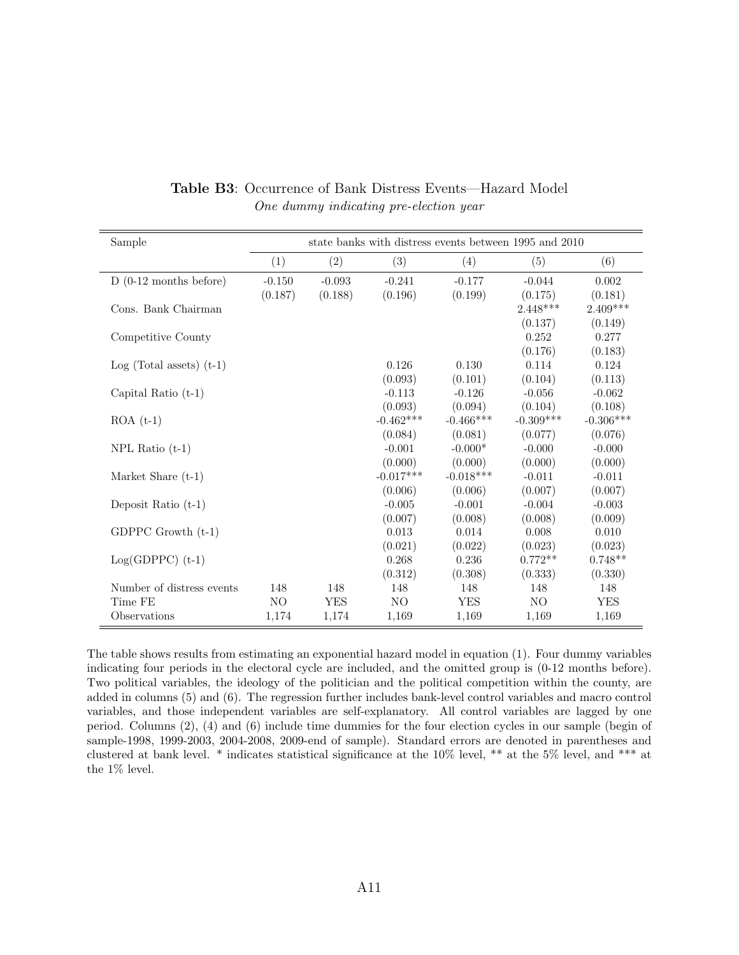<span id="page-62-0"></span>

| Sample                     | state banks with distress events between 1995 and 2010 |            |                |             |             |             |  |
|----------------------------|--------------------------------------------------------|------------|----------------|-------------|-------------|-------------|--|
|                            | (1)                                                    | (2)        | (3)            | (4)         | (5)         | (6)         |  |
| $D(0-12$ months before)    | $-0.150$                                               | $-0.093$   | $-0.241$       | $-0.177$    | $-0.044$    | 0.002       |  |
|                            | (0.187)                                                | (0.188)    | (0.196)        | (0.199)     | (0.175)     | (0.181)     |  |
| Cons. Bank Chairman        |                                                        |            |                |             | $2.448***$  | $2.409***$  |  |
|                            |                                                        |            |                |             | (0.137)     | (0.149)     |  |
| Competitive County         |                                                        |            |                |             | 0.252       | 0.277       |  |
|                            |                                                        |            |                |             | (0.176)     | (0.183)     |  |
| $Log (Total assets) (t-1)$ |                                                        |            | 0.126          | 0.130       | 0.114       | 0.124       |  |
|                            |                                                        |            | (0.093)        | (0.101)     | (0.104)     | (0.113)     |  |
| Capital Ratio $(t-1)$      |                                                        |            | $-0.113$       | $-0.126$    | $-0.056$    | $-0.062$    |  |
|                            |                                                        |            | (0.093)        | (0.094)     | (0.104)     | (0.108)     |  |
| $ROA(t-1)$                 |                                                        |            | $-0.462***$    | $-0.466***$ | $-0.309***$ | $-0.306***$ |  |
|                            |                                                        |            | (0.084)        | (0.081)     | (0.077)     | (0.076)     |  |
| $NPL$ Ratio $(t-1)$        |                                                        |            | $-0.001$       | $-0.000*$   | $-0.000$    | $-0.000$    |  |
|                            |                                                        |            | (0.000)        | (0.000)     | (0.000)     | (0.000)     |  |
| Market Share $(t-1)$       |                                                        |            | $-0.017***$    | $-0.018***$ | $-0.011$    | $-0.011$    |  |
|                            |                                                        |            | (0.006)        | (0.006)     | (0.007)     | (0.007)     |  |
| Deposit Ratio $(t-1)$      |                                                        |            | $-0.005$       | $-0.001$    | $-0.004$    | $-0.003$    |  |
|                            |                                                        |            | (0.007)        | (0.008)     | (0.008)     | (0.009)     |  |
| GDPPC Growth $(t-1)$       |                                                        |            | 0.013          | 0.014       | 0.008       | 0.010       |  |
|                            |                                                        |            | (0.021)        | (0.022)     | (0.023)     | (0.023)     |  |
| $Log(GDPPC)$ (t-1)         |                                                        |            | 0.268          | 0.236       | $0.772**$   | $0.748**$   |  |
|                            |                                                        |            | (0.312)        | (0.308)     | (0.333)     | (0.330)     |  |
| Number of distress events  | 148                                                    | 148        | 148            | 148         | 148         | 148         |  |
| Time FE                    | NO.                                                    | <b>YES</b> | N <sub>O</sub> | <b>YES</b>  | NO.         | <b>YES</b>  |  |
| Observations               | 1,174                                                  | 1,174      | 1,169          | 1,169       | 1,169       | 1,169       |  |

Table B3: Occurrence of Bank Distress Events—Hazard Model One dummy indicating pre-election year

The table shows results from estimating an exponential hazard model in equation [\(1\)](#page-18-1). Four dummy variables indicating four periods in the electoral cycle are included, and the omitted group is (0-12 months before). Two political variables, the ideology of the politician and the political competition within the county, are added in columns (5) and (6). The regression further includes bank-level control variables and macro control variables, and those independent variables are self-explanatory. All control variables are lagged by one period. Columns (2), (4) and (6) include time dummies for the four election cycles in our sample (begin of sample-1998, 1999-2003, 2004-2008, 2009-end of sample). Standard errors are denoted in parentheses and clustered at bank level. \* indicates statistical significance at the 10% level, \*\* at the 5% level, and \*\*\* at the 1% level.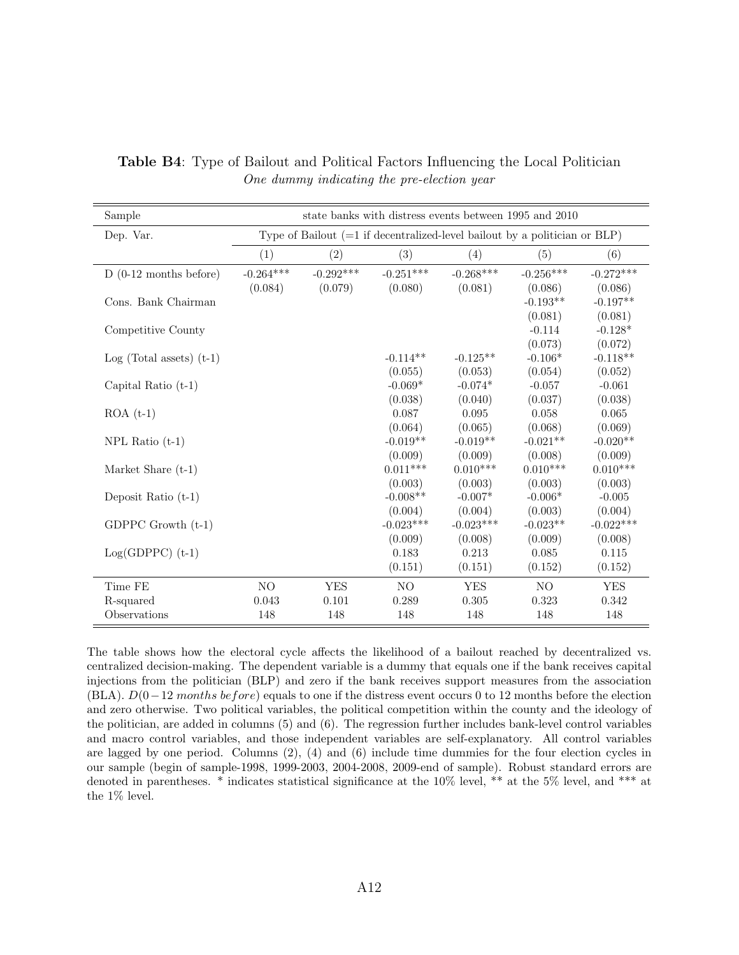| Sample                     | state banks with distress events between 1995 and 2010                       |             |                        |                        |                       |                        |  |  |
|----------------------------|------------------------------------------------------------------------------|-------------|------------------------|------------------------|-----------------------|------------------------|--|--|
| Dep. Var.                  | Type of Bailout $(=1$ if decentralized-level bailout by a politician or BLP) |             |                        |                        |                       |                        |  |  |
|                            | (1)                                                                          | (2)         | (3)                    | (4)                    | (5)                   | (6)                    |  |  |
| $D(0-12$ months before)    | $-0.264***$                                                                  | $-0.292***$ | $-0.251***$            | $-0.268***$            | $-0.256***$           | $-0.272***$            |  |  |
|                            | (0.084)                                                                      | (0.079)     | (0.080)                | (0.081)                | (0.086)               | (0.086)                |  |  |
| Cons. Bank Chairman        |                                                                              |             |                        |                        | $-0.193**$            | $-0.197**$             |  |  |
|                            |                                                                              |             |                        |                        | (0.081)               | (0.081)                |  |  |
| Competitive County         |                                                                              |             |                        |                        | $-0.114$<br>(0.073)   | $-0.128*$<br>(0.072)   |  |  |
| $Log (Total assets) (t-1)$ |                                                                              |             | $-0.114**$             | $-0.125**$             | $-0.106*$             | $-0.118**$             |  |  |
|                            |                                                                              |             | (0.055)                | (0.053)                | (0.054)               | (0.052)                |  |  |
| Capital Ratio $(t-1)$      |                                                                              |             | $-0.069*$              | $-0.074*$              | $-0.057$              | $-0.061$               |  |  |
|                            |                                                                              |             | (0.038)                | (0.040)                | (0.037)               | (0.038)                |  |  |
| $ROA(t-1)$                 |                                                                              |             | 0.087                  | 0.095                  | 0.058                 | 0.065                  |  |  |
|                            |                                                                              |             | (0.064)                | (0.065)                | (0.068)               | (0.069)                |  |  |
| NPL Ratio $(t-1)$          |                                                                              |             | $-0.019**$             | $-0.019**$             | $-0.021**$            | $-0.020**$             |  |  |
|                            |                                                                              |             | (0.009)                | (0.009)                | (0.008)               | (0.009)                |  |  |
| Market Share $(t-1)$       |                                                                              |             | $0.011***$             | $0.010***$             | $0.010***$            | $0.010***$             |  |  |
|                            |                                                                              |             | (0.003)                | (0.003)                | (0.003)               | (0.003)                |  |  |
| Deposit Ratio $(t-1)$      |                                                                              |             | $-0.008**$             | $-0.007*$              | $-0.006*$             | $-0.005$               |  |  |
| GDPPC Growth $(t-1)$       |                                                                              |             | (0.004)<br>$-0.023***$ | (0.004)<br>$-0.023***$ | (0.003)<br>$-0.023**$ | (0.004)<br>$-0.022***$ |  |  |
|                            |                                                                              |             | (0.009)                | (0.008)                | (0.009)               | (0.008)                |  |  |
| $Log(GDPPC)$ (t-1)         |                                                                              |             | 0.183                  | 0.213                  | 0.085                 | 0.115                  |  |  |
|                            |                                                                              |             | (0.151)                | (0.151)                | (0.152)               | (0.152)                |  |  |
| Time FE                    | NO                                                                           | <b>YES</b>  | NO                     | <b>YES</b>             | NO                    | <b>YES</b>             |  |  |
| R-squared                  | 0.043                                                                        | 0.101       | 0.289                  | 0.305                  | 0.323                 | 0.342                  |  |  |
| Observations               | 148                                                                          | 148         | 148                    | 148                    | 148                   | 148                    |  |  |

<span id="page-63-0"></span>Table B4: Type of Bailout and Political Factors Influencing the Local Politician One dummy indicating the pre-election year

The table shows how the electoral cycle affects the likelihood of a bailout reached by decentralized vs. centralized decision-making. The dependent variable is a dummy that equals one if the bank receives capital injections from the politician (BLP) and zero if the bank receives support measures from the association (BLA).  $D(0-12$  months before) equals to one if the distress event occurs 0 to 12 months before the election and zero otherwise. Two political variables, the political competition within the county and the ideology of the politician, are added in columns (5) and (6). The regression further includes bank-level control variables and macro control variables, and those independent variables are self-explanatory. All control variables are lagged by one period. Columns (2), (4) and (6) include time dummies for the four election cycles in our sample (begin of sample-1998, 1999-2003, 2004-2008, 2009-end of sample). Robust standard errors are denoted in parentheses. \* indicates statistical significance at the 10% level, \*\* at the 5% level, and \*\*\* at the 1% level.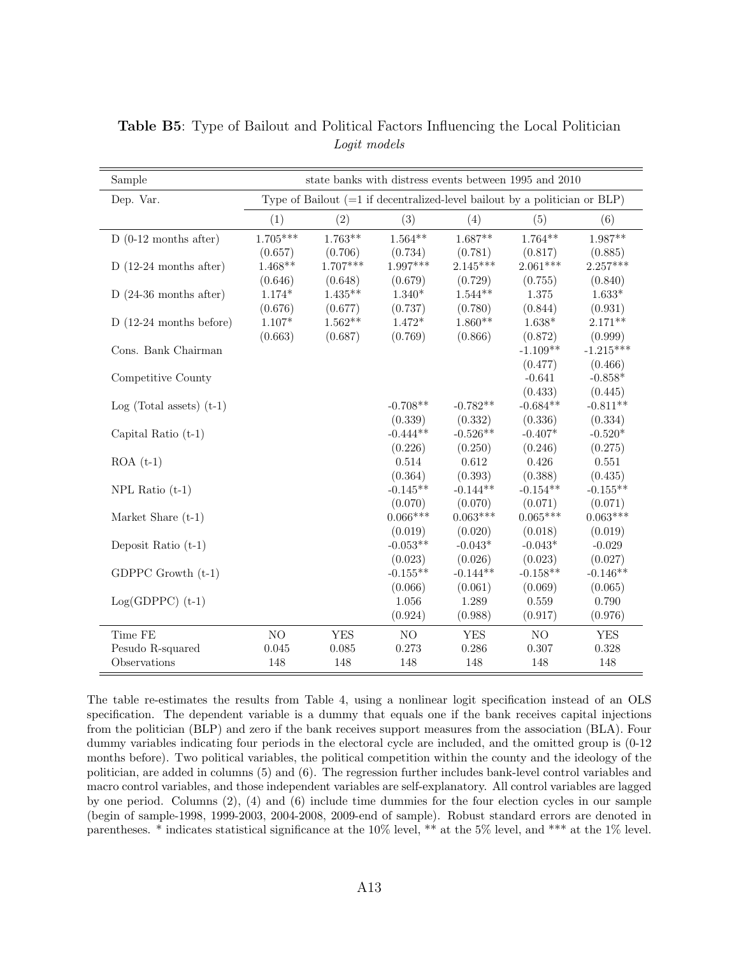| Sample                     | state banks with distress events between 1995 and 2010 |                                                                              |                |            |                |             |  |  |
|----------------------------|--------------------------------------------------------|------------------------------------------------------------------------------|----------------|------------|----------------|-------------|--|--|
| Dep. Var.                  |                                                        | Type of Bailout $(=1$ if decentralized-level bailout by a politician or BLP) |                |            |                |             |  |  |
|                            | (1)                                                    | (2)                                                                          | (3)            | (4)        | (5)            | (6)         |  |  |
| $D(0-12$ months after)     | $1.705***$                                             | $1.763**$                                                                    | $1.564**$      | $1.687**$  | $1.764**$      | $1.987**$   |  |  |
|                            | (0.657)                                                | (0.706)                                                                      | (0.734)        | (0.781)    | (0.817)        | (0.885)     |  |  |
| $D(12-24$ months after)    | $1.468**$                                              | $1.707***$                                                                   | 1.997***       | $2.145***$ | $2.061***$     | $2.257***$  |  |  |
|                            | (0.646)                                                | (0.648)                                                                      | (0.679)        | (0.729)    | (0.755)        | (0.840)     |  |  |
| $D(24-36$ months after)    | $1.174*$                                               | $1.435**$                                                                    | $1.340*$       | $1.544**$  | 1.375          | $1.633*$    |  |  |
|                            | (0.676)                                                | (0.677)                                                                      | (0.737)        | (0.780)    | (0.844)        | (0.931)     |  |  |
| $D(12-24$ months before)   | $1.107*$                                               | $1.562**$                                                                    | $1.472*$       | $1.860**$  | $1.638*$       | $2.171**$   |  |  |
|                            | (0.663)                                                | (0.687)                                                                      | (0.769)        | (0.866)    | (0.872)        | (0.999)     |  |  |
| Cons. Bank Chairman        |                                                        |                                                                              |                |            | $-1.109**$     | $-1.215***$ |  |  |
|                            |                                                        |                                                                              |                |            | (0.477)        | (0.466)     |  |  |
| Competitive County         |                                                        |                                                                              |                |            | $-0.641$       | $-0.858*$   |  |  |
|                            |                                                        |                                                                              |                |            | (0.433)        | (0.445)     |  |  |
| $Log (Total assets) (t-1)$ |                                                        |                                                                              | $-0.708**$     | $-0.782**$ | $-0.684**$     | $-0.811**$  |  |  |
|                            |                                                        |                                                                              | (0.339)        | (0.332)    | (0.336)        | (0.334)     |  |  |
| Capital Ratio (t-1)        |                                                        |                                                                              | $-0.444**$     | $-0.526**$ | $-0.407*$      | $-0.520*$   |  |  |
|                            |                                                        |                                                                              | (0.226)        | (0.250)    | (0.246)        | (0.275)     |  |  |
| $ROA(t-1)$                 |                                                        |                                                                              | 0.514          | $0.612\,$  | 0.426          | 0.551       |  |  |
|                            |                                                        |                                                                              | (0.364)        | (0.393)    | (0.388)        | (0.435)     |  |  |
| $NPL$ Ratio $(t-1)$        |                                                        |                                                                              | $-0.145**$     | $-0.144**$ | $-0.154**$     | $-0.155**$  |  |  |
|                            |                                                        |                                                                              | (0.070)        | (0.070)    | (0.071)        | (0.071)     |  |  |
| Market Share $(t-1)$       |                                                        |                                                                              | $0.066***$     | $0.063***$ | $0.065***$     | $0.063***$  |  |  |
|                            |                                                        |                                                                              | (0.019)        | (0.020)    | (0.018)        | (0.019)     |  |  |
| Deposit Ratio $(t-1)$      |                                                        |                                                                              | $-0.053**$     | $-0.043*$  | $-0.043*$      | $-0.029$    |  |  |
|                            |                                                        |                                                                              | (0.023)        | (0.026)    | (0.023)        | (0.027)     |  |  |
| GDPPC Growth $(t-1)$       |                                                        |                                                                              | $-0.155**$     | $-0.144**$ | $-0.158**$     | $-0.146**$  |  |  |
|                            |                                                        |                                                                              | (0.066)        | (0.061)    | (0.069)        | (0.065)     |  |  |
| $Log(GDPPC)$ (t-1)         |                                                        |                                                                              | 1.056          | 1.289      | 0.559          | 0.790       |  |  |
|                            |                                                        |                                                                              | (0.924)        | (0.988)    | (0.917)        | (0.976)     |  |  |
| Time FE                    | NO                                                     | <b>YES</b>                                                                   | N <sub>O</sub> | <b>YES</b> | N <sub>O</sub> | <b>YES</b>  |  |  |
| Pesudo R-squared           | 0.045                                                  | 0.085                                                                        | 0.273          | 0.286      | 0.307          | 0.328       |  |  |
| Observations               | 148                                                    | 148                                                                          | 148            | 148        | 148            | 148         |  |  |

<span id="page-64-0"></span>Table B5: Type of Bailout and Political Factors Influencing the Local Politician Logit models

The table re-estimates the results from Table [4,](#page-46-0) using a nonlinear logit specification instead of an OLS specification. The dependent variable is a dummy that equals one if the bank receives capital injections from the politician (BLP) and zero if the bank receives support measures from the association (BLA). Four dummy variables indicating four periods in the electoral cycle are included, and the omitted group is (0-12 months before). Two political variables, the political competition within the county and the ideology of the politician, are added in columns (5) and (6). The regression further includes bank-level control variables and macro control variables, and those independent variables are self-explanatory. All control variables are lagged by one period. Columns (2), (4) and (6) include time dummies for the four election cycles in our sample (begin of sample-1998, 1999-2003, 2004-2008, 2009-end of sample). Robust standard errors are denoted in parentheses. \* indicates statistical significance at the 10% level, \*\* at the 5% level, and \*\*\* at the 1% level.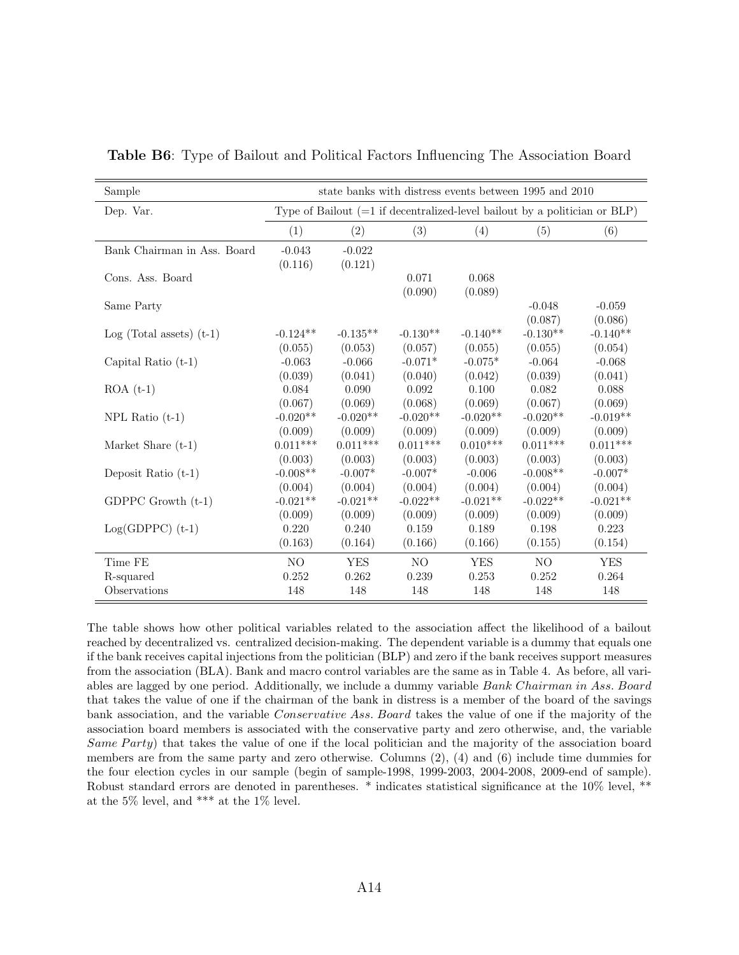| Sample                      | state banks with distress events between 1995 and 2010                       |            |            |            |            |            |  |
|-----------------------------|------------------------------------------------------------------------------|------------|------------|------------|------------|------------|--|
| Dep. Var.                   | Type of Bailout $(=1$ if decentralized-level bailout by a politician or BLP) |            |            |            |            |            |  |
|                             | (1)                                                                          | (2)        | (3)        | (4)        | (5)        | (6)        |  |
| Bank Chairman in Ass. Board | $-0.043$                                                                     | $-0.022$   |            |            |            |            |  |
|                             | (0.116)                                                                      | (0.121)    |            |            |            |            |  |
| Cons. Ass. Board            |                                                                              |            | 0.071      | 0.068      |            |            |  |
|                             |                                                                              |            | (0.090)    | (0.089)    |            |            |  |
| Same Party                  |                                                                              |            |            |            | $-0.048$   | $-0.059$   |  |
|                             |                                                                              |            |            |            | (0.087)    | (0.086)    |  |
| Log (Total assets) $(t-1)$  | $-0.124**$                                                                   | $-0.135**$ | $-0.130**$ | $-0.140**$ | $-0.130**$ | $-0.140**$ |  |
|                             | (0.055)                                                                      | (0.053)    | (0.057)    | (0.055)    | (0.055)    | (0.054)    |  |
| Capital Ratio $(t-1)$       | $-0.063$                                                                     | $-0.066$   | $-0.071*$  | $-0.075*$  | $-0.064$   | $-0.068$   |  |
|                             | (0.039)                                                                      | (0.041)    | (0.040)    | (0.042)    | (0.039)    | (0.041)    |  |
| $ROA(t-1)$                  | 0.084                                                                        | 0.090      | 0.092      | 0.100      | 0.082      | 0.088      |  |
|                             | (0.067)                                                                      | (0.069)    | (0.068)    | (0.069)    | (0.067)    | (0.069)    |  |
| $NPL$ Ratio $(t-1)$         | $-0.020**$                                                                   | $-0.020**$ | $-0.020**$ | $-0.020**$ | $-0.020**$ | $-0.019**$ |  |
|                             | (0.009)                                                                      | (0.009)    | (0.009)    | (0.009)    | (0.009)    | (0.009)    |  |
| Market Share $(t-1)$        | $0.011***$                                                                   | $0.011***$ | $0.011***$ | $0.010***$ | $0.011***$ | $0.011***$ |  |
|                             | (0.003)                                                                      | (0.003)    | (0.003)    | (0.003)    | (0.003)    | (0.003)    |  |
| Deposit Ratio $(t-1)$       | $-0.008**$                                                                   | $-0.007*$  | $-0.007*$  | $-0.006$   | $-0.008**$ | $-0.007*$  |  |
|                             | (0.004)                                                                      | (0.004)    | (0.004)    | (0.004)    | (0.004)    | (0.004)    |  |
| GDPPC Growth $(t-1)$        | $-0.021**$                                                                   | $-0.021**$ | $-0.022**$ | $-0.021**$ | $-0.022**$ | $-0.021**$ |  |
|                             | (0.009)                                                                      | (0.009)    | (0.009)    | (0.009)    | (0.009)    | (0.009)    |  |
| $Log(GDPPC)$ (t-1)          | 0.220                                                                        | 0.240      | 0.159      | 0.189      | 0.198      | 0.223      |  |
|                             | (0.163)                                                                      | (0.164)    | (0.166)    | (0.166)    | (0.155)    | (0.154)    |  |
| Time FE                     | NO.                                                                          | <b>YES</b> | NO         | <b>YES</b> | NO.        | <b>YES</b> |  |
| R-squared                   | 0.252                                                                        | 0.262      | 0.239      | 0.253      | 0.252      | 0.264      |  |
| Observations                | 148                                                                          | 148        | 148        | 148        | 148        | 148        |  |

<span id="page-65-0"></span>Table B6: Type of Bailout and Political Factors Influencing The Association Board

The table shows how other political variables related to the association affect the likelihood of a bailout reached by decentralized vs. centralized decision-making. The dependent variable is a dummy that equals one if the bank receives capital injections from the politician (BLP) and zero if the bank receives support measures from the association (BLA). Bank and macro control variables are the same as in Table [4.](#page-46-0) As before, all variables are lagged by one period. Additionally, we include a dummy variable Bank Chairman in Ass. Board that takes the value of one if the chairman of the bank in distress is a member of the board of the savings bank association, and the variable Conservative Ass. Board takes the value of one if the majority of the association board members is associated with the conservative party and zero otherwise, and, the variable Same Party) that takes the value of one if the local politician and the majority of the association board members are from the same party and zero otherwise. Columns (2), (4) and (6) include time dummies for the four election cycles in our sample (begin of sample-1998, 1999-2003, 2004-2008, 2009-end of sample). Robust standard errors are denoted in parentheses. \* indicates statistical significance at the 10% level, \*\* at the 5% level, and \*\*\* at the 1% level.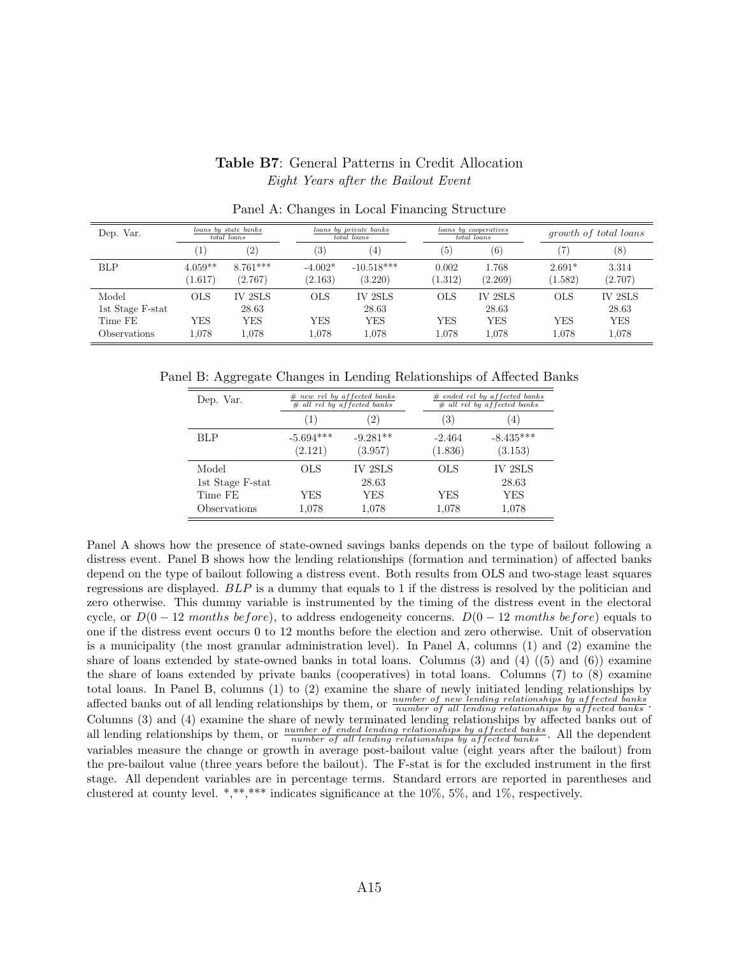#### Table B7: General Patterns in Credit Allocation Eight Years after the Bailout Event

<span id="page-66-0"></span>

| Dep. Var.        |           | loans by state banks<br>total loans | loans by private banks<br>total loans |                    |            | loans by cooperatives<br>total loans |            | <i>growth of total loans</i> |  |
|------------------|-----------|-------------------------------------|---------------------------------------|--------------------|------------|--------------------------------------|------------|------------------------------|--|
|                  | 1         | (2)                                 | (3)                                   | $\left(4\right)$   | (5)        | $\left( 6\right)$                    |            | (8)                          |  |
| <b>BLP</b>       | $4.059**$ | $8.761***$                          | $-4.002*$                             | $-10.518***$       | 0.002      | 1.768                                | $2.691*$   | 3.314                        |  |
|                  | (1.617)   | (2.767)                             | (2.163)                               | (3.220)            | (1.312)    | (2.269)                              | (1.582)    | (2.707)                      |  |
| Model            | OLS       | <b>IV 2SLS</b>                      | <b>OLS</b>                            | IV <sub>2SLS</sub> | <b>OLS</b> | <b>IV 2SLS</b>                       | <b>OLS</b> | IV 2SLS                      |  |
| 1st Stage F-stat |           | 28.63                               |                                       | 28.63              |            | 28.63                                |            | 28.63                        |  |
| Time FE          | YES       | YES                                 | YES                                   | <b>YES</b>         | YES        | <b>YES</b>                           | YES        | <b>YES</b>                   |  |
| Observations     | 1.078     | 1.078                               | 1.078                                 | 1.078              | 1.078      | 1.078                                | 1.078      | 1,078                        |  |

Panel A: Changes in Local Financing Structure

Panel B: Aggregate Changes in Lending Relationships of Affected Banks

| Dep. Var.        |             | $#$ new rel by affected banks<br>$#$ all rel by affected banks |            | $#$ ended rel by affected banks<br>$#$ all rel by affected banks |  |  |  |
|------------------|-------------|----------------------------------------------------------------|------------|------------------------------------------------------------------|--|--|--|
|                  | (1)         | $\left( 2\right)$                                              | (3)        | $\left(4\right)$                                                 |  |  |  |
| <b>BLP</b>       | $-5.694***$ | $-9.281**$                                                     | $-2.464$   | $-8.435***$                                                      |  |  |  |
|                  | (2.121)     | (3.957)                                                        | (1.836)    | (3.153)                                                          |  |  |  |
| Model            | <b>OLS</b>  | IV 2SLS                                                        | <b>OLS</b> | IV 2SLS                                                          |  |  |  |
| 1st Stage F-stat |             | 28.63                                                          |            | 28.63                                                            |  |  |  |
| Time FE          | YES         | YES                                                            | YES        | <b>YES</b>                                                       |  |  |  |
| Observations     | 1,078       | 1,078                                                          | 1,078      | 1,078                                                            |  |  |  |

Panel A shows how the presence of state-owned savings banks depends on the type of bailout following a distress event. Panel B shows how the lending relationships (formation and termination) of affected banks depend on the type of bailout following a distress event. Both results from OLS and two-stage least squares regressions are displayed. BLP is a dummy that equals to 1 if the distress is resolved by the politician and zero otherwise. This dummy variable is instrumented by the timing of the distress event in the electoral cycle, or  $D(0-12$  months before), to address endogeneity concerns.  $D(0-12$  months before) equals to one if the distress event occurs 0 to 12 months before the election and zero otherwise. Unit of observation is a municipality (the most granular administration level). In Panel A, columns (1) and (2) examine the share of loans extended by state-owned banks in total loans. Columns  $(3)$  and  $(4)$   $((5)$  and  $(6))$  examine the share of loans extended by private banks (cooperatives) in total loans. Columns (7) to (8) examine total loans. In Panel B, columns (1) to (2) examine the share of newly initiated lending relationships by affected banks out of all lending relationships by them, or  $\frac{number\ of\ new\ lending\ relationship\ by\ affected\ banks}{number\ of\ all\ lending\ relationship\ by\ affected\ banks}$ . Columns (3) and (4) examine the share of newly terminated lending relationships by affected banks out of all lending relationships by them, or  $\frac{number\ of\ ended\ lending\ relationship\ by\ affected\ banks}{number\ of\ all\ lending\ relationships\ by\ affected\ banks}$ . All the dependent an ideal strationships by them, or *number of all lending relationships by affected banks*. This the dependent variables measure the change or growth in average post-bailout value (eight years after the bailout) from the pre-bailout value (three years before the bailout). The F-stat is for the excluded instrument in the first stage. All dependent variables are in percentage terms. Standard errors are reported in parentheses and clustered at county level. \*,\*\*,\*\*\* indicates significance at the  $10\%$ ,  $5\%$ , and  $1\%$ , respectively.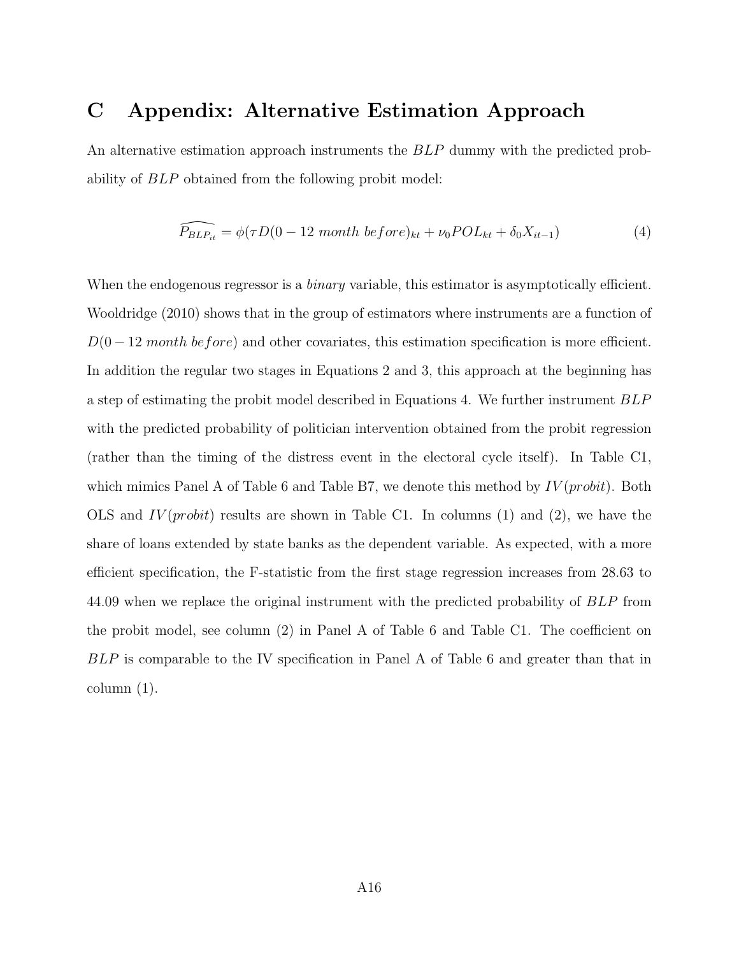## <span id="page-67-0"></span>C Appendix: Alternative Estimation Approach

An alternative estimation approach instruments the BLP dummy with the predicted probability of BLP obtained from the following probit model:

<span id="page-67-1"></span>
$$
\widehat{P_{BLP_{it}}} = \phi(\tau D(0 - 12 \text{ month before})_{kt} + \nu_0 POL_{kt} + \delta_0 X_{it-1})
$$
\n(4)

When the endogenous regressor is a *binary* variable, this estimator is asymptotically efficient. [Wooldridge](#page-39-1) [\(2010\)](#page-39-1) shows that in the group of estimators where instruments are a function of  $D(0-12 \text{ month before})$  and other covariates, this estimation specification is more efficient. In addition the regular two stages in Equations [2](#page-20-1) and [3,](#page-23-2) this approach at the beginning has a step of estimating the probit model described in Equations [4.](#page-67-1) We further instrument BLP with the predicted probability of politician intervention obtained from the probit regression (rather than the timing of the distress event in the electoral cycle itself). In Table [C1,](#page-68-0) which mimics Panel A of Table [6](#page-48-0) and Table [B7,](#page-66-0) we denote this method by  $IV(probit)$ . Both OLS and  $IV(probit)$  results are shown in Table [C1.](#page-68-0) In columns (1) and (2), we have the share of loans extended by state banks as the dependent variable. As expected, with a more efficient specification, the F-statistic from the first stage regression increases from 28.63 to 44.09 when we replace the original instrument with the predicted probability of BLP from the probit model, see column (2) in Panel A of Table [6](#page-48-0) and Table [C1.](#page-68-0) The coefficient on BLP is comparable to the IV specification in Panel A of Table [6](#page-48-0) and greater than that in column (1).